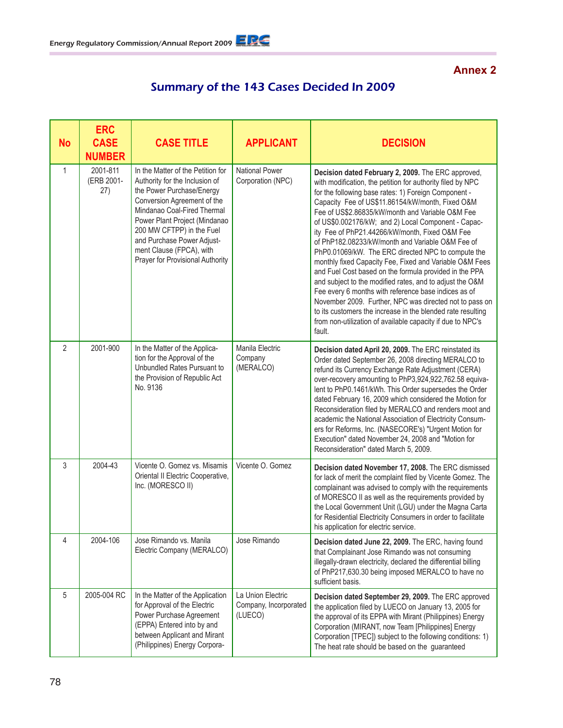## **Annex 2**

## Summary of the 143 Cases Decided In 2009

| <b>No</b>      | <b>ERC</b><br><b>CASE</b><br><b>NUMBER</b> | <b>CASE TITLE</b>                                                                                                                                                                                                                                                                                                          | <b>APPLICANT</b>                                      | <b>DECISION</b>                                                                                                                                                                                                                                                                                                                                                                                                                                                                                                                                                                                                                                                                                                                                                                                                                                                                                                                                |
|----------------|--------------------------------------------|----------------------------------------------------------------------------------------------------------------------------------------------------------------------------------------------------------------------------------------------------------------------------------------------------------------------------|-------------------------------------------------------|------------------------------------------------------------------------------------------------------------------------------------------------------------------------------------------------------------------------------------------------------------------------------------------------------------------------------------------------------------------------------------------------------------------------------------------------------------------------------------------------------------------------------------------------------------------------------------------------------------------------------------------------------------------------------------------------------------------------------------------------------------------------------------------------------------------------------------------------------------------------------------------------------------------------------------------------|
| $\mathbf{1}$   | 2001-811<br>(ERB 2001-<br>(27)             | In the Matter of the Petition for<br>Authority for the Inclusion of<br>the Power Purchase/Energy<br>Conversion Agreement of the<br>Mindanao Coal-Fired Thermal<br>Power Plant Project (Mindanao<br>200 MW CFTPP) in the Fuel<br>and Purchase Power Adjust-<br>ment Clause (FPCA), with<br>Prayer for Provisional Authority | National Power<br>Corporation (NPC)                   | Decision dated February 2, 2009. The ERC approved,<br>with modification, the petition for authority filed by NPC<br>for the following base rates: 1) Foreign Component -<br>Capacity Fee of US\$11.86154/kW/month, Fixed O&M<br>Fee of US\$2.86835/kW/month and Variable O&M Fee<br>of US\$0.002176/kW; and 2) Local Component - Capac-<br>ity Fee of PhP21.44266/kW/month, Fixed O&M Fee<br>of PhP182.08233/kW/month and Variable O&M Fee of<br>PhP0.01069/kW. The ERC directed NPC to compute the<br>monthly fixed Capacity Fee, Fixed and Variable O&M Fees<br>and Fuel Cost based on the formula provided in the PPA<br>and subject to the modified rates, and to adjust the O&M<br>Fee every 6 months with reference base indices as of<br>November 2009. Further, NPC was directed not to pass on<br>to its customers the increase in the blended rate resulting<br>from non-utilization of available capacity if due to NPC's<br>fault. |
| $\overline{2}$ | 2001-900                                   | In the Matter of the Applica-<br>tion for the Approval of the<br>Unbundled Rates Pursuant to<br>the Provision of Republic Act<br>No. 9136                                                                                                                                                                                  | Manila Electric<br>Company<br>(MERALCO)               | Decision dated April 20, 2009. The ERC reinstated its<br>Order dated September 26, 2008 directing MERALCO to<br>refund its Currency Exchange Rate Adjustment (CERA)<br>over-recovery amounting to PhP3,924,922,762.58 equiva-<br>lent to PhP0.1461/kWh. This Order supersedes the Order<br>dated February 16, 2009 which considered the Motion for<br>Reconsideration filed by MERALCO and renders moot and<br>academic the National Association of Electricity Consum-<br>ers for Reforms, Inc. (NASECORE's) "Urgent Motion for<br>Execution" dated November 24, 2008 and "Motion for<br>Reconsideration" dated March 5, 2009.                                                                                                                                                                                                                                                                                                                |
| 3              | 2004-43                                    | Vicente O. Gomez vs. Misamis<br>Oriental II Electric Cooperative,<br>Inc. (MORESCO II)                                                                                                                                                                                                                                     | Vicente O. Gomez                                      | Decision dated November 17, 2008. The ERC dismissed<br>for lack of merit the complaint filed by Vicente Gomez. The<br>complainant was advised to comply with the requirements<br>of MORESCO II as well as the requirements provided by<br>the Local Government Unit (LGU) under the Magna Carta<br>for Residential Electricity Consumers in order to facilitate<br>his application for electric service.                                                                                                                                                                                                                                                                                                                                                                                                                                                                                                                                       |
| 4              | 2004-106                                   | Jose Rimando vs. Manila<br>Electric Company (MERALCO)                                                                                                                                                                                                                                                                      | Jose Rimando                                          | Decision dated June 22, 2009. The ERC, having found<br>that Complainant Jose Rimando was not consuming<br>illegally-drawn electricity, declared the differential billing<br>of PhP217,630.30 being imposed MERALCO to have no<br>sufficient basis.                                                                                                                                                                                                                                                                                                                                                                                                                                                                                                                                                                                                                                                                                             |
| 5              | 2005-004 RC                                | In the Matter of the Application<br>for Approval of the Electric<br>Power Purchase Agreement<br>(EPPA) Entered into by and<br>between Applicant and Mirant<br>(Philippines) Energy Corpora-                                                                                                                                | La Union Electric<br>Company, Incorporated<br>(LUECO) | Decision dated September 29, 2009. The ERC approved<br>the application filed by LUECO on January 13, 2005 for<br>the approval of its EPPA with Mirant (Philippines) Energy<br>Corporation (MIRANT, now Team [Philippines] Energy<br>Corporation [TPEC]) subject to the following conditions: 1)<br>The heat rate should be based on the guaranteed                                                                                                                                                                                                                                                                                                                                                                                                                                                                                                                                                                                             |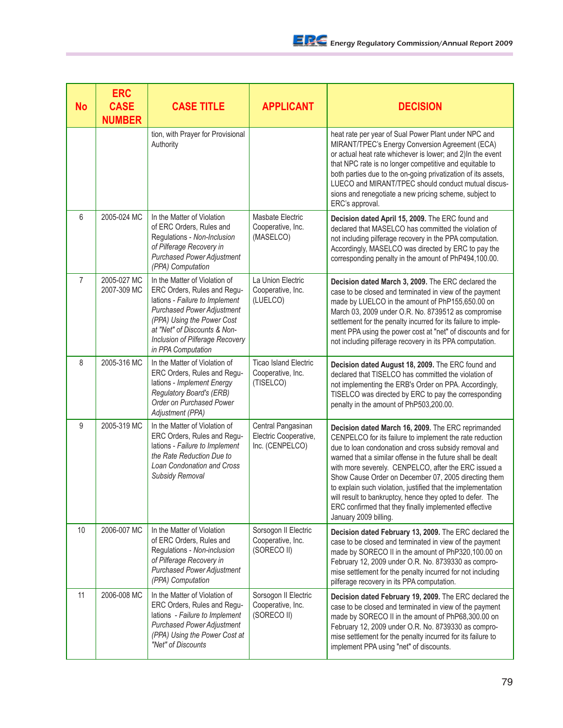| <b>No</b>      | <b>ERC</b><br><b>CASE</b><br><b>NUMBER</b> | <b>CASE TITLE</b>                                                                                                                                                                                                                                          | <b>APPLICANT</b>                                               | <b>DECISION</b>                                                                                                                                                                                                                                                                                                                                                                                                                                                                                                                                                      |
|----------------|--------------------------------------------|------------------------------------------------------------------------------------------------------------------------------------------------------------------------------------------------------------------------------------------------------------|----------------------------------------------------------------|----------------------------------------------------------------------------------------------------------------------------------------------------------------------------------------------------------------------------------------------------------------------------------------------------------------------------------------------------------------------------------------------------------------------------------------------------------------------------------------------------------------------------------------------------------------------|
|                |                                            | tion, with Prayer for Provisional<br>Authority                                                                                                                                                                                                             |                                                                | heat rate per year of Sual Power Plant under NPC and<br>MIRANT/TPEC's Energy Conversion Agreement (ECA)<br>or actual heat rate whichever is lower; and 2) In the event<br>that NPC rate is no longer competitive and equitable to<br>both parties due to the on-going privatization of its assets,<br>LUECO and MIRANT/TPEC should conduct mutual discus-<br>sions and renegotiate a new pricing scheme, subject to<br>ERC's approval.                                                                                                                               |
| 6              | 2005-024 MC                                | In the Matter of Violation<br>of ERC Orders, Rules and<br>Regulations - Non-Inclusion<br>of Pilferage Recovery in<br><b>Purchased Power Adjustment</b><br>(PPA) Computation                                                                                | Masbate Electric<br>Cooperative, Inc.<br>(MASELCO)             | Decision dated April 15, 2009. The ERC found and<br>declared that MASELCO has committed the violation of<br>not including pilferage recovery in the PPA computation.<br>Accordingly, MASELCO was directed by ERC to pay the<br>corresponding penalty in the amount of PhP494,100.00.                                                                                                                                                                                                                                                                                 |
| $\overline{7}$ | 2005-027 MC<br>2007-309 MC                 | In the Matter of Violation of<br>ERC Orders, Rules and Regu-<br>lations - Failure to Implement<br><b>Purchased Power Adjustment</b><br>(PPA) Using the Power Cost<br>at "Net" of Discounts & Non-<br>Inclusion of Pilferage Recovery<br>in PPA Computation | La Union Electric<br>Cooperative, Inc.<br>(LUELCO)             | Decision dated March 3, 2009. The ERC declared the<br>case to be closed and terminated in view of the payment<br>made by LUELCO in the amount of PhP155,650.00 on<br>March 03, 2009 under O.R. No. 8739512 as compromise<br>settlement for the penalty incurred for its failure to imple-<br>ment PPA using the power cost at "net" of discounts and for<br>not including pilferage recovery in its PPA computation.                                                                                                                                                 |
| 8              | 2005-316 MC                                | In the Matter of Violation of<br>ERC Orders, Rules and Regu-<br>lations - Implement Energy<br><b>Regulatory Board's (ERB)</b><br>Order on Purchased Power<br>Adjustment (PPA)                                                                              | <b>Ticao Island Electric</b><br>Cooperative, Inc.<br>(TISELCO) | Decision dated August 18, 2009. The ERC found and<br>declared that TISELCO has committed the violation of<br>not implementing the ERB's Order on PPA. Accordingly,<br>TISELCO was directed by ERC to pay the corresponding<br>penalty in the amount of PhP503,200.00.                                                                                                                                                                                                                                                                                                |
| 9              | 2005-319 MC                                | In the Matter of Violation of<br>ERC Orders, Rules and Regu-<br>lations - Failure to Implement<br>the Rate Reduction Due to<br>Loan Condonation and Cross<br>Subsidy Removal                                                                               | Central Pangasinan<br>Electric Cooperative,<br>Inc. (CENPELCO) | Decision dated March 16, 2009. The ERC reprimanded<br>CENPELCO for its failure to implement the rate reduction<br>due to loan condonation and cross subsidy removal and<br>warned that a similar offense in the future shall be dealt<br>with more severely. CENPELCO, after the ERC issued a<br>Show Cause Order on December 07, 2005 directing them<br>to explain such violation, justified that the implementation<br>will result to bankruptcy, hence they opted to defer. The<br>ERC confirmed that they finally implemented effective<br>January 2009 billing. |
| 10             | 2006-007 MC                                | In the Matter of Violation<br>of ERC Orders, Rules and<br>Regulations - Non-inclusion<br>of Pilferage Recovery in<br><b>Purchased Power Adjustment</b><br>(PPA) Computation                                                                                | Sorsogon II Electric<br>Cooperative, Inc.<br>(SORECO II)       | Decision dated February 13, 2009. The ERC declared the<br>case to be closed and terminated in view of the payment<br>made by SORECO II in the amount of PhP320,100.00 on<br>February 12, 2009 under O.R. No. 8739330 as compro-<br>mise settlement for the penalty incurred for not including<br>pilferage recovery in its PPA computation.                                                                                                                                                                                                                          |
| 11             | 2006-008 MC                                | In the Matter of Violation of<br>ERC Orders, Rules and Regu-<br>lations - Failure to Implement<br><b>Purchased Power Adjustment</b><br>(PPA) Using the Power Cost at<br>"Net" of Discounts                                                                 | Sorsogon II Electric<br>Cooperative, Inc.<br>(SORECO II)       | Decision dated February 19, 2009. The ERC declared the<br>case to be closed and terminated in view of the payment<br>made by SORECO II in the amount of PhP68,300.00 on<br>February 12, 2009 under O.R. No. 8739330 as compro-<br>mise settlement for the penalty incurred for its failure to<br>implement PPA using "net" of discounts.                                                                                                                                                                                                                             |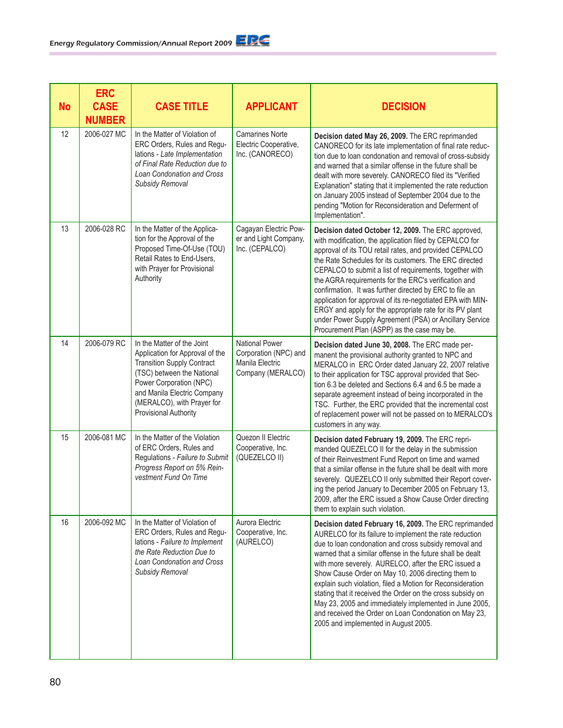| <b>No</b> | <b>ERC</b><br><b>CASE</b><br><b>NUMBER</b> | <b>CASE TITLE</b>                                                                                                                                                                                                                                 | <b>APPLICANT</b>                                                                       | <b>DECISION</b>                                                                                                                                                                                                                                                                                                                                                                                                                                                                                                                                                                                                                                      |
|-----------|--------------------------------------------|---------------------------------------------------------------------------------------------------------------------------------------------------------------------------------------------------------------------------------------------------|----------------------------------------------------------------------------------------|------------------------------------------------------------------------------------------------------------------------------------------------------------------------------------------------------------------------------------------------------------------------------------------------------------------------------------------------------------------------------------------------------------------------------------------------------------------------------------------------------------------------------------------------------------------------------------------------------------------------------------------------------|
| 12        | 2006-027 MC                                | In the Matter of Violation of<br>ERC Orders, Rules and Regu-<br>lations - Late Implementation<br>of Final Rate Reduction due to<br>Loan Condonation and Cross<br>Subsidy Removal                                                                  | <b>Camarines Norte</b><br>Electric Cooperative,<br>Inc. (CANORECO)                     | Decision dated May 26, 2009. The ERC reprimanded<br>CANORECO for its late implementation of final rate reduc-<br>tion due to loan condonation and removal of cross-subsidy<br>and warned that a similar offense in the future shall be<br>dealt with more severely. CANORECO filed its "Verified<br>Explanation" stating that it implemented the rate reduction<br>on January 2005 instead of September 2004 due to the<br>pending "Motion for Reconsideration and Deferment of<br>Implementation".                                                                                                                                                  |
| 13        | 2006-028 RC                                | In the Matter of the Applica-<br>tion for the Approval of the<br>Proposed Time-Of-Use (TOU)<br>Retail Rates to End-Users,<br>with Prayer for Provisional<br>Authority                                                                             | Cagayan Electric Pow-<br>er and Light Company,<br>Inc. (CEPALCO)                       | Decision dated October 12, 2009. The ERC approved,<br>with modification, the application filed by CEPALCO for<br>approval of its TOU retail rates, and provided CEPALCO<br>the Rate Schedules for its customers. The ERC directed<br>CEPALCO to submit a list of requirements, together with<br>the AGRA requirements for the ERC's verification and<br>confirmation. It was further directed by ERC to file an<br>application for approval of its re-negotiated EPA with MIN-<br>ERGY and apply for the appropriate rate for its PV plant<br>under Power Supply Agreement (PSA) or Ancillary Service<br>Procurement Plan (ASPP) as the case may be. |
| 14        | 2006-079 RC                                | In the Matter of the Joint<br>Application for Approval of the<br><b>Transition Supply Contract</b><br>(TSC) between the National<br>Power Corporation (NPC)<br>and Manila Electric Company<br>(MERALCO), with Prayer for<br>Provisional Authority | <b>National Power</b><br>Corporation (NPC) and<br>Manila Electric<br>Company (MERALCO) | Decision dated June 30, 2008. The ERC made per-<br>manent the provisional authority granted to NPC and<br>MERALCO in ERC Order dated January 22, 2007 relative<br>to their application for TSC approval provided that Sec-<br>tion 6.3 be deleted and Sections 6.4 and 6.5 be made a<br>separate agreement instead of being incorporated in the<br>TSC. Further, the ERC provided that the incremental cost<br>of replacement power will not be passed on to MERALCO's<br>customers in any way.                                                                                                                                                      |
| 15        | 2006-081 MC                                | In the Matter of the Violation<br>of ERC Orders, Rules and<br>Regulations - Failure to Submit<br>Progress Report on 5% Rein-<br>vestment Fund On Time                                                                                             | Quezon II Electric<br>Cooperative, Inc.<br>(QUEZELCO II)                               | Decision dated February 19, 2009. The ERC repri-<br>manded QUEZELCO II for the delay in the submission<br>of their Reinvestment Fund Report on time and warned<br>that a similar offense in the future shall be dealt with more<br>severely. QUEZELCO II only submitted their Report cover-<br>ing the period January to December 2005 on February 13,<br>2009, after the ERC issued a Show Cause Order directing<br>them to explain such violation.                                                                                                                                                                                                 |
| 16        | 2006-092 MC                                | In the Matter of Violation of<br>ERC Orders, Rules and Regu-<br>lations - Failure to Implement<br>the Rate Reduction Due to<br>Loan Condonation and Cross<br><b>Subsidy Removal</b>                                                               | Aurora Electric<br>Cooperative, Inc.<br>(AURELCO)                                      | Decision dated February 16, 2009. The ERC reprimanded<br>AURELCO for its failure to implement the rate reduction<br>due to loan condonation and cross subsidy removal and<br>warned that a similar offense in the future shall be dealt<br>with more severely. AURELCO, after the ERC issued a<br>Show Cause Order on May 10, 2006 directing them to<br>explain such violation, filed a Motion for Reconsideration<br>stating that it received the Order on the cross subsidy on<br>May 23, 2005 and immediately implemented in June 2005,<br>and received the Order on Loan Condonation on May 23,<br>2005 and implemented in August 2005.          |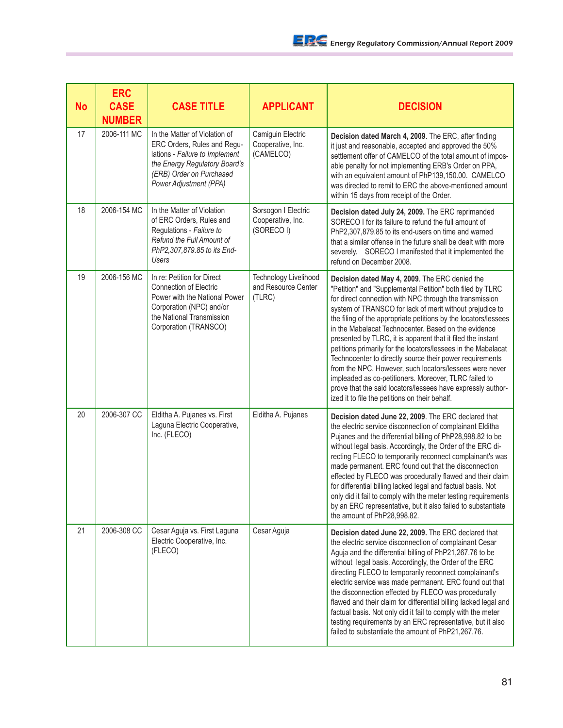| No | <b>ERC</b><br><b>CASE</b><br><b>NUMBER</b> | <b>CASE TITLE</b>                                                                                                                                                                     | <b>APPLICANT</b>                                       | <b>DECISION</b>                                                                                                                                                                                                                                                                                                                                                                                                                                                                                                                                                                                                                                                                                                                                                                                |
|----|--------------------------------------------|---------------------------------------------------------------------------------------------------------------------------------------------------------------------------------------|--------------------------------------------------------|------------------------------------------------------------------------------------------------------------------------------------------------------------------------------------------------------------------------------------------------------------------------------------------------------------------------------------------------------------------------------------------------------------------------------------------------------------------------------------------------------------------------------------------------------------------------------------------------------------------------------------------------------------------------------------------------------------------------------------------------------------------------------------------------|
| 17 | 2006-111 MC                                | In the Matter of Violation of<br>ERC Orders, Rules and Regu-<br>lations - Failure to Implement<br>the Energy Regulatory Board's<br>(ERB) Order on Purchased<br>Power Adjustment (PPA) | Camiguin Electric<br>Cooperative, Inc.<br>(CAMELCO)    | Decision dated March 4, 2009. The ERC, after finding<br>it just and reasonable, accepted and approved the 50%<br>settlement offer of CAMELCO of the total amount of impos-<br>able penalty for not implementing ERB's Order on PPA,<br>with an equivalent amount of PhP139,150.00. CAMELCO<br>was directed to remit to ERC the above-mentioned amount<br>within 15 days from receipt of the Order.                                                                                                                                                                                                                                                                                                                                                                                             |
| 18 | 2006-154 MC                                | In the Matter of Violation<br>of ERC Orders, Rules and<br>Regulations - Failure to<br>Refund the Full Amount of<br>PhP2,307,879.85 to its End-<br><b>Users</b>                        | Sorsogon I Electric<br>Cooperative, Inc.<br>(SORECO I) | Decision dated July 24, 2009. The ERC reprimanded<br>SORECO I for its failure to refund the full amount of<br>PhP2,307,879.85 to its end-users on time and warned<br>that a similar offense in the future shall be dealt with more<br>severely. SORECO I manifested that it implemented the<br>refund on December 2008.                                                                                                                                                                                                                                                                                                                                                                                                                                                                        |
| 19 | 2006-156 MC                                | In re: Petition for Direct<br><b>Connection of Electric</b><br>Power with the National Power<br>Corporation (NPC) and/or<br>the National Transmission<br>Corporation (TRANSCO)        | Technology Livelihood<br>and Resource Center<br>(TLRC) | Decision dated May 4, 2009. The ERC denied the<br>"Petition" and "Supplemental Petition" both filed by TLRC<br>for direct connection with NPC through the transmission<br>system of TRANSCO for lack of merit without prejudice to<br>the filing of the appropriate petitions by the locators/lessees<br>in the Mabalacat Technocenter. Based on the evidence<br>presented by TLRC, it is apparent that it filed the instant<br>petitions primarily for the locators/lessees in the Mabalacat<br>Technocenter to directly source their power requirements<br>from the NPC. However, such locators/lessees were never<br>impleaded as co-petitioners. Moreover, TLRC failed to<br>prove that the said locators/lessees have expressly author-<br>ized it to file the petitions on their behalf. |
| 20 | 2006-307 CC                                | Elditha A. Pujanes vs. First<br>Laguna Electric Cooperative,<br>Inc. (FLECO)                                                                                                          | Elditha A. Pujanes                                     | Decision dated June 22, 2009. The ERC declared that<br>the electric service disconnection of complainant Elditha<br>Pujanes and the differential billing of PhP28,998.82 to be<br>without legal basis. Accordingly, the Order of the ERC di-<br>recting FLECO to temporarily reconnect complainant's was<br>made permanent. ERC found out that the disconnection<br>effected by FLECO was procedurally flawed and their claim<br>for differential billing lacked legal and factual basis. Not<br>only did it fail to comply with the meter testing requirements<br>by an ERC representative, but it also failed to substantiate<br>the amount of PhP28,998.82.                                                                                                                                 |
| 21 | 2006-308 CC                                | Cesar Aguja vs. First Laguna<br>Electric Cooperative, Inc.<br>(FLECO)                                                                                                                 | Cesar Aguja                                            | Decision dated June 22, 2009. The ERC declared that<br>the electric service disconnection of complainant Cesar<br>Aguja and the differential billing of PhP21,267.76 to be<br>without legal basis. Accordingly, the Order of the ERC<br>directing FLECO to temporarily reconnect complainant's<br>electric service was made permanent. ERC found out that<br>the disconnection effected by FLECO was procedurally<br>flawed and their claim for differential billing lacked legal and<br>factual basis. Not only did it fail to comply with the meter<br>testing requirements by an ERC representative, but it also<br>failed to substantiate the amount of PhP21,267.76.                                                                                                                      |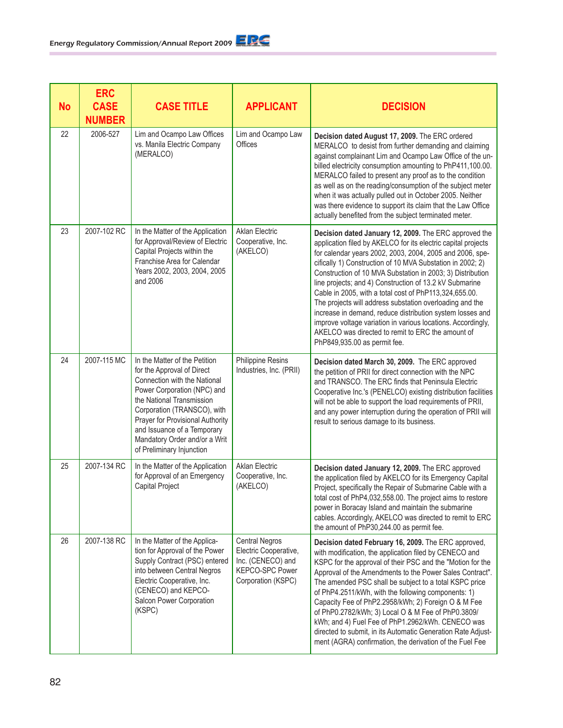| <b>No</b> | <b>ERC</b><br><b>CASE</b><br><b>NUMBER</b> | <b>CASE TITLE</b>                                                                                                                                                                                                                                                                                                       | <b>APPLICANT</b>                                                                                             | <b>DECISION</b>                                                                                                                                                                                                                                                                                                                                                                                                                                                                                                                                                                                                                                                                                                   |
|-----------|--------------------------------------------|-------------------------------------------------------------------------------------------------------------------------------------------------------------------------------------------------------------------------------------------------------------------------------------------------------------------------|--------------------------------------------------------------------------------------------------------------|-------------------------------------------------------------------------------------------------------------------------------------------------------------------------------------------------------------------------------------------------------------------------------------------------------------------------------------------------------------------------------------------------------------------------------------------------------------------------------------------------------------------------------------------------------------------------------------------------------------------------------------------------------------------------------------------------------------------|
| 22        | 2006-527                                   | Lim and Ocampo Law Offices<br>vs. Manila Electric Company<br>(MERALCO)                                                                                                                                                                                                                                                  | Lim and Ocampo Law<br>Offices                                                                                | Decision dated August 17, 2009. The ERC ordered<br>MERALCO to desist from further demanding and claiming<br>against complainant Lim and Ocampo Law Office of the un-<br>billed electricity consumption amounting to PhP411,100.00.<br>MERALCO failed to present any proof as to the condition<br>as well as on the reading/consumption of the subject meter<br>when it was actually pulled out in October 2005. Neither<br>was there evidence to support its claim that the Law Office<br>actually benefited from the subject terminated meter.                                                                                                                                                                   |
| 23        | 2007-102 RC                                | In the Matter of the Application<br>for Approval/Review of Electric<br>Capital Projects within the<br>Franchise Area for Calendar<br>Years 2002, 2003, 2004, 2005<br>and 2006                                                                                                                                           | <b>Aklan Electric</b><br>Cooperative, Inc.<br>(AKELCO)                                                       | Decision dated January 12, 2009. The ERC approved the<br>application filed by AKELCO for its electric capital projects<br>for calendar years 2002, 2003, 2004, 2005 and 2006, spe-<br>cifically 1) Construction of 10 MVA Substation in 2002; 2)<br>Construction of 10 MVA Substation in 2003; 3) Distribution<br>line projects; and 4) Construction of 13.2 kV Submarine<br>Cable in 2005, with a total cost of PhP113,324,655.00.<br>The projects will address substation overloading and the<br>increase in demand, reduce distribution system losses and<br>improve voltage variation in various locations. Accordingly,<br>AKELCO was directed to remit to ERC the amount of<br>PhP849,935.00 as permit fee. |
| 24        | 2007-115 MC                                | In the Matter of the Petition<br>for the Approval of Direct<br>Connection with the National<br>Power Corporation (NPC) and<br>the National Transmission<br>Corporation (TRANSCO), with<br>Prayer for Provisional Authority<br>and Issuance of a Temporary<br>Mandatory Order and/or a Writ<br>of Preliminary Injunction | Philippine Resins<br>Industries, Inc. (PRII)                                                                 | Decision dated March 30, 2009. The ERC approved<br>the petition of PRII for direct connection with the NPC<br>and TRANSCO. The ERC finds that Peninsula Electric<br>Cooperative Inc.'s (PENELCO) existing distribution facilities<br>will not be able to support the load requirements of PRII,<br>and any power interruption during the operation of PRII will<br>result to serious damage to its business.                                                                                                                                                                                                                                                                                                      |
| 25        | 2007-134 RC                                | In the Matter of the Application<br>for Approval of an Emergency<br>Capital Project                                                                                                                                                                                                                                     | <b>Aklan Electric</b><br>Cooperative, Inc.<br>(AKELCO)                                                       | Decision dated January 12, 2009. The ERC approved<br>the application filed by AKELCO for its Emergency Capital<br>Project, specifically the Repair of Submarine Cable with a<br>total cost of PhP4,032,558.00. The project aims to restore<br>power in Boracay Island and maintain the submarine<br>cables. Accordingly, AKELCO was directed to remit to ERC<br>the amount of PhP30,244.00 as permit fee.                                                                                                                                                                                                                                                                                                         |
| 26        | 2007-138 RC                                | In the Matter of the Applica-<br>tion for Approval of the Power<br>Supply Contract (PSC) entered<br>into between Central Negros<br>Electric Cooperative, Inc.<br>(CENECO) and KEPCO-<br>Salcon Power Corporation<br>(KSPC)                                                                                              | <b>Central Negros</b><br>Electric Cooperative,<br>Inc. (CENECO) and<br>KEPCO-SPC Power<br>Corporation (KSPC) | Decision dated February 16, 2009. The ERC approved,<br>with modification, the application filed by CENECO and<br>KSPC for the approval of their PSC and the "Motion for the<br>Approval of the Amendments to the Power Sales Contract".<br>The amended PSC shall be subject to a total KSPC price<br>of PhP4.2511/kWh, with the following components: 1)<br>Capacity Fee of PhP2.2958/kWh; 2) Foreign O & M Fee<br>of PhP0.2782/kWh; 3) Local O & M Fee of PhP0.3809/<br>kWh; and 4) Fuel Fee of PhP1.2962/kWh. CENECO was<br>directed to submit, in its Automatic Generation Rate Adjust-<br>ment (AGRA) confirmation, the derivation of the Fuel Fee                                                            |

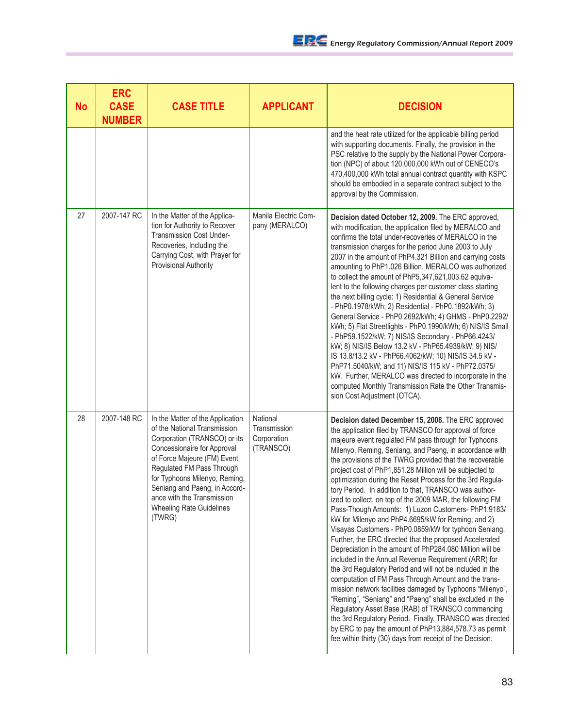| <b>No</b> | <b>ERC</b><br><b>CASE</b><br><b>NUMBER</b> | <b>CASE TITLE</b>                                                                                                                                                                                                                                                                                                                 | <b>APPLICANT</b>                                     | <b>DECISION</b>                                                                                                                                                                                                                                                                                                                                                                                                                                                                                                                                                                                                                                                                                                                                                                                                                                                                                                                                                                                                                                                                                                                                                                                                                                                                                                                                                                       |
|-----------|--------------------------------------------|-----------------------------------------------------------------------------------------------------------------------------------------------------------------------------------------------------------------------------------------------------------------------------------------------------------------------------------|------------------------------------------------------|---------------------------------------------------------------------------------------------------------------------------------------------------------------------------------------------------------------------------------------------------------------------------------------------------------------------------------------------------------------------------------------------------------------------------------------------------------------------------------------------------------------------------------------------------------------------------------------------------------------------------------------------------------------------------------------------------------------------------------------------------------------------------------------------------------------------------------------------------------------------------------------------------------------------------------------------------------------------------------------------------------------------------------------------------------------------------------------------------------------------------------------------------------------------------------------------------------------------------------------------------------------------------------------------------------------------------------------------------------------------------------------|
|           |                                            |                                                                                                                                                                                                                                                                                                                                   |                                                      | and the heat rate utilized for the applicable billing period<br>with supporting documents. Finally, the provision in the<br>PSC relative to the supply by the National Power Corpora-<br>tion (NPC) of about 120,000,000 kWh out of CENECO's<br>470,400,000 kWh total annual contract quantity with KSPC<br>should be embodied in a separate contract subject to the<br>approval by the Commission.                                                                                                                                                                                                                                                                                                                                                                                                                                                                                                                                                                                                                                                                                                                                                                                                                                                                                                                                                                                   |
| 27        | 2007-147 RC                                | In the Matter of the Applica-<br>tion for Authority to Recover<br><b>Transmission Cost Under-</b><br>Recoveries, Including the<br>Carrying Cost, with Prayer for<br><b>Provisional Authority</b>                                                                                                                                  | Manila Electric Com-<br>pany (MERALCO)               | Decision dated October 12, 2009. The ERC approved,<br>with modification, the application filed by MERALCO and<br>confirms the total under-recoveries of MERALCO in the<br>transmission charges for the period June 2003 to July<br>2007 in the amount of PhP4.321 Billion and carrying costs<br>amounting to PhP1.026 Billion. MERALCO was authorized<br>to collect the amount of PhP5,347,621,003.62 equiva-<br>lent to the following charges per customer class starting<br>the next billing cycle: 1) Residential & General Service<br>- PhP0.1978/kWh; 2) Residential - PhP0.1892/kWh; 3)<br>General Service - PhP0.2692/kWh; 4) GHMS - PhP0.2292/<br>kWh; 5) Flat Streetlights - PhP0.1990/kWh; 6) NIS/IS Small<br>- PhP59.1522/kW; 7) NIS/IS Secondary - PhP66.4243/<br>kW; 8) NIS/IS Below 13.2 kV - PhP65.4939/kW; 9) NIS/<br>IS 13.8/13.2 kV - PhP66.4062/kW; 10) NIS/IS 34.5 kV -<br>PhP71.5040/kW; and 11) NIS/IS 115 kV - PhP72.0375/<br>kW. Further, MERALCO was directed to incorporate in the<br>computed Monthly Transmission Rate the Other Transmis-<br>sion Cost Adjustment (OTCA).                                                                                                                                                                                                                                                                                |
| 28        | 2007-148 RC                                | In the Matter of the Application<br>of the National Transmission<br>Corporation (TRANSCO) or its<br>Concessionaire for Approval<br>of Force Majeure (FM) Event<br>Regulated FM Pass Through<br>for Typhoons Milenyo, Reming,<br>Seniang and Paeng, in Accord-<br>ance with the Transmission<br>Wheeling Rate Guidelines<br>(TWRG) | National<br>Transmission<br>Corporation<br>(TRANSCO) | Decision dated December 15, 2008. The ERC approved<br>the application filed by TRANSCO for approval of force<br>majeure event regulated FM pass through for Typhoons<br>Milenyo, Reming, Seniang, and Paeng, in accordance with<br>the provisions of the TWRG provided that the recoverable<br>project cost of PhP1,851.28 Million will be subjected to<br>optimization during the Reset Process for the 3rd Regula-<br>tory Period. In addition to that, TRANSCO was author-<br>ized to collect, on top of the 2009 MAR, the following FM<br>Pass-Though Amounts: 1) Luzon Customers- PhP1.9183/<br>kW for Milenyo and PhP4.6695/kW for Reming; and 2)<br>Visayas Customers - PhP0.0859/kW for typhoon Seniang.<br>Further, the ERC directed that the proposed Accelerated<br>Depreciation in the amount of PhP284.080 Million will be<br>included in the Annual Revenue Requirement (ARR) for<br>the 3rd Regulatory Period and will not be included in the<br>computation of FM Pass Through Amount and the trans-<br>mission network facilities damaged by Typhoons "Milenyo",<br>"Reming", "Seniang" and "Paeng" shall be excluded in the<br>Regulatory Asset Base (RAB) of TRANSCO commencing<br>the 3rd Regulatory Period. Finally, TRANSCO was directed<br>by ERC to pay the amount of PhP13,884,578.73 as permit<br>fee within thirty (30) days from receipt of the Decision. |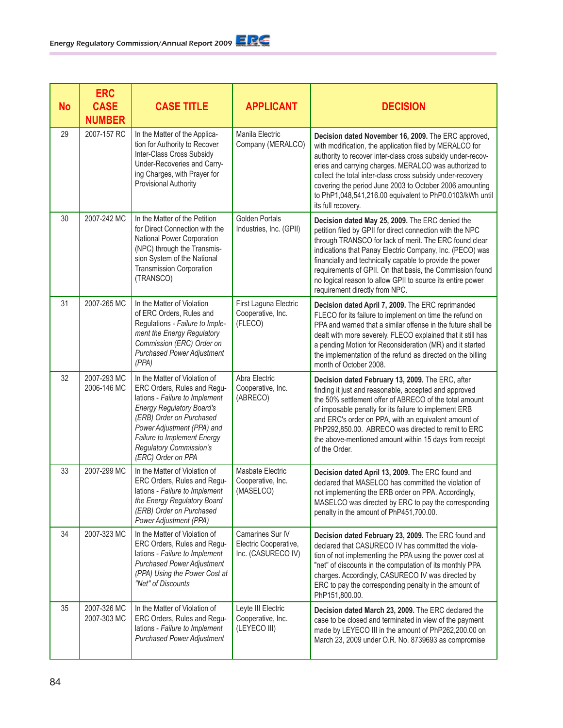| No | <b>ERC</b><br><b>CASE</b><br><b>NUMBER</b> | <b>CASE TITLE</b>                                                                                                                                                                                                                                                                   | <b>APPLICANT</b>                                                | <b>DECISION</b>                                                                                                                                                                                                                                                                                                                                                                                                                                             |
|----|--------------------------------------------|-------------------------------------------------------------------------------------------------------------------------------------------------------------------------------------------------------------------------------------------------------------------------------------|-----------------------------------------------------------------|-------------------------------------------------------------------------------------------------------------------------------------------------------------------------------------------------------------------------------------------------------------------------------------------------------------------------------------------------------------------------------------------------------------------------------------------------------------|
| 29 | 2007-157 RC                                | In the Matter of the Applica-<br>tion for Authority to Recover<br>Inter-Class Cross Subsidy<br>Under-Recoveries and Carry-<br>ing Charges, with Prayer for<br>Provisional Authority                                                                                                 | Manila Electric<br>Company (MERALCO)                            | Decision dated November 16, 2009. The ERC approved,<br>with modification, the application filed by MERALCO for<br>authority to recover inter-class cross subsidy under-recov-<br>eries and carrying charges. MERALCO was authorized to<br>collect the total inter-class cross subsidy under-recovery<br>covering the period June 2003 to October 2006 amounting<br>to PhP1,048,541,216.00 equivalent to PhP0.0103/kWh until<br>its full recovery.           |
| 30 | 2007-242 MC                                | In the Matter of the Petition<br>for Direct Connection with the<br>National Power Corporation<br>(NPC) through the Transmis-<br>sion System of the National<br><b>Transmission Corporation</b><br>(TRANSCO)                                                                         | <b>Golden Portals</b><br>Industries, Inc. (GPII)                | Decision dated May 25, 2009. The ERC denied the<br>petition filed by GPII for direct connection with the NPC<br>through TRANSCO for lack of merit. The ERC found clear<br>indications that Panay Electric Company, Inc. (PECO) was<br>financially and technically capable to provide the power<br>requirements of GPII. On that basis, the Commission found<br>no logical reason to allow GPII to source its entire power<br>requirement directly from NPC. |
| 31 | 2007-265 MC                                | In the Matter of Violation<br>of ERC Orders, Rules and<br>Regulations - Failure to Imple-<br>ment the Energy Regulatory<br>Commission (ERC) Order on<br><b>Purchased Power Adjustment</b><br>(PPA)                                                                                  | First Laguna Electric<br>Cooperative, Inc.<br>(FLECO)           | Decision dated April 7, 2009. The ERC reprimanded<br>FLECO for its failure to implement on time the refund on<br>PPA and warned that a similar offense in the future shall be<br>dealt with more severely. FLECO explained that it still has<br>a pending Motion for Reconsideration (MR) and it started<br>the implementation of the refund as directed on the billing<br>month of October 2008.                                                           |
| 32 | 2007-293 MC<br>2006-146 MC                 | In the Matter of Violation of<br>ERC Orders, Rules and Regu-<br>lations - Failure to Implement<br><b>Energy Regulatory Board's</b><br>(ERB) Order on Purchased<br>Power Adjustment (PPA) and<br>Failure to Implement Energy<br><b>Regulatory Commission's</b><br>(ERC) Order on PPA | Abra Electric<br>Cooperative, Inc.<br>(ABRECO)                  | Decision dated February 13, 2009. The ERC, after<br>finding it just and reasonable, accepted and approved<br>the 50% settlement offer of ABRECO of the total amount<br>of imposable penalty for its failure to implement ERB<br>and ERC's order on PPA, with an equivalent amount of<br>PhP292,850.00. ABRECO was directed to remit to ERC<br>the above-mentioned amount within 15 days from receipt<br>of the Order.                                       |
| 33 | 2007-299 MC                                | In the Matter of Violation of<br>ERC Orders, Rules and Regu-<br>lations - Failure to Implement<br>the Energy Regulatory Board<br>(ERB) Order on Purchased<br>Power Adjustment (PPA)                                                                                                 | Masbate Electric<br>Cooperative, Inc.<br>(MASELCO)              | Decision dated April 13, 2009. The ERC found and<br>declared that MASELCO has committed the violation of<br>not implementing the ERB order on PPA. Accordingly,<br>MASELCO was directed by ERC to pay the corresponding<br>penalty in the amount of PhP451,700.00.                                                                                                                                                                                          |
| 34 | 2007-323 MC                                | In the Matter of Violation of<br>ERC Orders, Rules and Regu-<br>lations - Failure to Implement<br><b>Purchased Power Adjustment</b><br>(PPA) Using the Power Cost at<br>"Net" of Discounts                                                                                          | Camarines Sur IV<br>Electric Cooperative,<br>Inc. (CASURECO IV) | Decision dated February 23, 2009. The ERC found and<br>declared that CASURECO IV has committed the viola-<br>tion of not implementing the PPA using the power cost at<br>"net" of discounts in the computation of its monthly PPA<br>charges. Accordingly, CASURECO IV was directed by<br>ERC to pay the corresponding penalty in the amount of<br>PhP151,800.00.                                                                                           |
| 35 | 2007-326 MC<br>2007-303 MC                 | In the Matter of Violation of<br>ERC Orders, Rules and Regu-<br>lations - Failure to Implement<br><b>Purchased Power Adjustment</b>                                                                                                                                                 | Leyte III Electric<br>Cooperative, Inc.<br>(LEYECO III)         | Decision dated March 23, 2009. The ERC declared the<br>case to be closed and terminated in view of the payment<br>made by LEYECO III in the amount of PhP262,200.00 on<br>March 23, 2009 under O.R. No. 8739693 as compromise                                                                                                                                                                                                                               |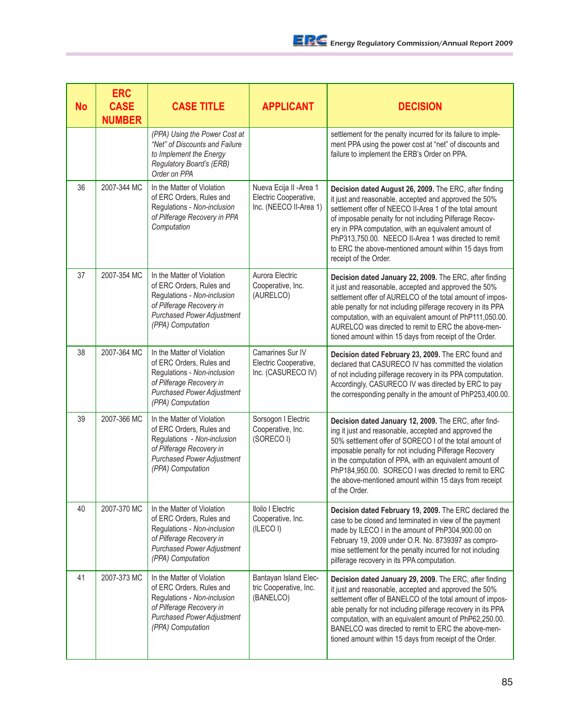| <b>No</b> | <b>ERC</b><br><b>CASE</b><br><b>NUMBER</b> | <b>CASE TITLE</b>                                                                                                                                                           | <b>APPLICANT</b>                                                           | <b>DECISION</b>                                                                                                                                                                                                                                                                                                                                                                                                                         |
|-----------|--------------------------------------------|-----------------------------------------------------------------------------------------------------------------------------------------------------------------------------|----------------------------------------------------------------------------|-----------------------------------------------------------------------------------------------------------------------------------------------------------------------------------------------------------------------------------------------------------------------------------------------------------------------------------------------------------------------------------------------------------------------------------------|
|           |                                            | (PPA) Using the Power Cost at<br>"Net" of Discounts and Failure<br>to Implement the Energy<br>Regulatory Board's (ERB)<br>Order on PPA                                      |                                                                            | settlement for the penalty incurred for its failure to imple-<br>ment PPA using the power cost at "net" of discounts and<br>failure to implement the ERB's Order on PPA.                                                                                                                                                                                                                                                                |
| 36        | 2007-344 MC                                | In the Matter of Violation<br>of ERC Orders, Rules and<br>Regulations - Non-inclusion<br>of Pilferage Recovery in PPA<br>Computation                                        | Nueva Ecija II - Area 1<br>Electric Cooperative,<br>Inc. (NEECO II-Area 1) | Decision dated August 26, 2009. The ERC, after finding<br>it just and reasonable, accepted and approved the 50%<br>settlement offer of NEECO II-Area 1 of the total amount<br>of imposable penalty for not including Pilferage Recov-<br>ery in PPA computation, with an equivalent amount of<br>PhP313,750.00. NEECO II-Area 1 was directed to remit<br>to ERC the above-mentioned amount within 15 days from<br>receipt of the Order. |
| 37        | 2007-354 MC                                | In the Matter of Violation<br>of ERC Orders, Rules and<br>Regulations - Non-inclusion<br>of Pilferage Recovery in<br><b>Purchased Power Adjustment</b><br>(PPA) Computation | Aurora Electric<br>Cooperative, Inc.<br>(AURELCO)                          | Decision dated January 22, 2009. The ERC, after finding<br>it just and reasonable, accepted and approved the 50%<br>settlement offer of AURELCO of the total amount of impos-<br>able penalty for not including pilferage recovery in its PPA<br>computation, with an equivalent amount of PhP111,050.00.<br>AURELCO was directed to remit to ERC the above-men-<br>tioned amount within 15 days from receipt of the Order.             |
| 38        | 2007-364 MC                                | In the Matter of Violation<br>of ERC Orders, Rules and<br>Regulations - Non-inclusion<br>of Pilferage Recovery in<br><b>Purchased Power Adjustment</b><br>(PPA) Computation | Camarines Sur IV<br>Electric Cooperative,<br>Inc. (CASURECO IV)            | Decision dated February 23, 2009. The ERC found and<br>declared that CASURECO IV has committed the violation<br>of not including pilferage recovery in its PPA computation.<br>Accordingly, CASURECO IV was directed by ERC to pay<br>the corresponding penalty in the amount of PhP253,400.00.                                                                                                                                         |
| 39        | 2007-366 MC                                | In the Matter of Violation<br>of ERC Orders, Rules and<br>Regulations - Non-inclusion<br>of Pilferage Recovery in<br><b>Purchased Power Adjustment</b><br>(PPA) Computation | Sorsogon I Electric<br>Cooperative, Inc.<br>(SORECO I)                     | Decision dated January 12, 2009. The ERC, after find-<br>ing it just and reasonable, accepted and approved the<br>50% settlement offer of SORECO I of the total amount of<br>imposable penalty for not including Pilferage Recovery<br>in the computation of PPA, with an equivalent amount of<br>PhP184,950.00. SORECO I was directed to remit to ERC<br>the above-mentioned amount within 15 days from receipt<br>of the Order.       |
| 40        | 2007-370 MC                                | In the Matter of Violation<br>of ERC Orders, Rules and<br>Regulations - Non-inclusion<br>of Pilferage Recovery in<br><b>Purchased Power Adjustment</b><br>(PPA) Computation | Iloilo I Electric<br>Cooperative, Inc.<br>(ILECO I)                        | Decision dated February 19, 2009. The ERC declared the<br>case to be closed and terminated in view of the payment<br>made by ILECO I in the amount of PhP304,900.00 on<br>February 19, 2009 under O.R. No. 8739397 as compro-<br>mise settlement for the penalty incurred for not including<br>pilferage recovery in its PPA computation.                                                                                               |
| 41        | 2007-373 MC                                | In the Matter of Violation<br>of ERC Orders, Rules and<br>Regulations - Non-inclusion<br>of Pilferage Recovery in<br><b>Purchased Power Adjustment</b><br>(PPA) Computation | Bantayan Island Elec-<br>tric Cooperative, Inc.<br>(BANELCO)               | Decision dated January 29, 2009. The ERC, after finding<br>it just and reasonable, accepted and approved the 50%<br>settlement offer of BANELCO of the total amount of impos-<br>able penalty for not including pilferage recovery in its PPA<br>computation, with an equivalent amount of PhP62,250.00.<br>BANELCO was directed to remit to ERC the above-men-<br>tioned amount within 15 days from receipt of the Order.              |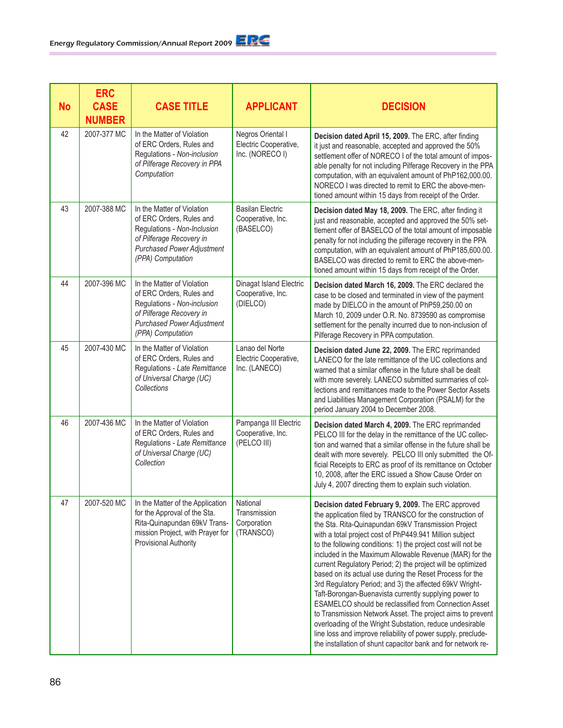| <b>No</b> | <b>ERC</b><br><b>CASE</b><br><b>NUMBER</b> | <b>CASE TITLE</b>                                                                                                                                                           | <b>APPLICANT</b>                                              | <b>DECISION</b>                                                                                                                                                                                                                                                                                                                                                                                                                                                                                                                                                                                                                                                                                                                                                                                                                                                                                                              |
|-----------|--------------------------------------------|-----------------------------------------------------------------------------------------------------------------------------------------------------------------------------|---------------------------------------------------------------|------------------------------------------------------------------------------------------------------------------------------------------------------------------------------------------------------------------------------------------------------------------------------------------------------------------------------------------------------------------------------------------------------------------------------------------------------------------------------------------------------------------------------------------------------------------------------------------------------------------------------------------------------------------------------------------------------------------------------------------------------------------------------------------------------------------------------------------------------------------------------------------------------------------------------|
| 42        | 2007-377 MC                                | In the Matter of Violation<br>of ERC Orders, Rules and<br>Regulations - Non-inclusion<br>of Pilferage Recovery in PPA<br>Computation                                        | Negros Oriental I<br>Electric Cooperative,<br>Inc. (NORECO I) | Decision dated April 15, 2009. The ERC, after finding<br>it just and reasonable, accepted and approved the 50%<br>settlement offer of NORECO I of the total amount of impos-<br>able penalty for not including Pilferage Recovery in the PPA<br>computation, with an equivalent amount of PhP162,000.00.<br>NORECO I was directed to remit to ERC the above-men-<br>tioned amount within 15 days from receipt of the Order.                                                                                                                                                                                                                                                                                                                                                                                                                                                                                                  |
| 43        | 2007-388 MC                                | In the Matter of Violation<br>of ERC Orders, Rules and<br>Regulations - Non-Inclusion<br>of Pilferage Recovery in<br><b>Purchased Power Adjustment</b><br>(PPA) Computation | <b>Basilan Electric</b><br>Cooperative, Inc.<br>(BASELCO)     | Decision dated May 18, 2009. The ERC, after finding it<br>just and reasonable, accepted and approved the 50% set-<br>tlement offer of BASELCO of the total amount of imposable<br>penalty for not including the pilferage recovery in the PPA<br>computation, with an equivalent amount of PhP185,600.00.<br>BASELCO was directed to remit to ERC the above-men-<br>tioned amount within 15 days from receipt of the Order.                                                                                                                                                                                                                                                                                                                                                                                                                                                                                                  |
| 44        | 2007-396 MC                                | In the Matter of Violation<br>of ERC Orders, Rules and<br>Regulations - Non-inclusion<br>of Pilferage Recovery in<br><b>Purchased Power Adjustment</b><br>(PPA) Computation | Dinagat Island Electric<br>Cooperative, Inc.<br>(DIELCO)      | Decision dated March 16, 2009. The ERC declared the<br>case to be closed and terminated in view of the payment<br>made by DIELCO in the amount of PhP59,250.00 on<br>March 10, 2009 under O.R. No. 8739590 as compromise<br>settlement for the penalty incurred due to non-inclusion of<br>Pilferage Recovery in PPA computation.                                                                                                                                                                                                                                                                                                                                                                                                                                                                                                                                                                                            |
| 45        | 2007-430 MC                                | In the Matter of Violation<br>of ERC Orders, Rules and<br>Regulations - Late Remittance<br>of Universal Charge (UC)<br>Collections                                          | Lanao del Norte<br>Electric Cooperative,<br>Inc. (LANECO)     | Decision dated June 22, 2009. The ERC reprimanded<br>LANECO for the late remittance of the UC collections and<br>warned that a similar offense in the future shall be dealt<br>with more severely. LANECO submitted summaries of col-<br>lections and remittances made to the Power Sector Assets<br>and Liabilities Management Corporation (PSALM) for the<br>period January 2004 to December 2008.                                                                                                                                                                                                                                                                                                                                                                                                                                                                                                                         |
| 46        | 2007-436 MC                                | In the Matter of Violation<br>of ERC Orders, Rules and<br>Regulations - Late Remittance<br>of Universal Charge (UC)<br>Collection                                           | Pampanga III Electric<br>Cooperative, Inc.<br>(PELCO III)     | Decision dated March 4, 2009. The ERC reprimanded<br>PELCO III for the delay in the remittance of the UC collec-<br>tion and warned that a similar offense in the future shall be<br>dealt with more severely. PELCO III only submitted the Of-<br>ficial Receipts to ERC as proof of its remittance on October<br>10, 2008, after the ERC issued a Show Cause Order on<br>July 4, 2007 directing them to explain such violation.                                                                                                                                                                                                                                                                                                                                                                                                                                                                                            |
| 47        | 2007-520 MC                                | In the Matter of the Application<br>for the Approval of the Sta.<br>Rita-Quinapundan 69kV Trans-<br>mission Project, with Prayer for<br>Provisional Authority               | National<br>Transmission<br>Corporation<br>(TRANSCO)          | Decision dated February 9, 2009. The ERC approved<br>the application filed by TRANSCO for the construction of<br>the Sta. Rita-Quinapundan 69kV Transmission Project<br>with a total project cost of PhP449.941 Million subject<br>to the following conditions: 1) the project cost will not be<br>included in the Maximum Allowable Revenue (MAR) for the<br>current Regulatory Period; 2) the project will be optimized<br>based on its actual use during the Reset Process for the<br>3rd Regulatory Period; and 3) the affected 69kV Wright-<br>Taft-Borongan-Buenavista currently supplying power to<br>ESAMELCO should be reclassified from Connection Asset<br>to Transmission Network Asset. The project aims to prevent<br>overloading of the Wright Substation, reduce undesirable<br>line loss and improve reliability of power supply, preclude-<br>the installation of shunt capacitor bank and for network re- |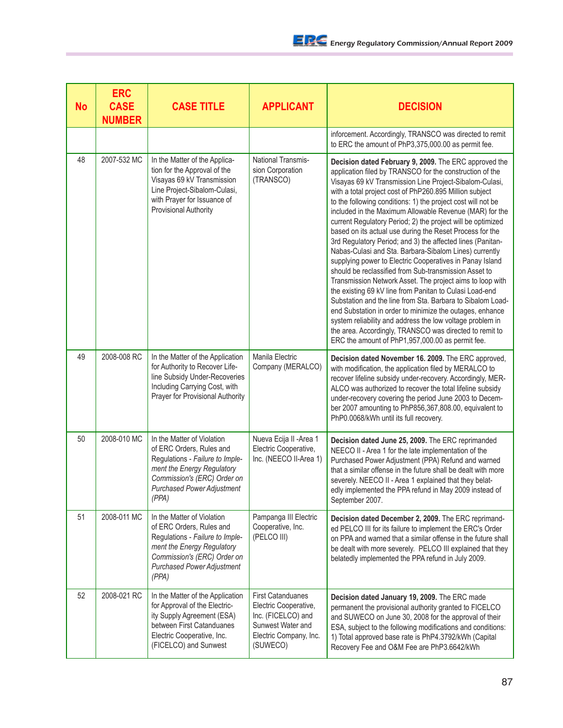| No | <b>ERC</b><br><b>CASE</b><br><b>NUMBER</b> | <b>CASE TITLE</b>                                                                                                                                                                                    | <b>APPLICANT</b>                                                                                                                   | <b>DECISION</b>                                                                                                                                                                                                                                                                                                                                                                                                                                                                                                                                                                                                                                                                                                                                                                                                                                                                                                                                                                                                                                                                                                                                                          |
|----|--------------------------------------------|------------------------------------------------------------------------------------------------------------------------------------------------------------------------------------------------------|------------------------------------------------------------------------------------------------------------------------------------|--------------------------------------------------------------------------------------------------------------------------------------------------------------------------------------------------------------------------------------------------------------------------------------------------------------------------------------------------------------------------------------------------------------------------------------------------------------------------------------------------------------------------------------------------------------------------------------------------------------------------------------------------------------------------------------------------------------------------------------------------------------------------------------------------------------------------------------------------------------------------------------------------------------------------------------------------------------------------------------------------------------------------------------------------------------------------------------------------------------------------------------------------------------------------|
|    |                                            |                                                                                                                                                                                                      |                                                                                                                                    | inforcement. Accordingly, TRANSCO was directed to remit<br>to ERC the amount of PhP3,375,000.00 as permit fee.                                                                                                                                                                                                                                                                                                                                                                                                                                                                                                                                                                                                                                                                                                                                                                                                                                                                                                                                                                                                                                                           |
| 48 | 2007-532 MC                                | In the Matter of the Applica-<br>tion for the Approval of the<br>Visayas 69 kV Transmission<br>Line Project-Sibalom-Culasi,<br>with Prayer for Issuance of<br>Provisional Authority                  | National Transmis-<br>sion Corporation<br>(TRANSCO)                                                                                | Decision dated February 9, 2009. The ERC approved the<br>application filed by TRANSCO for the construction of the<br>Visayas 69 kV Transmission Line Project-Sibalom-Culasi,<br>with a total project cost of PhP260.895 Million subject<br>to the following conditions: 1) the project cost will not be<br>included in the Maximum Allowable Revenue (MAR) for the<br>current Regulatory Period; 2) the project will be optimized<br>based on its actual use during the Reset Process for the<br>3rd Regulatory Period; and 3) the affected lines (Panitan-<br>Nabas-Culasi and Sta. Barbara-Sibalom Lines) currently<br>supplying power to Electric Cooperatives in Panay Island<br>should be reclassified from Sub-transmission Asset to<br>Transmission Network Asset. The project aims to loop with<br>the existing 69 kV line from Panitan to Culasi Load-end<br>Substation and the line from Sta. Barbara to Sibalom Load-<br>end Substation in order to minimize the outages, enhance<br>system reliability and address the low voltage problem in<br>the area. Accordingly, TRANSCO was directed to remit to<br>ERC the amount of PhP1,957,000.00 as permit fee. |
| 49 | 2008-008 RC                                | In the Matter of the Application<br>for Authority to Recover Life-<br>line Subsidy Under-Recoveries<br>Including Carrying Cost, with<br>Prayer for Provisional Authority                             | Manila Electric<br>Company (MERALCO)                                                                                               | Decision dated November 16. 2009. The ERC approved,<br>with modification, the application filed by MERALCO to<br>recover lifeline subsidy under-recovery. Accordingly, MER-<br>ALCO was authorized to recover the total lifeline subsidy<br>under-recovery covering the period June 2003 to Decem-<br>ber 2007 amounting to PhP856,367,808.00, equivalent to<br>PhP0.0068/kWh until its full recovery.                                                                                                                                                                                                                                                                                                                                                                                                                                                                                                                                                                                                                                                                                                                                                                   |
| 50 | 2008-010 MC                                | In the Matter of Violation<br>of ERC Orders, Rules and<br>Regulations - Failure to Imple-<br>ment the Energy Regulatory<br>Commission's (ERC) Order on<br><b>Purchased Power Adjustment</b><br>(PPA) | Nueva Ecija II - Area 1<br>Electric Cooperative,<br>Inc. (NEECO II-Area 1)                                                         | Decision dated June 25, 2009. The ERC reprimanded<br>NEECO II - Area 1 for the late implementation of the<br>Purchased Power Adjustment (PPA) Refund and warned<br>that a similar offense in the future shall be dealt with more<br>severely. NEECO II - Area 1 explained that they belat-<br>edly implemented the PPA refund in May 2009 instead of<br>September 2007.                                                                                                                                                                                                                                                                                                                                                                                                                                                                                                                                                                                                                                                                                                                                                                                                  |
| 51 | 2008-011 MC                                | In the Matter of Violation<br>of ERC Orders, Rules and<br>Regulations - Failure to Imple-<br>ment the Energy Regulatory<br>Commission's (ERC) Order on<br><b>Purchased Power Adjustment</b><br>(PPA) | Pampanga III Electric<br>Cooperative, Inc.<br>(PELCO III)                                                                          | Decision dated December 2, 2009. The ERC reprimand-<br>ed PELCO III for its failure to implement the ERC's Order<br>on PPA and warned that a similar offense in the future shall<br>be dealt with more severely. PELCO III explained that they<br>belatedly implemented the PPA refund in July 2009.                                                                                                                                                                                                                                                                                                                                                                                                                                                                                                                                                                                                                                                                                                                                                                                                                                                                     |
| 52 | 2008-021 RC                                | In the Matter of the Application<br>for Approval of the Electric-<br>ity Supply Agreement (ESA)<br>between First Catanduanes<br>Electric Cooperative, Inc.<br>(FICELCO) and Sunwest                  | <b>First Catanduanes</b><br>Electric Cooperative,<br>Inc. (FICELCO) and<br>Sunwest Water and<br>Electric Company, Inc.<br>(SUWECO) | Decision dated January 19, 2009. The ERC made<br>permanent the provisional authority granted to FICELCO<br>and SUWECO on June 30, 2008 for the approval of their<br>ESA, subject to the following modifications and conditions:<br>1) Total approved base rate is PhP4.3792/kWh (Capital<br>Recovery Fee and O&M Fee are PhP3.6642/kWh                                                                                                                                                                                                                                                                                                                                                                                                                                                                                                                                                                                                                                                                                                                                                                                                                                   |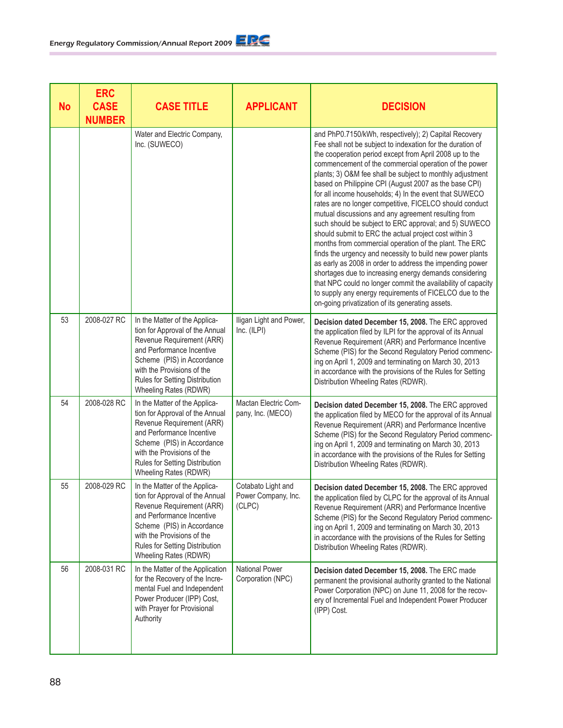| <b>No</b> | <b>ERC</b><br><b>CASE</b><br><b>NUMBER</b> | <b>CASE TITLE</b>                                                                                                                                                                                                                                 | <b>APPLICANT</b>                                    | <b>DECISION</b>                                                                                                                                                                                                                                                                                                                                                                                                                                                                                                                                                                                                                                                                                                                                                                                                                                                                                                                                                                                                                                                                         |
|-----------|--------------------------------------------|---------------------------------------------------------------------------------------------------------------------------------------------------------------------------------------------------------------------------------------------------|-----------------------------------------------------|-----------------------------------------------------------------------------------------------------------------------------------------------------------------------------------------------------------------------------------------------------------------------------------------------------------------------------------------------------------------------------------------------------------------------------------------------------------------------------------------------------------------------------------------------------------------------------------------------------------------------------------------------------------------------------------------------------------------------------------------------------------------------------------------------------------------------------------------------------------------------------------------------------------------------------------------------------------------------------------------------------------------------------------------------------------------------------------------|
|           |                                            | Water and Electric Company,<br>Inc. (SUWECO)                                                                                                                                                                                                      |                                                     | and PhP0.7150/kWh, respectively); 2) Capital Recovery<br>Fee shall not be subject to indexation for the duration of<br>the cooperation period except from April 2008 up to the<br>commencement of the commercial operation of the power<br>plants; 3) O&M fee shall be subject to monthly adjustment<br>based on Philippine CPI (August 2007 as the base CPI)<br>for all income households; 4) In the event that SUWECO<br>rates are no longer competitive, FICELCO should conduct<br>mutual discussions and any agreement resulting from<br>such should be subject to ERC approval; and 5) SUWECO<br>should submit to ERC the actual project cost within 3<br>months from commercial operation of the plant. The ERC<br>finds the urgency and necessity to build new power plants<br>as early as 2008 in order to address the impending power<br>shortages due to increasing energy demands considering<br>that NPC could no longer commit the availability of capacity<br>to supply any energy requirements of FICELCO due to the<br>on-going privatization of its generating assets. |
| 53        | 2008-027 RC                                | In the Matter of the Applica-<br>tion for Approval of the Annual<br>Revenue Requirement (ARR)<br>and Performance Incentive<br>Scheme (PIS) in Accordance<br>with the Provisions of the<br>Rules for Setting Distribution<br>Wheeling Rates (RDWR) | Iligan Light and Power,<br>Inc. (ILPI)              | Decision dated December 15, 2008. The ERC approved<br>the application filed by ILPI for the approval of its Annual<br>Revenue Requirement (ARR) and Performance Incentive<br>Scheme (PIS) for the Second Regulatory Period commenc-<br>ing on April 1, 2009 and terminating on March 30, 2013<br>in accordance with the provisions of the Rules for Setting<br>Distribution Wheeling Rates (RDWR).                                                                                                                                                                                                                                                                                                                                                                                                                                                                                                                                                                                                                                                                                      |
| 54        | 2008-028 RC                                | In the Matter of the Applica-<br>tion for Approval of the Annual<br>Revenue Requirement (ARR)<br>and Performance Incentive<br>Scheme (PIS) in Accordance<br>with the Provisions of the<br>Rules for Setting Distribution<br>Wheeling Rates (RDWR) | Mactan Electric Com-<br>pany, Inc. (MECO)           | Decision dated December 15, 2008. The ERC approved<br>the application filed by MECO for the approval of its Annual<br>Revenue Requirement (ARR) and Performance Incentive<br>Scheme (PIS) for the Second Regulatory Period commenc-<br>ing on April 1, 2009 and terminating on March 30, 2013<br>in accordance with the provisions of the Rules for Setting<br>Distribution Wheeling Rates (RDWR).                                                                                                                                                                                                                                                                                                                                                                                                                                                                                                                                                                                                                                                                                      |
| 55        | 2008-029 RC                                | In the Matter of the Applica-<br>tion for Approval of the Annual<br>Revenue Requirement (ARR)<br>and Performance Incentive<br>Scheme (PIS) in Accordance<br>with the Provisions of the<br>Rules for Setting Distribution<br>Wheeling Rates (RDWR) | Cotabato Light and<br>Power Company, Inc.<br>(CLPC) | Decision dated December 15, 2008. The ERC approved<br>the application filed by CLPC for the approval of its Annual<br>Revenue Requirement (ARR) and Performance Incentive<br>Scheme (PIS) for the Second Regulatory Period commenc-<br>ing on April 1, 2009 and terminating on March 30, 2013<br>in accordance with the provisions of the Rules for Setting<br>Distribution Wheeling Rates (RDWR).                                                                                                                                                                                                                                                                                                                                                                                                                                                                                                                                                                                                                                                                                      |
| 56        | 2008-031 RC                                | In the Matter of the Application<br>for the Recovery of the Incre-<br>mental Fuel and Independent<br>Power Producer (IPP) Cost,<br>with Prayer for Provisional<br>Authority                                                                       | National Power<br>Corporation (NPC)                 | Decision dated December 15, 2008. The ERC made<br>permanent the provisional authority granted to the National<br>Power Corporation (NPC) on June 11, 2008 for the recov-<br>ery of Incremental Fuel and Independent Power Producer<br>(IPP) Cost.                                                                                                                                                                                                                                                                                                                                                                                                                                                                                                                                                                                                                                                                                                                                                                                                                                       |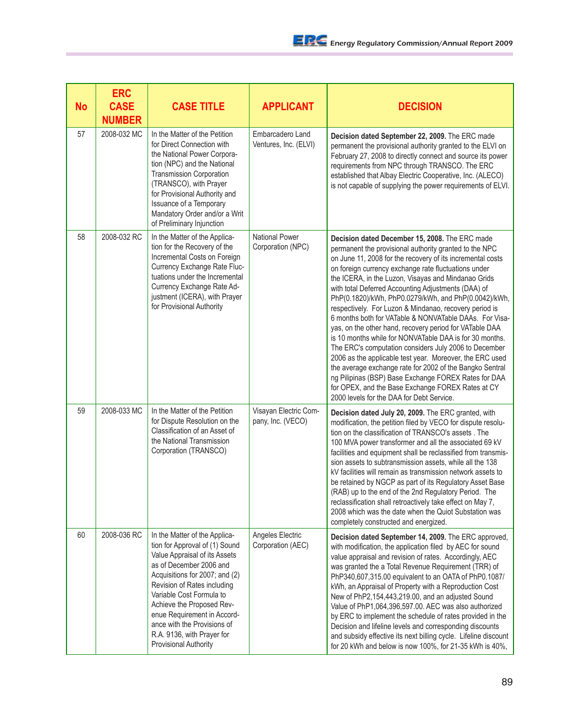| No | <b>ERC</b><br><b>CASE</b><br><b>NUMBER</b> | <b>CASE TITLE</b>                                                                                                                                                                                                                                                                                                                                                          | <b>APPLICANT</b>                           | <b>DECISION</b>                                                                                                                                                                                                                                                                                                                                                                                                                                                                                                                                                                                                                                                                                                                                                                                                                                                                                                                                                                           |
|----|--------------------------------------------|----------------------------------------------------------------------------------------------------------------------------------------------------------------------------------------------------------------------------------------------------------------------------------------------------------------------------------------------------------------------------|--------------------------------------------|-------------------------------------------------------------------------------------------------------------------------------------------------------------------------------------------------------------------------------------------------------------------------------------------------------------------------------------------------------------------------------------------------------------------------------------------------------------------------------------------------------------------------------------------------------------------------------------------------------------------------------------------------------------------------------------------------------------------------------------------------------------------------------------------------------------------------------------------------------------------------------------------------------------------------------------------------------------------------------------------|
| 57 | 2008-032 MC                                | In the Matter of the Petition<br>for Direct Connection with<br>the National Power Corpora-<br>tion (NPC) and the National<br><b>Transmission Corporation</b><br>(TRANSCO), with Prayer<br>for Provisional Authority and<br>Issuance of a Temporary<br>Mandatory Order and/or a Writ<br>of Preliminary Injunction                                                           | Embarcadero Land<br>Ventures, Inc. (ELVI)  | Decision dated September 22, 2009. The ERC made<br>permanent the provisional authority granted to the ELVI on<br>February 27, 2008 to directly connect and source its power<br>requirements from NPC through TRANSCO. The ERC<br>established that Albay Electric Cooperative, Inc. (ALECO)<br>is not capable of supplying the power requirements of ELVI.                                                                                                                                                                                                                                                                                                                                                                                                                                                                                                                                                                                                                                 |
| 58 | 2008-032 RC                                | In the Matter of the Applica-<br>tion for the Recovery of the<br>Incremental Costs on Foreign<br>Currency Exchange Rate Fluc-<br>tuations under the Incremental<br>Currency Exchange Rate Ad-<br>justment (ICERA), with Prayer<br>for Provisional Authority                                                                                                                | <b>National Power</b><br>Corporation (NPC) | Decision dated December 15, 2008. The ERC made<br>permanent the provisional authority granted to the NPC<br>on June 11, 2008 for the recovery of its incremental costs<br>on foreign currency exchange rate fluctuations under<br>the ICERA, in the Luzon, Visayas and Mindanao Grids<br>with total Deferred Accounting Adjustments (DAA) of<br>PhP(0.1820)/kWh, PhP0.0279/kWh, and PhP(0.0042)/kWh,<br>respectively. For Luzon & Mindanao, recovery period is<br>6 months both for VATable & NONVATable DAAs. For Visa-<br>yas, on the other hand, recovery period for VATable DAA<br>is 10 months while for NONVATable DAA is for 30 months.<br>The ERC's computation considers July 2006 to December<br>2006 as the applicable test year. Moreover, the ERC used<br>the average exchange rate for 2002 of the Bangko Sentral<br>ng Pilipinas (BSP) Base Exchange FOREX Rates for DAA<br>for OPEX, and the Base Exchange FOREX Rates at CY<br>2000 levels for the DAA for Debt Service. |
| 59 | 2008-033 MC                                | In the Matter of the Petition<br>for Dispute Resolution on the<br>Classification of an Asset of<br>the National Transmission<br>Corporation (TRANSCO)                                                                                                                                                                                                                      | Visayan Electric Com-<br>pany, Inc. (VECO) | Decision dated July 20, 2009. The ERC granted, with<br>modification, the petition filed by VECO for dispute resolu-<br>tion on the classification of TRANSCO's assets . The<br>100 MVA power transformer and all the associated 69 kV<br>facilities and equipment shall be reclassified from transmis-<br>sion assets to subtransmission assets, while all the 138<br>kV facilities will remain as transmission network assets to<br>be retained by NGCP as part of its Regulatory Asset Base<br>(RAB) up to the end of the 2nd Regulatory Period. The<br>reclassification shall retroactively take effect on May 7,<br>2008 which was the date when the Quiot Substation was<br>completely constructed and energized.                                                                                                                                                                                                                                                                    |
| 60 | 2008-036 RC                                | In the Matter of the Applica-<br>tion for Approval of (1) Sound<br>Value Appraisal of its Assets<br>as of December 2006 and<br>Acquisitions for 2007; and (2)<br>Revision of Rates including<br>Variable Cost Formula to<br>Achieve the Proposed Rev-<br>enue Requirement in Accord-<br>ance with the Provisions of<br>R.A. 9136, with Prayer for<br>Provisional Authority | Angeles Electric<br>Corporation (AEC)      | Decision dated September 14, 2009. The ERC approved,<br>with modification, the application filed by AEC for sound<br>value appraisal and revision of rates. Accordingly, AEC<br>was granted the a Total Revenue Requirement (TRR) of<br>PhP340,607,315.00 equivalent to an OATA of PhP0.1087/<br>kWh, an Appraisal of Property with a Reproduction Cost<br>New of PhP2,154,443,219.00, and an adjusted Sound<br>Value of PhP1,064,396,597.00. AEC was also authorized<br>by ERC to implement the schedule of rates provided in the<br>Decision and lifeline levels and corresponding discounts<br>and subsidy effective its next billing cycle. Lifeline discount<br>for 20 kWh and below is now 100%, for 21-35 kWh is 40%,                                                                                                                                                                                                                                                              |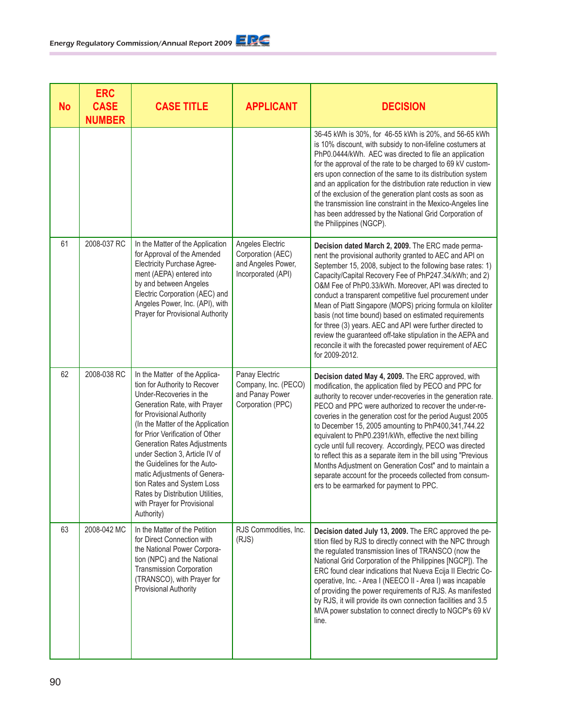| <b>No</b> | <b>ERC</b><br><b>CASE</b><br><b>NUMBER</b> | <b>CASE TITLE</b>                                                                                                                                                                                                                                                                                                                                                                                                                                                                      | <b>APPLICANT</b>                                                                  | <b>DECISION</b>                                                                                                                                                                                                                                                                                                                                                                                                                                                                                                                                                                                                                                                                                                          |
|-----------|--------------------------------------------|----------------------------------------------------------------------------------------------------------------------------------------------------------------------------------------------------------------------------------------------------------------------------------------------------------------------------------------------------------------------------------------------------------------------------------------------------------------------------------------|-----------------------------------------------------------------------------------|--------------------------------------------------------------------------------------------------------------------------------------------------------------------------------------------------------------------------------------------------------------------------------------------------------------------------------------------------------------------------------------------------------------------------------------------------------------------------------------------------------------------------------------------------------------------------------------------------------------------------------------------------------------------------------------------------------------------------|
|           |                                            |                                                                                                                                                                                                                                                                                                                                                                                                                                                                                        |                                                                                   | 36-45 kWh is 30%, for 46-55 kWh is 20%, and 56-65 kWh<br>is 10% discount, with subsidy to non-lifeline costumers at<br>PhP0.0444/kWh. AEC was directed to file an application<br>for the approval of the rate to be charged to 69 kV custom-<br>ers upon connection of the same to its distribution system<br>and an application for the distribution rate reduction in view<br>of the exclusion of the generation plant costs as soon as<br>the transmission line constraint in the Mexico-Angeles line<br>has been addressed by the National Grid Corporation of<br>the Philippines (NGCP).                                                                                                                            |
| 61        | 2008-037 RC                                | In the Matter of the Application<br>for Approval of the Amended<br><b>Electricity Purchase Agree-</b><br>ment (AEPA) entered into<br>by and between Angeles<br>Electric Corporation (AEC) and<br>Angeles Power, Inc. (API), with<br>Prayer for Provisional Authority                                                                                                                                                                                                                   | Angeles Electric<br>Corporation (AEC)<br>and Angeles Power,<br>Incorporated (API) | Decision dated March 2, 2009. The ERC made perma-<br>nent the provisional authority granted to AEC and API on<br>September 15, 2008, subject to the following base rates: 1)<br>Capacity/Capital Recovery Fee of PhP247.34/kWh; and 2)<br>O&M Fee of PhP0.33/kWh. Moreover, API was directed to<br>conduct a transparent competitive fuel procurement under<br>Mean of Piatt Singapore (MOPS) pricing formula on kiloliter<br>basis (not time bound) based on estimated requirements<br>for three (3) years. AEC and API were further directed to<br>review the guaranteed off-take stipulation in the AEPA and<br>reconcile it with the forecasted power requirement of AEC<br>for 2009-2012.                           |
| 62        | 2008-038 RC                                | In the Matter of the Applica-<br>tion for Authority to Recover<br>Under-Recoveries in the<br>Generation Rate, with Prayer<br>for Provisional Authority<br>(In the Matter of the Application<br>for Prior Verification of Other<br><b>Generation Rates Adjustments</b><br>under Section 3, Article IV of<br>the Guidelines for the Auto-<br>matic Adjustments of Genera-<br>tion Rates and System Loss<br>Rates by Distribution Utilities,<br>with Prayer for Provisional<br>Authority) | Panay Electric<br>Company, Inc. (PECO)<br>and Panay Power<br>Corporation (PPC)    | Decision dated May 4, 2009. The ERC approved, with<br>modification, the application filed by PECO and PPC for<br>authority to recover under-recoveries in the generation rate.<br>PECO and PPC were authorized to recover the under-re-<br>coveries in the generation cost for the period August 2005<br>to December 15, 2005 amounting to PhP400,341,744.22<br>equivalent to PhP0.2391/kWh, effective the next billing<br>cycle until full recovery. Accordingly, PECO was directed<br>to reflect this as a separate item in the bill using "Previous<br>Months Adjustment on Generation Cost" and to maintain a<br>separate account for the proceeds collected from consum-<br>ers to be earmarked for payment to PPC. |
| 63        | 2008-042 MC                                | In the Matter of the Petition<br>for Direct Connection with<br>the National Power Corpora-<br>tion (NPC) and the National<br><b>Transmission Corporation</b><br>(TRANSCO), with Prayer for<br>Provisional Authority                                                                                                                                                                                                                                                                    | RJS Commodities, Inc.<br>(RJS)                                                    | Decision dated July 13, 2009. The ERC approved the pe-<br>tition filed by RJS to directly connect with the NPC through<br>the regulated transmission lines of TRANSCO (now the<br>National Grid Corporation of the Philippines [NGCP]). The<br>ERC found clear indications that Nueva Ecija II Electric Co-<br>operative, Inc. - Area I (NEECO II - Area I) was incapable<br>of providing the power requirements of RJS. As manifested<br>by RJS, it will provide its own connection facilities and 3.5<br>MVA power substation to connect directly to NGCP's 69 kV<br>line.                                                                                                                                             |

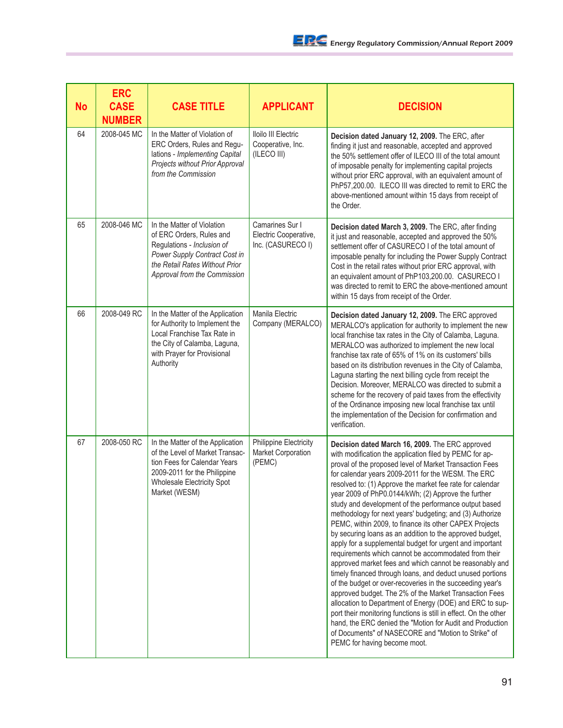| <b>No</b> | <b>ERC</b><br><b>CASE</b><br><b>NUMBER</b> | <b>CASE TITLE</b>                                                                                                                                                                         | <b>APPLICANT</b>                                              | <b>DECISION</b>                                                                                                                                                                                                                                                                                                                                                                                                                                                                                                                                                                                                                                                                                                                                                                                                                                                                                                                                                                                                                                                                                                                                                                                                                                   |
|-----------|--------------------------------------------|-------------------------------------------------------------------------------------------------------------------------------------------------------------------------------------------|---------------------------------------------------------------|---------------------------------------------------------------------------------------------------------------------------------------------------------------------------------------------------------------------------------------------------------------------------------------------------------------------------------------------------------------------------------------------------------------------------------------------------------------------------------------------------------------------------------------------------------------------------------------------------------------------------------------------------------------------------------------------------------------------------------------------------------------------------------------------------------------------------------------------------------------------------------------------------------------------------------------------------------------------------------------------------------------------------------------------------------------------------------------------------------------------------------------------------------------------------------------------------------------------------------------------------|
| 64        | 2008-045 MC                                | In the Matter of Violation of<br>ERC Orders, Rules and Regu-<br>lations - Implementing Capital<br>Projects without Prior Approval<br>from the Commission                                  | Iloilo III Electric<br>Cooperative, Inc.<br>(ILECO III)       | Decision dated January 12, 2009. The ERC, after<br>finding it just and reasonable, accepted and approved<br>the 50% settlement offer of ILECO III of the total amount<br>of imposable penalty for implementing capital projects<br>without prior ERC approval, with an equivalent amount of<br>PhP57,200.00. ILECO III was directed to remit to ERC the<br>above-mentioned amount within 15 days from receipt of<br>the Order.                                                                                                                                                                                                                                                                                                                                                                                                                                                                                                                                                                                                                                                                                                                                                                                                                    |
| 65        | 2008-046 MC                                | In the Matter of Violation<br>of ERC Orders, Rules and<br>Regulations - Inclusion of<br>Power Supply Contract Cost in<br>the Retail Rates Without Prior<br>Approval from the Commission   | Camarines Sur I<br>Electric Cooperative,<br>Inc. (CASURECO I) | Decision dated March 3, 2009. The ERC, after finding<br>it just and reasonable, accepted and approved the 50%<br>settlement offer of CASURECO I of the total amount of<br>imposable penalty for including the Power Supply Contract<br>Cost in the retail rates without prior ERC approval, with<br>an equivalent amount of PhP103,200.00. CASURECO I<br>was directed to remit to ERC the above-mentioned amount<br>within 15 days from receipt of the Order.                                                                                                                                                                                                                                                                                                                                                                                                                                                                                                                                                                                                                                                                                                                                                                                     |
| 66        | 2008-049 RC                                | In the Matter of the Application<br>for Authority to Implement the<br>Local Franchise Tax Rate in<br>the City of Calamba, Laguna,<br>with Prayer for Provisional<br>Authority             | Manila Electric<br>Company (MERALCO)                          | Decision dated January 12, 2009. The ERC approved<br>MERALCO's application for authority to implement the new<br>local franchise tax rates in the City of Calamba, Laguna.<br>MERALCO was authorized to implement the new local<br>franchise tax rate of 65% of 1% on its customers' bills<br>based on its distribution revenues in the City of Calamba,<br>Laguna starting the next billing cycle from receipt the<br>Decision. Moreover, MERALCO was directed to submit a<br>scheme for the recovery of paid taxes from the effectivity<br>of the Ordinance imposing new local franchise tax until<br>the implementation of the Decision for confirmation and<br>verification.                                                                                                                                                                                                                                                                                                                                                                                                                                                                                                                                                                  |
| 67        | 2008-050 RC                                | In the Matter of the Application<br>of the Level of Market Transac-<br>tion Fees for Calendar Years<br>2009-2011 for the Philippine<br><b>Wholesale Electricity Spot</b><br>Market (WESM) | Philippine Electricity<br><b>Market Corporation</b><br>(PEMC) | Decision dated March 16, 2009. The ERC approved<br>with modification the application filed by PEMC for ap-<br>proval of the proposed level of Market Transaction Fees<br>for calendar years 2009-2011 for the WESM. The ERC<br>resolved to: (1) Approve the market fee rate for calendar<br>year 2009 of PhP0.0144/kWh; (2) Approve the further<br>study and development of the performance output based<br>methodology for next years' budgeting; and (3) Authorize<br>PEMC, within 2009, to finance its other CAPEX Projects<br>by securing loans as an addition to the approved budget,<br>apply for a supplemental budget for urgent and important<br>requirements which cannot be accommodated from their<br>approved market fees and which cannot be reasonably and<br>timely financed through loans, and deduct unused portions<br>of the budget or over-recoveries in the succeeding year's<br>approved budget. The 2% of the Market Transaction Fees<br>allocation to Department of Energy (DOE) and ERC to sup-<br>port their monitoring functions is still in effect. On the other<br>hand, the ERC denied the "Motion for Audit and Production<br>of Documents" of NASECORE and "Motion to Strike" of<br>PEMC for having become moot. |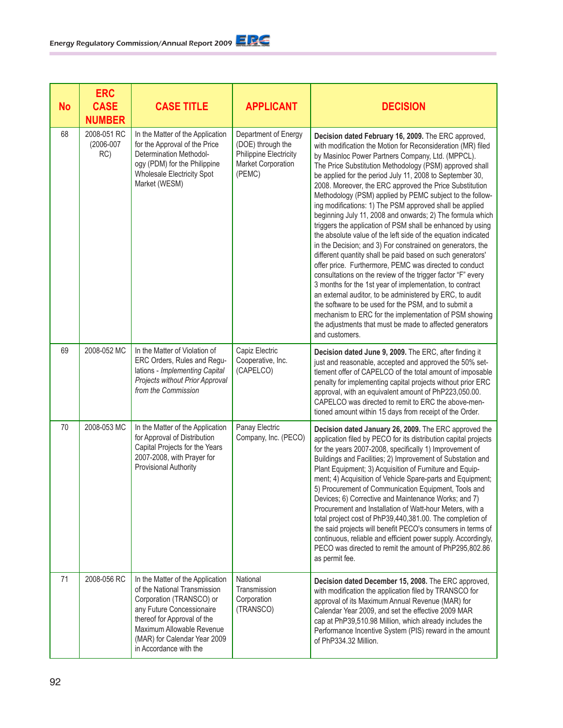| <b>No</b> | <b>ERC</b><br><b>CASE</b><br><b>NUMBER</b> | <b>CASE TITLE</b>                                                                                                                                                                                                                               | <b>APPLICANT</b>                                                                                                  | <b>DECISION</b>                                                                                                                                                                                                                                                                                                                                                                                                                                                                                                                                                                                                                                                                                                                                                                                                                                                                                                                                                                                                                                                                                                                                                                                                                                           |
|-----------|--------------------------------------------|-------------------------------------------------------------------------------------------------------------------------------------------------------------------------------------------------------------------------------------------------|-------------------------------------------------------------------------------------------------------------------|-----------------------------------------------------------------------------------------------------------------------------------------------------------------------------------------------------------------------------------------------------------------------------------------------------------------------------------------------------------------------------------------------------------------------------------------------------------------------------------------------------------------------------------------------------------------------------------------------------------------------------------------------------------------------------------------------------------------------------------------------------------------------------------------------------------------------------------------------------------------------------------------------------------------------------------------------------------------------------------------------------------------------------------------------------------------------------------------------------------------------------------------------------------------------------------------------------------------------------------------------------------|
| 68        | 2008-051 RC<br>(2006-007<br>RC)            | In the Matter of the Application<br>for the Approval of the Price<br><b>Determination Methodol-</b><br>ogy (PDM) for the Philippine<br>Wholesale Electricity Spot<br>Market (WESM)                                                              | Department of Energy<br>(DOE) through the<br><b>Philippine Electricity</b><br><b>Market Corporation</b><br>(PEMC) | Decision dated February 16, 2009. The ERC approved,<br>with modification the Motion for Reconsideration (MR) filed<br>by Masinloc Power Partners Company, Ltd. (MPPCL).<br>The Price Substitution Methodology (PSM) approved shall<br>be applied for the period July 11, 2008 to September 30,<br>2008. Moreover, the ERC approved the Price Substitution<br>Methodology (PSM) applied by PEMC subject to the follow-<br>ing modifications: 1) The PSM approved shall be applied<br>beginning July 11, 2008 and onwards; 2) The formula which<br>triggers the application of PSM shall be enhanced by using<br>the absolute value of the left side of the equation indicated<br>in the Decision; and 3) For constrained on generators, the<br>different quantity shall be paid based on such generators'<br>offer price. Furthermore, PEMC was directed to conduct<br>consultations on the review of the trigger factor "F" every<br>3 months for the 1st year of implementation, to contract<br>an external auditor, to be administered by ERC, to audit<br>the software to be used for the PSM, and to submit a<br>mechanism to ERC for the implementation of PSM showing<br>the adjustments that must be made to affected generators<br>and customers. |
| 69        | 2008-052 MC                                | In the Matter of Violation of<br>ERC Orders, Rules and Regu-<br>lations - Implementing Capital<br>Projects without Prior Approval<br>from the Commission                                                                                        | Capiz Electric<br>Cooperative, Inc.<br>(CAPELCO)                                                                  | Decision dated June 9, 2009. The ERC, after finding it<br>just and reasonable, accepted and approved the 50% set-<br>tlement offer of CAPELCO of the total amount of imposable<br>penalty for implementing capital projects without prior ERC<br>approval, with an equivalent amount of PhP223,050.00.<br>CAPELCO was directed to remit to ERC the above-men-<br>tioned amount within 15 days from receipt of the Order.                                                                                                                                                                                                                                                                                                                                                                                                                                                                                                                                                                                                                                                                                                                                                                                                                                  |
| 70        | 2008-053 MC                                | In the Matter of the Application<br>for Approval of Distribution<br>Capital Projects for the Years<br>2007-2008, with Prayer for<br>Provisional Authority                                                                                       | Panay Electric<br>Company, Inc. (PECO)                                                                            | Decision dated January 26, 2009. The ERC approved the<br>application filed by PECO for its distribution capital projects<br>for the years 2007-2008, specifically 1) Improvement of<br>Buildings and Facilities; 2) Improvement of Substation and<br>Plant Equipment; 3) Acquisition of Furniture and Equip-<br>ment; 4) Acquisition of Vehicle Spare-parts and Equipment;<br>5) Procurement of Communication Equipment, Tools and<br>Devices; 6) Corrective and Maintenance Works; and 7)<br>Procurement and Installation of Watt-hour Meters, with a<br>total project cost of PhP39,440,381.00. The completion of<br>the said projects will benefit PECO's consumers in terms of<br>continuous, reliable and efficient power supply. Accordingly,<br>PECO was directed to remit the amount of PhP295,802.86<br>as permit fee.                                                                                                                                                                                                                                                                                                                                                                                                                           |
| 71        | 2008-056 RC                                | In the Matter of the Application<br>of the National Transmission<br>Corporation (TRANSCO) or<br>any Future Concessionaire<br>thereof for Approval of the<br>Maximum Allowable Revenue<br>(MAR) for Calendar Year 2009<br>in Accordance with the | National<br>Transmission<br>Corporation<br>(TRANSCO)                                                              | Decision dated December 15, 2008. The ERC approved,<br>with modification the application filed by TRANSCO for<br>approval of its Maximum Annual Revenue (MAR) for<br>Calendar Year 2009, and set the effective 2009 MAR<br>cap at PhP39,510.98 Million, which already includes the<br>Performance Incentive System (PIS) reward in the amount<br>of PhP334.32 Million.                                                                                                                                                                                                                                                                                                                                                                                                                                                                                                                                                                                                                                                                                                                                                                                                                                                                                    |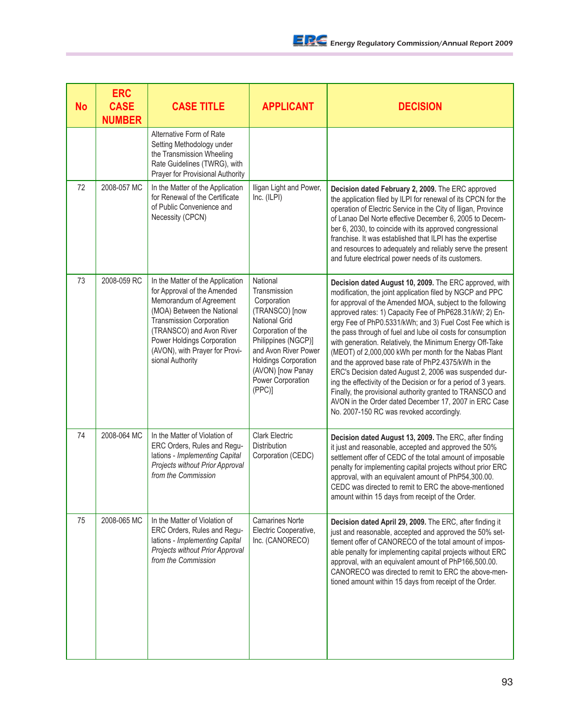| <b>No</b> | <b>ERC</b><br><b>CASE</b><br><b>NUMBER</b> | <b>CASE TITLE</b>                                                                                                                                                                                                                                                           | <b>APPLICANT</b>                                                                                                                                                                                                                          | <b>DECISION</b>                                                                                                                                                                                                                                                                                                                                                                                                                                                                                                                                                                                                                                                                                                                                                                                                                                  |
|-----------|--------------------------------------------|-----------------------------------------------------------------------------------------------------------------------------------------------------------------------------------------------------------------------------------------------------------------------------|-------------------------------------------------------------------------------------------------------------------------------------------------------------------------------------------------------------------------------------------|--------------------------------------------------------------------------------------------------------------------------------------------------------------------------------------------------------------------------------------------------------------------------------------------------------------------------------------------------------------------------------------------------------------------------------------------------------------------------------------------------------------------------------------------------------------------------------------------------------------------------------------------------------------------------------------------------------------------------------------------------------------------------------------------------------------------------------------------------|
|           |                                            | Alternative Form of Rate<br>Setting Methodology under<br>the Transmission Wheeling<br>Rate Guidelines (TWRG), with<br>Prayer for Provisional Authority                                                                                                                      |                                                                                                                                                                                                                                           |                                                                                                                                                                                                                                                                                                                                                                                                                                                                                                                                                                                                                                                                                                                                                                                                                                                  |
| 72        | 2008-057 MC                                | In the Matter of the Application<br>for Renewal of the Certificate<br>of Public Convenience and<br>Necessity (CPCN)                                                                                                                                                         | Iligan Light and Power,<br>Inc. (ILPI)                                                                                                                                                                                                    | Decision dated February 2, 2009. The ERC approved<br>the application filed by ILPI for renewal of its CPCN for the<br>operation of Electric Service in the City of Iligan, Province<br>of Lanao Del Norte effective December 6, 2005 to Decem-<br>ber 6, 2030, to coincide with its approved congressional<br>franchise. It was established that ILPI has the expertise<br>and resources to adequately and reliably serve the present<br>and future electrical power needs of its customers.                                                                                                                                                                                                                                                                                                                                                     |
| 73        | 2008-059 RC                                | In the Matter of the Application<br>for Approval of the Amended<br>Memorandum of Agreement<br>(MOA) Between the National<br><b>Transmission Corporation</b><br>(TRANSCO) and Avon River<br>Power Holdings Corporation<br>(AVON), with Prayer for Provi-<br>sional Authority | National<br>Transmission<br>Corporation<br>(TRANSCO) [now<br><b>National Grid</b><br>Corporation of the<br>Philippines (NGCP)]<br>and Avon River Power<br><b>Holdings Corporation</b><br>(AVON) [now Panay<br>Power Corporation<br>(PPC)] | Decision dated August 10, 2009. The ERC approved, with<br>modification, the joint application filed by NGCP and PPC<br>for approval of the Amended MOA, subject to the following<br>approved rates: 1) Capacity Fee of PhP628.31/kW; 2) En-<br>ergy Fee of PhP0.5331/kWh; and 3) Fuel Cost Fee which is<br>the pass through of fuel and lube oil costs for consumption<br>with generation. Relatively, the Minimum Energy Off-Take<br>(MEOT) of 2,000,000 kWh per month for the Nabas Plant<br>and the approved base rate of PhP2.4375/kWh in the<br>ERC's Decision dated August 2, 2006 was suspended dur-<br>ing the effectivity of the Decision or for a period of 3 years.<br>Finally, the provisional authority granted to TRANSCO and<br>AVON in the Order dated December 17, 2007 in ERC Case<br>No. 2007-150 RC was revoked accordingly. |
| 74        | 2008-064 MC                                | In the Matter of Violation of<br>ERC Orders, Rules and Regu-<br>lations - Implementing Capital<br>Projects without Prior Approval<br>from the Commission                                                                                                                    | <b>Clark Electric</b><br>Distribution<br>Corporation (CEDC)                                                                                                                                                                               | Decision dated August 13, 2009. The ERC, after finding<br>it just and reasonable, accepted and approved the 50%<br>settlement offer of CEDC of the total amount of imposable<br>penalty for implementing capital projects without prior ERC<br>approval, with an equivalent amount of PhP54,300.00.<br>CEDC was directed to remit to ERC the above-mentioned<br>amount within 15 days from receipt of the Order.                                                                                                                                                                                                                                                                                                                                                                                                                                 |
| 75        | 2008-065 MC                                | In the Matter of Violation of<br>ERC Orders, Rules and Regu-<br>lations - Implementing Capital<br>Projects without Prior Approval<br>from the Commission                                                                                                                    | <b>Camarines Norte</b><br>Electric Cooperative,<br>Inc. (CANORECO)                                                                                                                                                                        | Decision dated April 29, 2009. The ERC, after finding it<br>just and reasonable, accepted and approved the 50% set-<br>tlement offer of CANORECO of the total amount of impos-<br>able penalty for implementing capital projects without ERC<br>approval, with an equivalent amount of PhP166,500.00.<br>CANORECO was directed to remit to ERC the above-men-<br>tioned amount within 15 days from receipt of the Order.                                                                                                                                                                                                                                                                                                                                                                                                                         |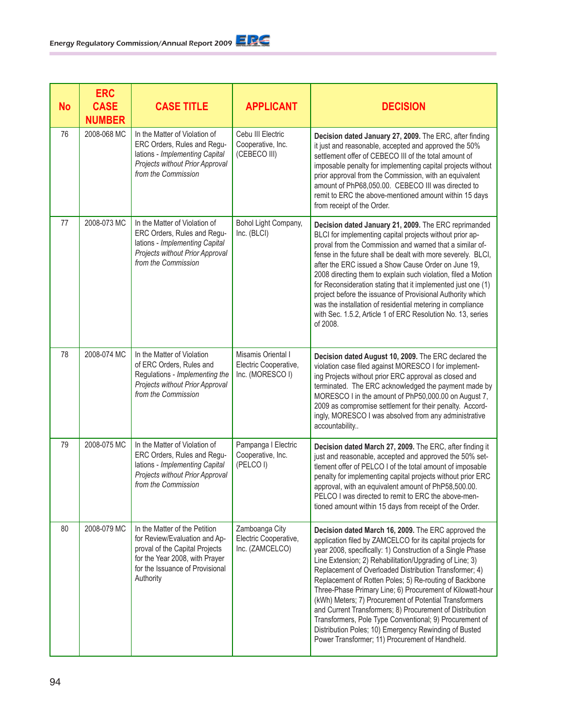| <b>No</b> | <b>ERC</b><br><b>CASE</b><br><b>NUMBER</b> | <b>CASE TITLE</b>                                                                                                                                                                  | <b>APPLICANT</b>                                                | <b>DECISION</b>                                                                                                                                                                                                                                                                                                                                                                                                                                                                                                                                                                                                                                                                                                          |
|-----------|--------------------------------------------|------------------------------------------------------------------------------------------------------------------------------------------------------------------------------------|-----------------------------------------------------------------|--------------------------------------------------------------------------------------------------------------------------------------------------------------------------------------------------------------------------------------------------------------------------------------------------------------------------------------------------------------------------------------------------------------------------------------------------------------------------------------------------------------------------------------------------------------------------------------------------------------------------------------------------------------------------------------------------------------------------|
| 76        | 2008-068 MC                                | In the Matter of Violation of<br>ERC Orders, Rules and Regu-<br>lations - Implementing Capital<br>Projects without Prior Approval<br>from the Commission                           | Cebu III Electric<br>Cooperative, Inc.<br>(CEBECO III)          | Decision dated January 27, 2009. The ERC, after finding<br>it just and reasonable, accepted and approved the 50%<br>settlement offer of CEBECO III of the total amount of<br>imposable penalty for implementing capital projects without<br>prior approval from the Commission, with an equivalent<br>amount of PhP68,050.00. CEBECO III was directed to<br>remit to ERC the above-mentioned amount within 15 days<br>from receipt of the Order.                                                                                                                                                                                                                                                                         |
| 77        | 2008-073 MC                                | In the Matter of Violation of<br>ERC Orders, Rules and Regu-<br>lations - Implementing Capital<br>Projects without Prior Approval<br>from the Commission                           | Bohol Light Company,<br>Inc. (BLCI)                             | Decision dated January 21, 2009. The ERC reprimanded<br>BLCI for implementing capital projects without prior ap-<br>proval from the Commission and warned that a similar of-<br>fense in the future shall be dealt with more severely. BLCI,<br>after the ERC issued a Show Cause Order on June 19,<br>2008 directing them to explain such violation, filed a Motion<br>for Reconsideration stating that it implemented just one (1)<br>project before the issuance of Provisional Authority which<br>was the installation of residential metering in compliance<br>with Sec. 1.5.2, Article 1 of ERC Resolution No. 13, series<br>of 2008.                                                                              |
| 78        | 2008-074 MC                                | In the Matter of Violation<br>of ERC Orders, Rules and<br>Regulations - Implementing the<br>Projects without Prior Approval<br>from the Commission                                 | Misamis Oriental I<br>Electric Cooperative,<br>Inc. (MORESCO I) | Decision dated August 10, 2009. The ERC declared the<br>violation case filed against MORESCO I for implement-<br>ing Projects without prior ERC approval as closed and<br>terminated. The ERC acknowledged the payment made by<br>MORESCO I in the amount of PhP50,000.00 on August 7,<br>2009 as compromise settlement for their penalty. Accord-<br>ingly, MORESCO I was absolved from any administrative<br>accountability                                                                                                                                                                                                                                                                                            |
| 79        | 2008-075 MC                                | In the Matter of Violation of<br>ERC Orders, Rules and Regu-<br>lations - Implementing Capital<br>Projects without Prior Approval<br>from the Commission                           | Pampanga I Electric<br>Cooperative, Inc.<br>(PELCOI)            | Decision dated March 27, 2009. The ERC, after finding it<br>just and reasonable, accepted and approved the 50% set-<br>tlement offer of PELCO I of the total amount of imposable<br>penalty for implementing capital projects without prior ERC<br>approval, with an equivalent amount of PhP58,500.00.<br>PELCO I was directed to remit to ERC the above-men-<br>tioned amount within 15 days from receipt of the Order.                                                                                                                                                                                                                                                                                                |
| 80        | 2008-079 MC                                | In the Matter of the Petition<br>for Review/Evaluation and Ap-<br>proval of the Capital Projects<br>for the Year 2008, with Prayer<br>for the Issuance of Provisional<br>Authority | Zamboanga City<br>Electric Cooperative,<br>Inc. (ZAMCELCO)      | Decision dated March 16, 2009. The ERC approved the<br>application filed by ZAMCELCO for its capital projects for<br>year 2008, specifically: 1) Construction of a Single Phase<br>Line Extension; 2) Rehabilitation/Upgrading of Line; 3)<br>Replacement of Overloaded Distribution Transformer; 4)<br>Replacement of Rotten Poles; 5) Re-routing of Backbone<br>Three-Phase Primary Line; 6) Procurement of Kilowatt-hour<br>(kWh) Meters; 7) Procurement of Potential Transformers<br>and Current Transformers; 8) Procurement of Distribution<br>Transformers, Pole Type Conventional; 9) Procurement of<br>Distribution Poles; 10) Emergency Rewinding of Busted<br>Power Transformer; 11) Procurement of Handheld. |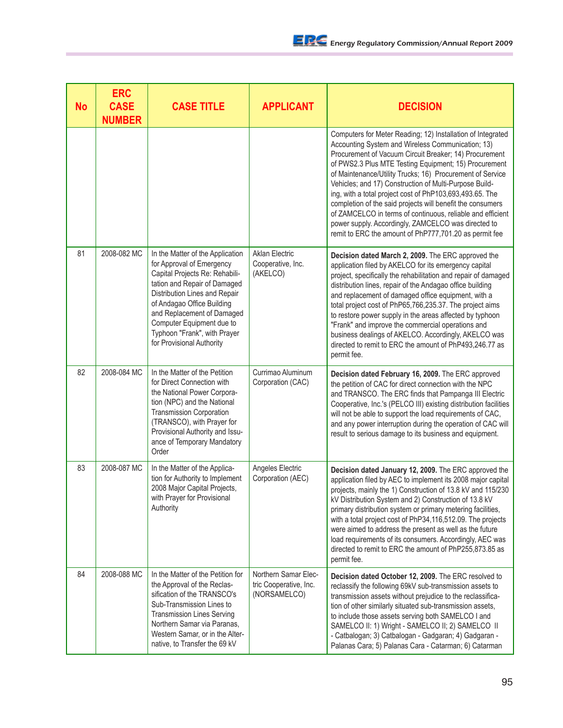| <b>No</b> | <b>ERC</b><br><b>CASE</b><br><b>NUMBER</b> | <b>CASE TITLE</b>                                                                                                                                                                                                                                                                                                      | <b>APPLICANT</b>                                               | <b>DECISION</b>                                                                                                                                                                                                                                                                                                                                                                                                                                                                                                                                                                                                                                                     |
|-----------|--------------------------------------------|------------------------------------------------------------------------------------------------------------------------------------------------------------------------------------------------------------------------------------------------------------------------------------------------------------------------|----------------------------------------------------------------|---------------------------------------------------------------------------------------------------------------------------------------------------------------------------------------------------------------------------------------------------------------------------------------------------------------------------------------------------------------------------------------------------------------------------------------------------------------------------------------------------------------------------------------------------------------------------------------------------------------------------------------------------------------------|
|           |                                            |                                                                                                                                                                                                                                                                                                                        |                                                                | Computers for Meter Reading; 12) Installation of Integrated<br>Accounting System and Wireless Communication; 13)<br>Procurement of Vacuum Circuit Breaker; 14) Procurement<br>of PWS2.3 Plus MTE Testing Equipment; 15) Procurement<br>of Maintenance/Utility Trucks; 16) Procurement of Service<br>Vehicles; and 17) Construction of Multi-Purpose Build-<br>ing, with a total project cost of PhP103,693,493.65. The<br>completion of the said projects will benefit the consumers<br>of ZAMCELCO in terms of continuous, reliable and efficient<br>power supply. Accordingly, ZAMCELCO was directed to<br>remit to ERC the amount of PhP777,701.20 as permit fee |
| 81        | 2008-082 MC                                | In the Matter of the Application<br>for Approval of Emergency<br>Capital Projects Re: Rehabili-<br>tation and Repair of Damaged<br>Distribution Lines and Repair<br>of Andagao Office Building<br>and Replacement of Damaged<br>Computer Equipment due to<br>Typhoon "Frank", with Prayer<br>for Provisional Authority | <b>Aklan Electric</b><br>Cooperative, Inc.<br>(AKELCO)         | Decision dated March 2, 2009. The ERC approved the<br>application filed by AKELCO for its emergency capital<br>project, specifically the rehabilitation and repair of damaged<br>distribution lines, repair of the Andagao office building<br>and replacement of damaged office equipment, with a<br>total project cost of PhP65,766,235.37. The project aims<br>to restore power supply in the areas affected by typhoon<br>"Frank" and improve the commercial operations and<br>business dealings of AKELCO. Accordingly, AKELCO was<br>directed to remit to ERC the amount of PhP493,246.77 as<br>permit fee.                                                    |
| 82        | 2008-084 MC                                | In the Matter of the Petition<br>for Direct Connection with<br>the National Power Corpora-<br>tion (NPC) and the National<br><b>Transmission Corporation</b><br>(TRANSCO), with Prayer for<br>Provisional Authority and Issu-<br>ance of Temporary Mandatory<br>Order                                                  | Currimao Aluminum<br>Corporation (CAC)                         | Decision dated February 16, 2009. The ERC approved<br>the petition of CAC for direct connection with the NPC<br>and TRANSCO. The ERC finds that Pampanga III Electric<br>Cooperative, Inc.'s (PELCO III) existing distribution facilities<br>will not be able to support the load requirements of CAC,<br>and any power interruption during the operation of CAC will<br>result to serious damage to its business and equipment.                                                                                                                                                                                                                                    |
| 83        | 2008-087 MC                                | In the Matter of the Applica-<br>tion for Authority to Implement<br>2008 Major Capital Projects,<br>with Prayer for Provisional<br>Authority                                                                                                                                                                           | Angeles Electric<br>Corporation (AEC)                          | Decision dated January 12, 2009. The ERC approved the<br>application filed by AEC to implement its 2008 major capital<br>projects, mainly the 1) Construction of 13.8 kV and 115/230<br>kV Distribution System and 2) Construction of 13.8 kV<br>primary distribution system or primary metering facilities,<br>with a total project cost of PhP34,116,512.09. The projects<br>were aimed to address the present as well as the future<br>load requirements of its consumers. Accordingly, AEC was<br>directed to remit to ERC the amount of PhP255,873.85 as<br>permit fee.                                                                                        |
| 84        | 2008-088 MC                                | In the Matter of the Petition for<br>the Approval of the Reclas-<br>sification of the TRANSCO's<br>Sub-Transmission Lines to<br><b>Transmission Lines Serving</b><br>Northern Samar via Paranas,<br>Western Samar, or in the Alter-<br>native, to Transfer the 69 kV                                                   | Northern Samar Elec-<br>tric Cooperative, Inc.<br>(NORSAMELCO) | Decision dated October 12, 2009. The ERC resolved to<br>reclassify the following 69kV sub-transmission assets to<br>transmission assets without prejudice to the reclassifica-<br>tion of other similarly situated sub-transmission assets,<br>to include those assets serving both SAMELCO I and<br>SAMELCO II: 1) Wright - SAMELCO II; 2) SAMELCO II<br>- Catbalogan; 3) Catbalogan - Gadgaran; 4) Gadgaran -<br>Palanas Cara; 5) Palanas Cara - Catarman; 6) Catarman                                                                                                                                                                                            |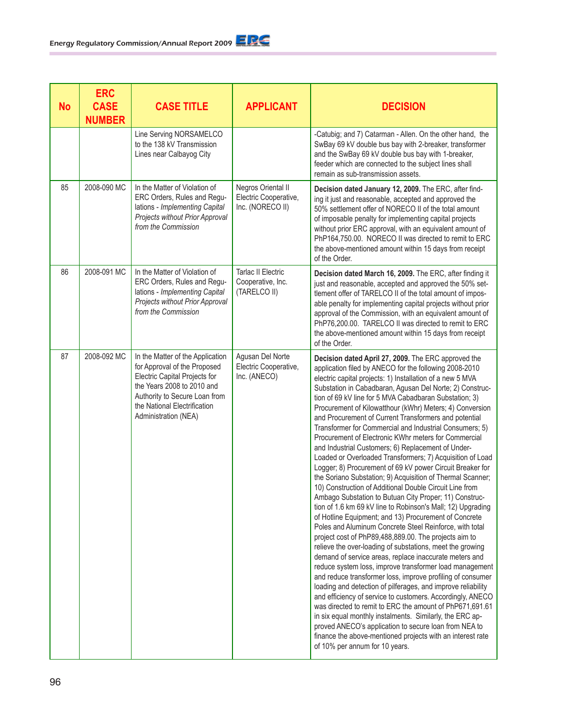| <b>No</b> | <b>ERC</b><br><b>CASE</b><br><b>NUMBER</b> | <b>CASE TITLE</b>                                                                                                                                                                                                        | <b>APPLICANT</b>                                                | <b>DECISION</b>                                                                                                                                                                                                                                                                                                                                                                                                                                                                                                                                                                                                                                                                                                                                                                                                                                                                                                                                                                                                                                                                                                                                                                                                                                                                                                                                                                                                                                                                                                                                                                                                                                                                                                                                                                                                        |
|-----------|--------------------------------------------|--------------------------------------------------------------------------------------------------------------------------------------------------------------------------------------------------------------------------|-----------------------------------------------------------------|------------------------------------------------------------------------------------------------------------------------------------------------------------------------------------------------------------------------------------------------------------------------------------------------------------------------------------------------------------------------------------------------------------------------------------------------------------------------------------------------------------------------------------------------------------------------------------------------------------------------------------------------------------------------------------------------------------------------------------------------------------------------------------------------------------------------------------------------------------------------------------------------------------------------------------------------------------------------------------------------------------------------------------------------------------------------------------------------------------------------------------------------------------------------------------------------------------------------------------------------------------------------------------------------------------------------------------------------------------------------------------------------------------------------------------------------------------------------------------------------------------------------------------------------------------------------------------------------------------------------------------------------------------------------------------------------------------------------------------------------------------------------------------------------------------------------|
|           |                                            | Line Serving NORSAMELCO<br>to the 138 kV Transmission<br>Lines near Calbayog City                                                                                                                                        |                                                                 | -Catubig; and 7) Catarman - Allen. On the other hand, the<br>SwBay 69 kV double bus bay with 2-breaker, transformer<br>and the SwBay 69 kV double bus bay with 1-breaker,<br>feeder which are connected to the subject lines shall<br>remain as sub-transmission assets.                                                                                                                                                                                                                                                                                                                                                                                                                                                                                                                                                                                                                                                                                                                                                                                                                                                                                                                                                                                                                                                                                                                                                                                                                                                                                                                                                                                                                                                                                                                                               |
| 85        | 2008-090 MC                                | In the Matter of Violation of<br>ERC Orders, Rules and Regu-<br>lations - Implementing Capital<br>Projects without Prior Approval<br>from the Commission                                                                 | Negros Oriental II<br>Electric Cooperative,<br>Inc. (NORECO II) | Decision dated January 12, 2009. The ERC, after find-<br>ing it just and reasonable, accepted and approved the<br>50% settlement offer of NORECO II of the total amount<br>of imposable penalty for implementing capital projects<br>without prior ERC approval, with an equivalent amount of<br>PhP164,750.00. NORECO II was directed to remit to ERC<br>the above-mentioned amount within 15 days from receipt<br>of the Order.                                                                                                                                                                                                                                                                                                                                                                                                                                                                                                                                                                                                                                                                                                                                                                                                                                                                                                                                                                                                                                                                                                                                                                                                                                                                                                                                                                                      |
| 86        | 2008-091 MC                                | In the Matter of Violation of<br>ERC Orders, Rules and Regu-<br>lations - Implementing Capital<br>Projects without Prior Approval<br>from the Commission                                                                 | <b>Tarlac II Electric</b><br>Cooperative, Inc.<br>(TARELCO II)  | Decision dated March 16, 2009. The ERC, after finding it<br>just and reasonable, accepted and approved the 50% set-<br>tlement offer of TARELCO II of the total amount of impos-<br>able penalty for implementing capital projects without prior<br>approval of the Commission, with an equivalent amount of<br>PhP76,200.00. TARELCO II was directed to remit to ERC<br>the above-mentioned amount within 15 days from receipt<br>of the Order.                                                                                                                                                                                                                                                                                                                                                                                                                                                                                                                                                                                                                                                                                                                                                                                                                                                                                                                                                                                                                                                                                                                                                                                                                                                                                                                                                                       |
| 87        | 2008-092 MC                                | In the Matter of the Application<br>for Approval of the Proposed<br>Electric Capital Projects for<br>the Years 2008 to 2010 and<br>Authority to Secure Loan from<br>the National Electrification<br>Administration (NEA) | Agusan Del Norte<br>Electric Cooperative,<br>Inc. (ANECO)       | Decision dated April 27, 2009. The ERC approved the<br>application filed by ANECO for the following 2008-2010<br>electric capital projects: 1) Installation of a new 5 MVA<br>Substation in Cabadbaran, Agusan Del Norte; 2) Construc-<br>tion of 69 kV line for 5 MVA Cabadbaran Substation; 3)<br>Procurement of Kilowatthour (kWhr) Meters; 4) Conversion<br>and Procurement of Current Transformers and potential<br>Transformer for Commercial and Industrial Consumers; 5)<br>Procurement of Electronic KWhr meters for Commercial<br>and Industrial Customers; 6) Replacement of Under-<br>Loaded or Overloaded Transformers; 7) Acquisition of Load<br>Logger; 8) Procurement of 69 kV power Circuit Breaker for<br>the Soriano Substation; 9) Acquisition of Thermal Scanner;<br>10) Construction of Additional Double Circuit Line from<br>Ambago Substation to Butuan City Proper; 11) Construc-<br>tion of 1.6 km 69 kV line to Robinson's Mall; 12) Upgrading<br>of Hotline Equipment; and 13) Procurement of Concrete<br>Poles and Aluminum Concrete Steel Reinforce, with total<br>project cost of PhP89,488,889.00. The projects aim to<br>relieve the over-loading of substations, meet the growing<br>demand of service areas, replace inaccurate meters and<br>reduce system loss, improve transformer load management<br>and reduce transformer loss, improve profiling of consumer<br>loading and detection of pilferages, and improve reliability<br>and efficiency of service to customers. Accordingly, ANECO<br>was directed to remit to ERC the amount of PhP671,691.61<br>in six equal monthly instalments. Similarly, the ERC ap-<br>proved ANECO's application to secure loan from NEA to<br>finance the above-mentioned projects with an interest rate<br>of 10% per annum for 10 years. |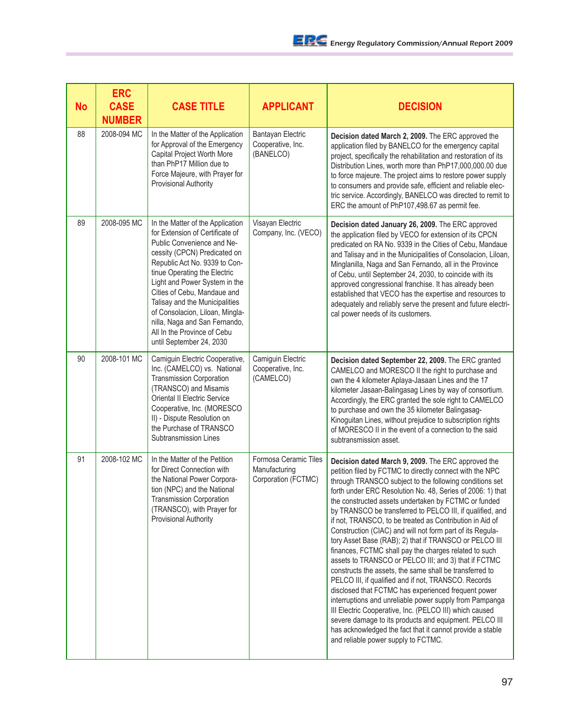| <b>No</b> | <b>ERC</b><br><b>CASE</b><br><b>NUMBER</b> | <b>CASE TITLE</b>                                                                                                                                                                                                                                                                                                                                                                                                                   | <b>APPLICANT</b>                                              | <b>DECISION</b>                                                                                                                                                                                                                                                                                                                                                                                                                                                                                                                                                                                                                                                                                                                                                                                                                                                                                                                                                                                                                                                                                                                |
|-----------|--------------------------------------------|-------------------------------------------------------------------------------------------------------------------------------------------------------------------------------------------------------------------------------------------------------------------------------------------------------------------------------------------------------------------------------------------------------------------------------------|---------------------------------------------------------------|--------------------------------------------------------------------------------------------------------------------------------------------------------------------------------------------------------------------------------------------------------------------------------------------------------------------------------------------------------------------------------------------------------------------------------------------------------------------------------------------------------------------------------------------------------------------------------------------------------------------------------------------------------------------------------------------------------------------------------------------------------------------------------------------------------------------------------------------------------------------------------------------------------------------------------------------------------------------------------------------------------------------------------------------------------------------------------------------------------------------------------|
| 88        | 2008-094 MC                                | In the Matter of the Application<br>for Approval of the Emergency<br>Capital Project Worth More<br>than PhP17 Million due to<br>Force Majeure, with Prayer for<br>Provisional Authority                                                                                                                                                                                                                                             | Bantayan Electric<br>Cooperative, Inc.<br>(BANELCO)           | Decision dated March 2, 2009. The ERC approved the<br>application filed by BANELCO for the emergency capital<br>project, specifically the rehabilitation and restoration of its<br>Distribution Lines, worth more than PhP17,000,000.00 due<br>to force majeure. The project aims to restore power supply<br>to consumers and provide safe, efficient and reliable elec-<br>tric service. Accordingly, BANELCO was directed to remit to<br>ERC the amount of PhP107,498.67 as permit fee.                                                                                                                                                                                                                                                                                                                                                                                                                                                                                                                                                                                                                                      |
| 89        | 2008-095 MC                                | In the Matter of the Application<br>for Extension of Certificate of<br>Public Convenience and Ne-<br>cessity (CPCN) Predicated on<br>Republic Act No. 9339 to Con-<br>tinue Operating the Electric<br>Light and Power System in the<br>Cities of Cebu, Mandaue and<br>Talisay and the Municipalities<br>of Consolacion, Liloan, Mingla-<br>nilla, Naga and San Fernando,<br>All In the Province of Cebu<br>until September 24, 2030 | Visayan Electric<br>Company, Inc. (VECO)                      | Decision dated January 26, 2009. The ERC approved<br>the application filed by VECO for extension of its CPCN<br>predicated on RA No. 9339 in the Cities of Cebu, Mandaue<br>and Talisay and in the Municipalities of Consolacion, Liloan,<br>Minglanilla, Naga and San Fernando, all in the Province<br>of Cebu, until September 24, 2030, to coincide with its<br>approved congressional franchise. It has already been<br>established that VECO has the expertise and resources to<br>adequately and reliably serve the present and future electri-<br>cal power needs of its customers.                                                                                                                                                                                                                                                                                                                                                                                                                                                                                                                                     |
| 90        | 2008-101 MC                                | Camiguin Electric Cooperative,<br>Inc. (CAMELCO) vs. National<br><b>Transmission Corporation</b><br>(TRANSCO) and Misamis<br>Oriental II Electric Service<br>Cooperative, Inc. (MORESCO<br>II) - Dispute Resolution on<br>the Purchase of TRANSCO<br>Subtransmission Lines                                                                                                                                                          | Camiguin Electric<br>Cooperative, Inc.<br>(CAMELCO)           | Decision dated September 22, 2009. The ERC granted<br>CAMELCO and MORESCO II the right to purchase and<br>own the 4 kilometer Aplaya-Jasaan Lines and the 17<br>kilometer Jasaan-Balingasag Lines by way of consortium.<br>Accordingly, the ERC granted the sole right to CAMELCO<br>to purchase and own the 35 kilometer Balingasag-<br>Kinoguitan Lines, without prejudice to subscription rights<br>of MORESCO II in the event of a connection to the said<br>subtransmission asset.                                                                                                                                                                                                                                                                                                                                                                                                                                                                                                                                                                                                                                        |
| 91        | 2008-102 MC                                | In the Matter of the Petition<br>for Direct Connection with<br>the National Power Corpora-<br>tion (NPC) and the National<br><b>Transmission Corporation</b><br>(TRANSCO), with Prayer for<br><b>Provisional Authority</b>                                                                                                                                                                                                          | Formosa Ceramic Tiles<br>Manufacturing<br>Corporation (FCTMC) | Decision dated March 9, 2009. The ERC approved the<br>petition filed by FCTMC to directly connect with the NPC<br>through TRANSCO subject to the following conditions set<br>forth under ERC Resolution No. 48, Series of 2006: 1) that<br>the constructed assets undertaken by FCTMC or funded<br>by TRANSCO be transferred to PELCO III, if qualified, and<br>if not, TRANSCO, to be treated as Contribution in Aid of<br>Construction (CIAC) and will not form part of its Regula-<br>tory Asset Base (RAB); 2) that if TRANSCO or PELCO III<br>finances, FCTMC shall pay the charges related to such<br>assets to TRANSCO or PELCO III; and 3) that if FCTMC<br>constructs the assets, the same shall be transferred to<br>PELCO III, if qualified and if not, TRANSCO. Records<br>disclosed that FCTMC has experienced frequent power<br>interruptions and unreliable power supply from Pampanga<br>III Electric Cooperative, Inc. (PELCO III) which caused<br>severe damage to its products and equipment. PELCO III<br>has acknowledged the fact that it cannot provide a stable<br>and reliable power supply to FCTMC. |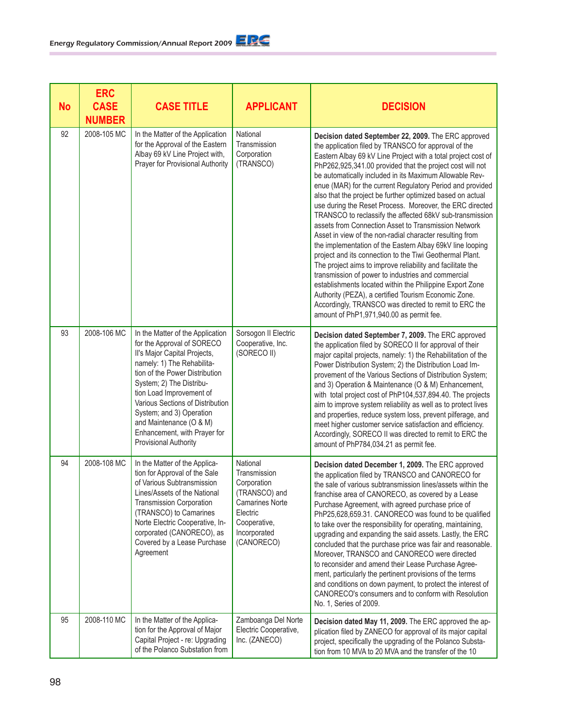## Energy Regulatory Commission/Annual Report 2009

| <b>No</b> | <b>ERC</b><br><b>CASE</b><br><b>NUMBER</b> | <b>CASE TITLE</b>                                                                                                                                                                                                                                                                                                                                                                 | <b>APPLICANT</b>                                                                                                                             | <b>DECISION</b>                                                                                                                                                                                                                                                                                                                                                                                                                                                                                                                                                                                                                                                                                                                                                                                                                                                                                                                                                                                                                                                                                                                                   |
|-----------|--------------------------------------------|-----------------------------------------------------------------------------------------------------------------------------------------------------------------------------------------------------------------------------------------------------------------------------------------------------------------------------------------------------------------------------------|----------------------------------------------------------------------------------------------------------------------------------------------|---------------------------------------------------------------------------------------------------------------------------------------------------------------------------------------------------------------------------------------------------------------------------------------------------------------------------------------------------------------------------------------------------------------------------------------------------------------------------------------------------------------------------------------------------------------------------------------------------------------------------------------------------------------------------------------------------------------------------------------------------------------------------------------------------------------------------------------------------------------------------------------------------------------------------------------------------------------------------------------------------------------------------------------------------------------------------------------------------------------------------------------------------|
| 92        | 2008-105 MC                                | In the Matter of the Application<br>for the Approval of the Eastern<br>Albay 69 kV Line Project with,<br>Prayer for Provisional Authority                                                                                                                                                                                                                                         | National<br>Transmission<br>Corporation<br>(TRANSCO)                                                                                         | Decision dated September 22, 2009. The ERC approved<br>the application filed by TRANSCO for approval of the<br>Eastern Albay 69 kV Line Project with a total project cost of<br>PhP262,925,341.00 provided that the project cost will not<br>be automatically included in its Maximum Allowable Rev-<br>enue (MAR) for the current Regulatory Period and provided<br>also that the project be further optimized based on actual<br>use during the Reset Process. Moreover, the ERC directed<br>TRANSCO to reclassify the affected 68kV sub-transmission<br>assets from Connection Asset to Transmission Network<br>Asset in view of the non-radial character resulting from<br>the implementation of the Eastern Albay 69kV line looping<br>project and its connection to the Tiwi Geothermal Plant.<br>The project aims to improve reliability and facilitate the<br>transmission of power to industries and commercial<br>establishments located within the Philippine Export Zone<br>Authority (PEZA), a certified Tourism Economic Zone.<br>Accordingly, TRANSCO was directed to remit to ERC the<br>amount of PhP1,971,940.00 as permit fee. |
| 93        | 2008-106 MC                                | In the Matter of the Application<br>for the Approval of SORECO<br>II's Major Capital Projects,<br>namely: 1) The Rehabilita-<br>tion of the Power Distribution<br>System; 2) The Distribu-<br>tion Load Improvement of<br>Various Sections of Distribution<br>System; and 3) Operation<br>and Maintenance (O & M)<br>Enhancement, with Prayer for<br><b>Provisional Authority</b> | Sorsogon II Electric<br>Cooperative, Inc.<br>(SORECO II)                                                                                     | Decision dated September 7, 2009. The ERC approved<br>the application filed by SORECO II for approval of their<br>major capital projects, namely: 1) the Rehabilitation of the<br>Power Distribution System; 2) the Distribution Load Im-<br>provement of the Various Sections of Distribution System;<br>and 3) Operation & Maintenance (O & M) Enhancement,<br>with total project cost of PhP104,537,894.40. The projects<br>aim to improve system reliability as well as to protect lives<br>and properties, reduce system loss, prevent pilferage, and<br>meet higher customer service satisfaction and efficiency.<br>Accordingly, SORECO II was directed to remit to ERC the<br>amount of PhP784,034.21 as permit fee.                                                                                                                                                                                                                                                                                                                                                                                                                      |
| 94        | 2008-108 MC                                | In the Matter of the Applica-<br>tion for Approval of the Sale<br>of Various Subtransmission<br>Lines/Assets of the National<br><b>Transmission Corporation</b><br>(TRANSCO) to Camarines<br>Norte Electric Cooperative, In-<br>corporated (CANORECO), as<br>Covered by a Lease Purchase<br>Agreement                                                                             | National<br>Transmission<br>Corporation<br>(TRANSCO) and<br><b>Camarines Norte</b><br>Electric<br>Cooperative,<br>Incorporated<br>(CANORECO) | Decision dated December 1, 2009. The ERC approved<br>the application filed by TRANSCO and CANORECO for<br>the sale of various subtransmission lines/assets within the<br>franchise area of CANORECO, as covered by a Lease<br>Purchase Agreement, with agreed purchase price of<br>PhP25,628,659.31. CANORECO was found to be qualified<br>to take over the responsibility for operating, maintaining,<br>upgrading and expanding the said assets. Lastly, the ERC<br>concluded that the purchase price was fair and reasonable.<br>Moreover, TRANSCO and CANORECO were directed<br>to reconsider and amend their Lease Purchase Agree-<br>ment, particularly the pertinent provisions of the terms<br>and conditions on down payment, to protect the interest of<br>CANORECO's consumers and to conform with Resolution<br>No. 1, Series of 2009.                                                                                                                                                                                                                                                                                                |
| 95        | 2008-110 MC                                | In the Matter of the Applica-<br>tion for the Approval of Major<br>Capital Project - re: Upgrading<br>of the Polanco Substation from                                                                                                                                                                                                                                              | Zamboanga Del Norte<br>Electric Cooperative,<br>Inc. (ZANECO)                                                                                | Decision dated May 11, 2009. The ERC approved the ap-<br>plication filed by ZANECO for approval of its major capital<br>project, specifically the upgrading of the Polanco Substa-<br>tion from 10 MVA to 20 MVA and the transfer of the 10                                                                                                                                                                                                                                                                                                                                                                                                                                                                                                                                                                                                                                                                                                                                                                                                                                                                                                       |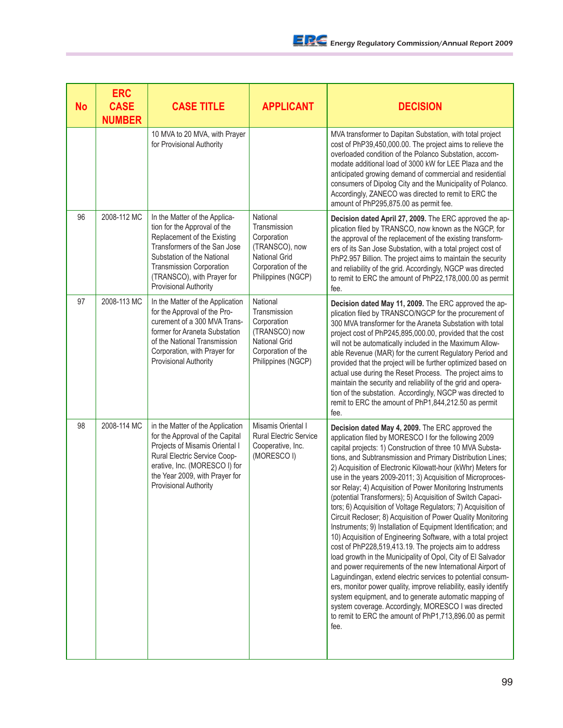| <b>No</b> | <b>ERC</b><br><b>CASE</b><br><b>NUMBER</b> | <b>CASE TITLE</b>                                                                                                                                                                                                                                    | <b>APPLICANT</b>                                                                                                              | <b>DECISION</b>                                                                                                                                                                                                                                                                                                                                                                                                                                                                                                                                                                                                                                                                                                                                                                                                                                                                                                                                                                                                                                                                                                                                                                                                                                                                  |
|-----------|--------------------------------------------|------------------------------------------------------------------------------------------------------------------------------------------------------------------------------------------------------------------------------------------------------|-------------------------------------------------------------------------------------------------------------------------------|----------------------------------------------------------------------------------------------------------------------------------------------------------------------------------------------------------------------------------------------------------------------------------------------------------------------------------------------------------------------------------------------------------------------------------------------------------------------------------------------------------------------------------------------------------------------------------------------------------------------------------------------------------------------------------------------------------------------------------------------------------------------------------------------------------------------------------------------------------------------------------------------------------------------------------------------------------------------------------------------------------------------------------------------------------------------------------------------------------------------------------------------------------------------------------------------------------------------------------------------------------------------------------|
|           |                                            | 10 MVA to 20 MVA, with Prayer<br>for Provisional Authority                                                                                                                                                                                           |                                                                                                                               | MVA transformer to Dapitan Substation, with total project<br>cost of PhP39,450,000.00. The project aims to relieve the<br>overloaded condition of the Polanco Substation, accom-<br>modate additional load of 3000 kW for LEE Plaza and the<br>anticipated growing demand of commercial and residential<br>consumers of Dipolog City and the Municipality of Polanco.<br>Accordingly, ZANECO was directed to remit to ERC the<br>amount of PhP295,875.00 as permit fee.                                                                                                                                                                                                                                                                                                                                                                                                                                                                                                                                                                                                                                                                                                                                                                                                          |
| 96        | 2008-112 MC                                | In the Matter of the Applica-<br>tion for the Approval of the<br>Replacement of the Existing<br>Transformers of the San Jose<br>Substation of the National<br><b>Transmission Corporation</b><br>(TRANSCO), with Prayer for<br>Provisional Authority | National<br>Transmission<br>Corporation<br>(TRANSCO), now<br><b>National Grid</b><br>Corporation of the<br>Philippines (NGCP) | Decision dated April 27, 2009. The ERC approved the ap-<br>plication filed by TRANSCO, now known as the NGCP, for<br>the approval of the replacement of the existing transform-<br>ers of its San Jose Substation, with a total project cost of<br>PhP2.957 Billion. The project aims to maintain the security<br>and reliability of the grid. Accordingly, NGCP was directed<br>to remit to ERC the amount of PhP22,178,000.00 as permit<br>fee.                                                                                                                                                                                                                                                                                                                                                                                                                                                                                                                                                                                                                                                                                                                                                                                                                                |
| 97        | 2008-113 MC                                | In the Matter of the Application<br>for the Approval of the Pro-<br>curement of a 300 MVA Trans-<br>former for Araneta Substation<br>of the National Transmission<br>Corporation, with Prayer for<br>Provisional Authority                           | National<br>Transmission<br>Corporation<br>(TRANSCO) now<br>National Grid<br>Corporation of the<br>Philippines (NGCP)         | Decision dated May 11, 2009. The ERC approved the ap-<br>plication filed by TRANSCO/NGCP for the procurement of<br>300 MVA transformer for the Araneta Substation with total<br>project cost of PhP245,895,000.00, provided that the cost<br>will not be automatically included in the Maximum Allow-<br>able Revenue (MAR) for the current Regulatory Period and<br>provided that the project will be further optimized based on<br>actual use during the Reset Process. The project aims to<br>maintain the security and reliability of the grid and opera-<br>tion of the substation. Accordingly, NGCP was directed to<br>remit to ERC the amount of PhP1,844,212.50 as permit<br>fee.                                                                                                                                                                                                                                                                                                                                                                                                                                                                                                                                                                                       |
| 98        | 2008-114 MC                                | in the Matter of the Application<br>for the Approval of the Capital<br>Projects of Misamis Oriental I<br>Rural Electric Service Coop-<br>erative, Inc. (MORESCO I) for<br>the Year 2009, with Prayer for<br>Provisional Authority                    | Misamis Oriental I<br><b>Rural Electric Service</b><br>Cooperative, Inc.<br>(MORESCO I)                                       | Decision dated May 4, 2009. The ERC approved the<br>application filed by MORESCO I for the following 2009<br>capital projects: 1) Construction of three 10 MVA Substa-<br>tions, and Subtransmission and Primary Distribution Lines;<br>2) Acquisition of Electronic Kilowatt-hour (kWhr) Meters for<br>use in the years 2009-2011; 3) Acquisition of Microproces-<br>sor Relay; 4) Acquisition of Power Monitoring Instruments<br>(potential Transformers); 5) Acquisition of Switch Capaci-<br>tors; 6) Acquisition of Voltage Regulators; 7) Acquisition of<br>Circuit Recloser; 8) Acquisition of Power Quality Monitoring<br>Instruments; 9) Installation of Equipment Identification; and<br>10) Acquisition of Engineering Software, with a total project<br>cost of PhP228,519,413.19. The projects aim to address<br>load growth in the Municipality of Opol, City of El Salvador<br>and power requirements of the new International Airport of<br>Laguindingan, extend electric services to potential consum-<br>ers, monitor power quality, improve reliability, easily identify<br>system equipment, and to generate automatic mapping of<br>system coverage. Accordingly, MORESCO I was directed<br>to remit to ERC the amount of PhP1,713,896.00 as permit<br>fee. |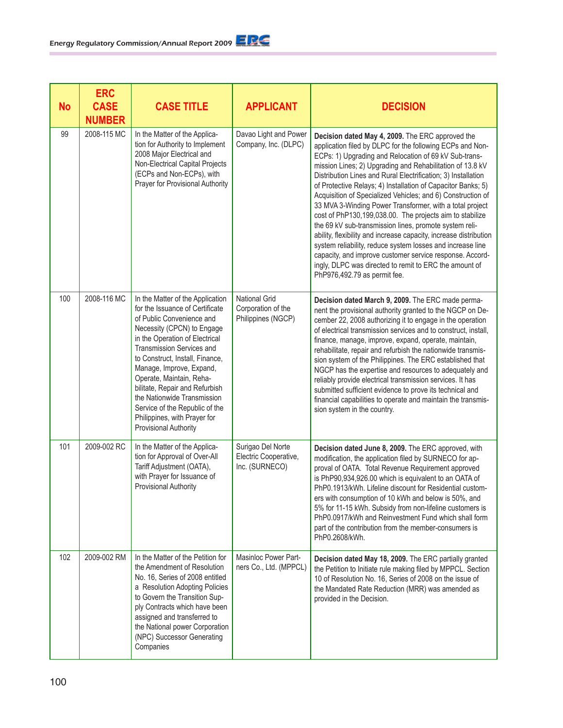| No  | <b>ERC</b><br><b>CASE</b><br><b>NUMBER</b> | <b>CASE TITLE</b>                                                                                                                                                                                                                                                                                                                                                                                                                                    | <b>APPLICANT</b>                                                 | <b>DECISION</b>                                                                                                                                                                                                                                                                                                                                                                                                                                                                                                                                                                                                                                                                                                                                                                                                                                                                                                |
|-----|--------------------------------------------|------------------------------------------------------------------------------------------------------------------------------------------------------------------------------------------------------------------------------------------------------------------------------------------------------------------------------------------------------------------------------------------------------------------------------------------------------|------------------------------------------------------------------|----------------------------------------------------------------------------------------------------------------------------------------------------------------------------------------------------------------------------------------------------------------------------------------------------------------------------------------------------------------------------------------------------------------------------------------------------------------------------------------------------------------------------------------------------------------------------------------------------------------------------------------------------------------------------------------------------------------------------------------------------------------------------------------------------------------------------------------------------------------------------------------------------------------|
| 99  | 2008-115 MC                                | In the Matter of the Applica-<br>tion for Authority to Implement<br>2008 Major Electrical and<br>Non-Electrical Capital Projects<br>(ECPs and Non-ECPs), with<br>Prayer for Provisional Authority                                                                                                                                                                                                                                                    | Davao Light and Power<br>Company, Inc. (DLPC)                    | Decision dated May 4, 2009. The ERC approved the<br>application filed by DLPC for the following ECPs and Non-<br>ECPs: 1) Upgrading and Relocation of 69 kV Sub-trans-<br>mission Lines; 2) Upgrading and Rehabilitation of 13.8 kV<br>Distribution Lines and Rural Electrification; 3) Installation<br>of Protective Relays; 4) Installation of Capacitor Banks; 5)<br>Acquisition of Specialized Vehicles; and 6) Construction of<br>33 MVA 3-Winding Power Transformer, with a total project<br>cost of PhP130,199,038.00. The projects aim to stabilize<br>the 69 kV sub-transmission lines, promote system reli-<br>ability, flexibility and increase capacity, increase distribution<br>system reliability, reduce system losses and increase line<br>capacity, and improve customer service response. Accord-<br>ingly, DLPC was directed to remit to ERC the amount of<br>PhP976,492.79 as permit fee. |
| 100 | 2008-116 MC                                | In the Matter of the Application<br>for the Issuance of Certificate<br>of Public Convenience and<br>Necessity (CPCN) to Engage<br>in the Operation of Electrical<br>Transmission Services and<br>to Construct, Install, Finance,<br>Manage, Improve, Expand,<br>Operate, Maintain, Reha-<br>bilitate, Repair and Refurbish<br>the Nationwide Transmission<br>Service of the Republic of the<br>Philippines, with Prayer for<br>Provisional Authority | <b>National Grid</b><br>Corporation of the<br>Philippines (NGCP) | Decision dated March 9, 2009. The ERC made perma-<br>nent the provisional authority granted to the NGCP on De-<br>cember 22, 2008 authorizing it to engage in the operation<br>of electrical transmission services and to construct, install,<br>finance, manage, improve, expand, operate, maintain,<br>rehabilitate, repair and refurbish the nationwide transmis-<br>sion system of the Philippines. The ERC established that<br>NGCP has the expertise and resources to adequately and<br>reliably provide electrical transmission services. It has<br>submitted sufficient evidence to prove its technical and<br>financial capabilities to operate and maintain the transmis-<br>sion system in the country.                                                                                                                                                                                             |
| 101 | 2009-002 RC                                | In the Matter of the Applica-<br>tion for Approval of Over-All<br>Tariff Adjustment (OATA),<br>with Prayer for Issuance of<br>Provisional Authority                                                                                                                                                                                                                                                                                                  | Surigao Del Norte<br>Electric Cooperative,<br>Inc. (SURNECO)     | Decision dated June 8, 2009. The ERC approved, with<br>modification, the application filed by SURNECO for ap-<br>proval of OATA. Total Revenue Requirement approved<br>is PhP90,934,926.00 which is equivalent to an OATA of<br>PhP0.1913/kWh. Lifeline discount for Residential custom-<br>ers with consumption of 10 kWh and below is 50%, and<br>5% for 11-15 kWh. Subsidy from non-lifeline customers is<br>PhP0.0917/kWh and Reinvestment Fund which shall form<br>part of the contribution from the member-consumers is<br>PhP0.2608/kWh.                                                                                                                                                                                                                                                                                                                                                                |
| 102 | 2009-002 RM                                | In the Matter of the Petition for<br>the Amendment of Resolution<br>No. 16, Series of 2008 entitled<br>a Resolution Adopting Policies<br>to Govern the Transition Sup-<br>ply Contracts which have been<br>assigned and transferred to<br>the National power Corporation<br>(NPC) Successor Generating<br>Companies                                                                                                                                  | Masinloc Power Part-<br>ners Co., Ltd. (MPPCL)                   | Decision dated May 18, 2009. The ERC partially granted<br>the Petition to Initiate rule making filed by MPPCL. Section<br>10 of Resolution No. 16, Series of 2008 on the issue of<br>the Mandated Rate Reduction (MRR) was amended as<br>provided in the Decision.                                                                                                                                                                                                                                                                                                                                                                                                                                                                                                                                                                                                                                             |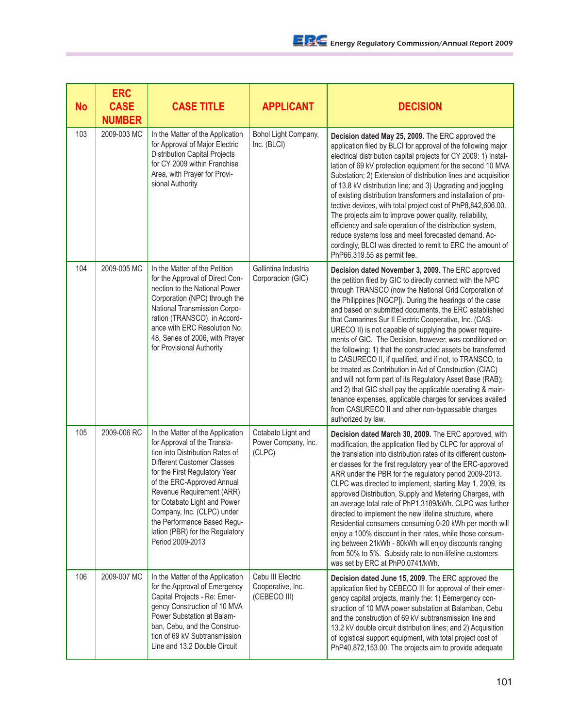| No  | <b>ERC</b><br><b>CASE</b><br><b>NUMBER</b> | <b>CASE TITLE</b>                                                                                                                                                                                                                                                                                                                                                                 | <b>APPLICANT</b>                                       | <b>DECISION</b>                                                                                                                                                                                                                                                                                                                                                                                                                                                                                                                                                                                                                                                                                                                                                                                                                                                                                                                            |
|-----|--------------------------------------------|-----------------------------------------------------------------------------------------------------------------------------------------------------------------------------------------------------------------------------------------------------------------------------------------------------------------------------------------------------------------------------------|--------------------------------------------------------|--------------------------------------------------------------------------------------------------------------------------------------------------------------------------------------------------------------------------------------------------------------------------------------------------------------------------------------------------------------------------------------------------------------------------------------------------------------------------------------------------------------------------------------------------------------------------------------------------------------------------------------------------------------------------------------------------------------------------------------------------------------------------------------------------------------------------------------------------------------------------------------------------------------------------------------------|
| 103 | 2009-003 MC                                | In the Matter of the Application<br>for Approval of Major Electric<br><b>Distribution Capital Projects</b><br>for CY 2009 within Franchise<br>Area, with Prayer for Provi-<br>sional Authority                                                                                                                                                                                    | Bohol Light Company,<br>Inc. (BLCI)                    | Decision dated May 25, 2009. The ERC approved the<br>application filed by BLCI for approval of the following major<br>electrical distribution capital projects for CY 2009: 1) Instal-<br>lation of 69 kV protection equipment for the second 10 MVA<br>Substation; 2) Extension of distribution lines and acquisition<br>of 13.8 kV distribution line; and 3) Upgrading and joggling<br>of existing distribution transformers and installation of pro-<br>tective devices, with total project cost of PhP8,842,606.00.<br>The projects aim to improve power quality, reliability,<br>efficiency and safe operation of the distribution system,<br>reduce systems loss and meet forecasted demand. Ac-<br>cordingly, BLCI was directed to remit to ERC the amount of<br>PhP66,319.55 as permit fee.                                                                                                                                        |
| 104 | 2009-005 MC                                | In the Matter of the Petition<br>for the Approval of Direct Con-<br>nection to the National Power<br>Corporation (NPC) through the<br>National Transmission Corpo-<br>ration (TRANSCO), in Accord-<br>ance with ERC Resolution No.<br>48, Series of 2006, with Prayer<br>for Provisional Authority                                                                                | Gallintina Industria<br>Corporacion (GIC)              | Decision dated November 3, 2009. The ERC approved<br>the petition filed by GIC to directly connect with the NPC<br>through TRANSCO (now the National Grid Corporation of<br>the Philippines [NGCP]). During the hearings of the case<br>and based on submitted documents, the ERC established<br>that Camarines Sur II Electric Cooperative, Inc. (CAS-<br>URECO II) is not capable of supplying the power require-<br>ments of GIC. The Decision, however, was conditioned on<br>the following: 1) that the constructed assets be transferred<br>to CASURECO II, if qualified, and if not, to TRANSCO, to<br>be treated as Contribution in Aid of Construction (CIAC)<br>and will not form part of its Regulatory Asset Base (RAB);<br>and 2) that GIC shall pay the applicable operating & main-<br>tenance expenses, applicable charges for services availed<br>from CASURECO II and other non-bypassable charges<br>authorized by law. |
| 105 | 2009-006 RC                                | In the Matter of the Application<br>for Approval of the Transla-<br>tion into Distribution Rates of<br>Different Customer Classes<br>for the First Regulatory Year<br>of the ERC-Approved Annual<br>Revenue Requirement (ARR)<br>for Cotabato Light and Power<br>Company, Inc. (CLPC) under<br>the Performance Based Regu-<br>lation (PBR) for the Regulatory<br>Period 2009-2013 | Cotabato Light and<br>Power Company, Inc.<br>(CLPC)    | Decision dated March 30, 2009. The ERC approved, with<br>modification, the application filed by CLPC for approval of<br>the translation into distribution rates of its different custom-<br>er classes for the first regulatory year of the ERC-approved<br>ARR under the PBR for the regulatory period 2009-2013.<br>CLPC was directed to implement, starting May 1, 2009, its<br>approved Distribution, Supply and Metering Charges, with<br>an average total rate of PhP1.3189/kWh. CLPC was further<br>directed to implement the new lifeline structure, where<br>Residential consumers consuming 0-20 kWh per month will<br>enjoy a 100% discount in their rates, while those consum-<br>ing between 21kWh - 80kWh will enjoy discounts ranging<br>from 50% to 5%. Subsidy rate to non-lifeline customers<br>was set by ERC at PhP0.0741/kWh.                                                                                         |
| 106 | 2009-007 MC                                | In the Matter of the Application<br>for the Approval of Emergency<br>Capital Projects - Re: Emer-<br>gency Construction of 10 MVA<br>Power Substation at Balam-<br>ban, Cebu, and the Construc-<br>tion of 69 kV Subtransmission<br>Line and 13.2 Double Circuit                                                                                                                  | Cebu III Electric<br>Cooperative, Inc.<br>(CEBECO III) | Decision dated June 15, 2009. The ERC approved the<br>application filed by CEBECO III for approval of their emer-<br>gency capital projects, mainly the: 1) Eemergency con-<br>struction of 10 MVA power substation at Balamban, Cebu<br>and the construction of 69 kV subtransmission line and<br>13.2 kV double circuit distribution lines; and 2) Acquisition<br>of logistical support equipment, with total project cost of<br>PhP40,872,153.00. The projects aim to provide adequate                                                                                                                                                                                                                                                                                                                                                                                                                                                  |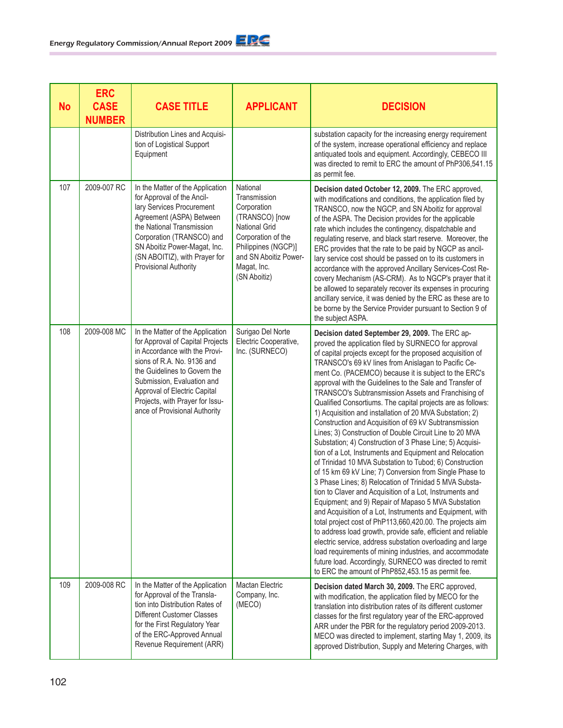| <b>No</b> | <b>ERC</b><br><b>CASE</b><br><b>NUMBER</b> | <b>CASE TITLE</b>                                                                                                                                                                                                                                                                                     | <b>APPLICANT</b>                                                                                                                                                                       | <b>DECISION</b>                                                                                                                                                                                                                                                                                                                                                                                                                                                                                                                                                                                                                                                                                                                                                                                                                                                                                                                                                                                                                                                                                                                                                                                                                                                                                                                                                                                                                                                                                                     |
|-----------|--------------------------------------------|-------------------------------------------------------------------------------------------------------------------------------------------------------------------------------------------------------------------------------------------------------------------------------------------------------|----------------------------------------------------------------------------------------------------------------------------------------------------------------------------------------|---------------------------------------------------------------------------------------------------------------------------------------------------------------------------------------------------------------------------------------------------------------------------------------------------------------------------------------------------------------------------------------------------------------------------------------------------------------------------------------------------------------------------------------------------------------------------------------------------------------------------------------------------------------------------------------------------------------------------------------------------------------------------------------------------------------------------------------------------------------------------------------------------------------------------------------------------------------------------------------------------------------------------------------------------------------------------------------------------------------------------------------------------------------------------------------------------------------------------------------------------------------------------------------------------------------------------------------------------------------------------------------------------------------------------------------------------------------------------------------------------------------------|
|           |                                            | Distribution Lines and Acquisi-<br>tion of Logistical Support<br>Equipment                                                                                                                                                                                                                            |                                                                                                                                                                                        | substation capacity for the increasing energy requirement<br>of the system, increase operational efficiency and replace<br>antiquated tools and equipment. Accordingly, CEBECO III<br>was directed to remit to ERC the amount of PhP306,541.15<br>as permit fee.                                                                                                                                                                                                                                                                                                                                                                                                                                                                                                                                                                                                                                                                                                                                                                                                                                                                                                                                                                                                                                                                                                                                                                                                                                                    |
| 107       | 2009-007 RC                                | In the Matter of the Application<br>for Approval of the Ancil-<br>lary Services Procurement<br>Agreement (ASPA) Between<br>the National Transmission<br>Corporation (TRANSCO) and<br>SN Aboitiz Power-Magat, Inc.<br>(SN ABOITIZ), with Prayer for<br><b>Provisional Authority</b>                    | National<br>Transmission<br>Corporation<br>(TRANSCO) [now<br><b>National Grid</b><br>Corporation of the<br>Philippines (NGCP)]<br>and SN Aboitiz Power-<br>Magat, Inc.<br>(SN Aboitiz) | Decision dated October 12, 2009. The ERC approved,<br>with modifications and conditions, the application filed by<br>TRANSCO, now the NGCP, and SN Aboitiz for approval<br>of the ASPA. The Decision provides for the applicable<br>rate which includes the contingency, dispatchable and<br>regulating reserve, and black start reserve. Moreover, the<br>ERC provides that the rate to be paid by NGCP as ancil-<br>lary service cost should be passed on to its customers in<br>accordance with the approved Ancillary Services-Cost Re-<br>covery Mechanism (AS-CRM). As to NGCP's prayer that it<br>be allowed to separately recover its expenses in procuring<br>ancillary service, it was denied by the ERC as these are to<br>be borne by the Service Provider pursuant to Section 9 of<br>the subject ASPA.                                                                                                                                                                                                                                                                                                                                                                                                                                                                                                                                                                                                                                                                                                |
| 108       | 2009-008 MC                                | In the Matter of the Application<br>for Approval of Capital Projects<br>in Accordance with the Provi-<br>sions of R.A. No. 9136 and<br>the Guidelines to Govern the<br>Submission, Evaluation and<br>Approval of Electric Capital<br>Projects, with Prayer for Issu-<br>ance of Provisional Authority | Surigao Del Norte<br>Electric Cooperative,<br>Inc. (SURNECO)                                                                                                                           | Decision dated September 29, 2009. The ERC ap-<br>proved the application filed by SURNECO for approval<br>of capital projects except for the proposed acquisition of<br>TRANSCO's 69 kV lines from Anislagan to Pacific Ce-<br>ment Co. (PACEMCO) because it is subject to the ERC's<br>approval with the Guidelines to the Sale and Transfer of<br>TRANSCO's Subtransmission Assets and Franchising of<br>Qualified Consortiums. The capital projects are as follows:<br>1) Acquisition and installation of 20 MVA Substation; 2)<br>Construction and Acquisition of 69 kV Subtransmission<br>Lines; 3) Construction of Double Circuit Line to 20 MVA<br>Substation; 4) Construction of 3 Phase Line; 5) Acquisi-<br>tion of a Lot, Instruments and Equipment and Relocation<br>of Trinidad 10 MVA Substation to Tubod; 6) Construction<br>of 15 km 69 kV Line; 7) Conversion from Single Phase to<br>3 Phase Lines; 8) Relocation of Trinidad 5 MVA Substa-<br>tion to Claver and Acquisition of a Lot, Instruments and<br>Equipment; and 9) Repair of Mapaso 5 MVA Substation<br>and Acquisition of a Lot, Instruments and Equipment, with<br>total project cost of PhP113,660,420.00. The projects aim<br>to address load growth, provide safe, efficient and reliable<br>electric service, address substation overloading and large<br>load requirements of mining industries, and accommodate<br>future load. Accordingly, SURNECO was directed to remit<br>to ERC the amount of PhP852,453.15 as permit fee. |
| 109       | 2009-008 RC                                | In the Matter of the Application<br>for Approval of the Transla-<br>tion into Distribution Rates of<br>Different Customer Classes<br>for the First Regulatory Year<br>of the ERC-Approved Annual<br>Revenue Requirement (ARR)                                                                         | Mactan Electric<br>Company, Inc.<br>(MECO)                                                                                                                                             | Decision dated March 30, 2009. The ERC approved,<br>with modification, the application filed by MECO for the<br>translation into distribution rates of its different customer<br>classes for the first regulatory year of the ERC-approved<br>ARR under the PBR for the regulatory period 2009-2013.<br>MECO was directed to implement, starting May 1, 2009, its<br>approved Distribution, Supply and Metering Charges, with                                                                                                                                                                                                                                                                                                                                                                                                                                                                                                                                                                                                                                                                                                                                                                                                                                                                                                                                                                                                                                                                                       |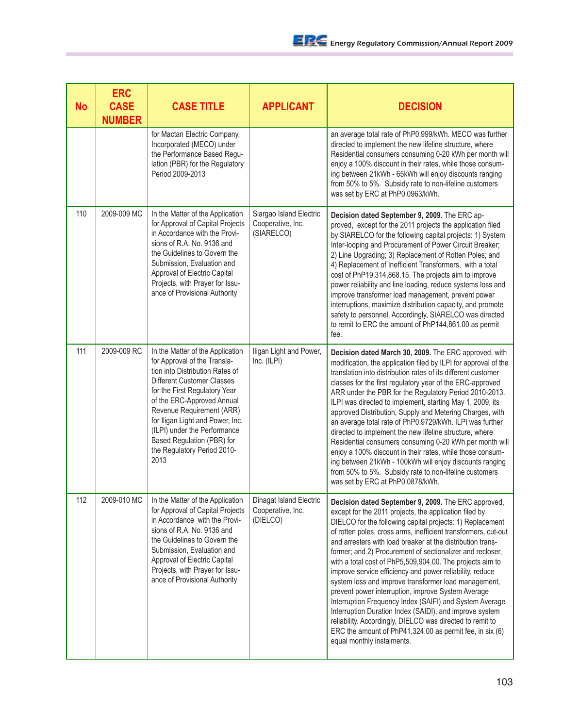| <b>No</b> | <b>ERC</b><br><b>CASE</b><br><b>NUMBER</b> | <b>CASE TITLE</b>                                                                                                                                                                                                                                                                                                                                                             | <b>APPLICANT</b>                                           | <b>DECISION</b>                                                                                                                                                                                                                                                                                                                                                                                                                                                                                                                                                                                                                                                                                                                                                                                                                                                                             |
|-----------|--------------------------------------------|-------------------------------------------------------------------------------------------------------------------------------------------------------------------------------------------------------------------------------------------------------------------------------------------------------------------------------------------------------------------------------|------------------------------------------------------------|---------------------------------------------------------------------------------------------------------------------------------------------------------------------------------------------------------------------------------------------------------------------------------------------------------------------------------------------------------------------------------------------------------------------------------------------------------------------------------------------------------------------------------------------------------------------------------------------------------------------------------------------------------------------------------------------------------------------------------------------------------------------------------------------------------------------------------------------------------------------------------------------|
|           |                                            | for Mactan Electric Company,<br>Incorporated (MECO) under<br>the Performance Based Regu-<br>lation (PBR) for the Regulatory<br>Period 2009-2013                                                                                                                                                                                                                               |                                                            | an average total rate of PhP0.999/kWh. MECO was further<br>directed to implement the new lifeline structure, where<br>Residential consumers consuming 0-20 kWh per month will<br>enjoy a 100% discount in their rates, while those consum-<br>ing between 21kWh - 65kWh will enjoy discounts ranging<br>from 50% to 5%. Subsidy rate to non-lifeline customers<br>was set by ERC at PhP0.0963/kWh.                                                                                                                                                                                                                                                                                                                                                                                                                                                                                          |
| 110       | 2009-009 MC                                | In the Matter of the Application<br>for Approval of Capital Projects<br>in Accordance with the Provi-<br>sions of R.A. No. 9136 and<br>the Guidelines to Govern the<br>Submission, Evaluation and<br>Approval of Electric Capital<br>Projects, with Prayer for Issu-<br>ance of Provisional Authority                                                                         | Siargao Island Electric<br>Cooperative, Inc.<br>(SIARELCO) | Decision dated September 9, 2009. The ERC ap-<br>proved, except for the 2011 projects the application filed<br>by SIARELCO for the following capital projects: 1) System<br>Inter-looping and Procurement of Power Circuit Breaker;<br>2) Line Upgrading; 3) Replacement of Rotten Poles; and<br>4) Replacement of Inefficient Transformers, with a total<br>cost of PhP19,314,868.15. The projects aim to improve<br>power reliability and line loading, reduce systems loss and<br>improve transformer load management, prevent power<br>interruptions, maximize distribution capacity, and promote<br>safety to personnel. Accordingly, SIARELCO was directed<br>to remit to ERC the amount of PhP144,861.00 as permit<br>fee.                                                                                                                                                           |
| 111       | 2009-009 RC                                | In the Matter of the Application<br>for Approval of the Transla-<br>tion into Distribution Rates of<br><b>Different Customer Classes</b><br>for the First Regulatory Year<br>of the ERC-Approved Annual<br>Revenue Requirement (ARR)<br>for Iligan Light and Power, Inc.<br>(ILPI) under the Performance<br>Based Regulation (PBR) for<br>the Regulatory Period 2010-<br>2013 | Iligan Light and Power,<br>Inc. (ILPI)                     | Decision dated March 30, 2009. The ERC approved, with<br>modification, the application filed by ILPI for approval of the<br>translation into distribution rates of its different customer<br>classes for the first regulatory year of the ERC-approved<br>ARR under the PBR for the Regulatory Period 2010-2013.<br>ILPI was directed to implement, starting May 1, 2009, its<br>approved Distribution, Supply and Metering Charges, with<br>an average total rate of PhP0.9729/kWh. ILPI was further<br>directed to implement the new lifeline structure, where<br>Residential consumers consuming 0-20 kWh per month will<br>enjoy a 100% discount in their rates, while those consum-<br>ing between 21kWh - 100kWh will enjoy discounts ranging<br>from 50% to 5%. Subsidy rate to non-lifeline customers<br>was set by ERC at PhP0.0878/kWh.                                           |
| 112       | 2009-010 MC                                | In the Matter of the Application<br>for Approval of Capital Projects<br>in Accordance with the Provi-<br>sions of R.A. No. 9136 and<br>the Guidelines to Govern the<br>Submission, Evaluation and<br>Approval of Electric Capital<br>Projects, with Prayer for Issu-<br>ance of Provisional Authority                                                                         | Dinagat Island Electric<br>Cooperative, Inc.<br>(DIELCO)   | Decision dated September 9, 2009. The ERC approved,<br>except for the 2011 projects, the application filed by<br>DIELCO for the following capital projects: 1) Replacement<br>of rotten poles, cross arms, inefficient transformers, cut-out<br>and arresters with load breaker at the distribution trans-<br>former; and 2) Procurement of sectionalizer and recloser,<br>with a total cost of PhP5,509,904.00. The projects aim to<br>improve service efficiency and power reliability, reduce<br>system loss and improve transformer load management,<br>prevent power interruption, improve System Average<br>Interruption Frequency Index (SAIFI) and System Average<br>Interruption Duration Index (SAIDI), and improve system<br>reliability. Accordingly, DIELCO was directed to remit to<br>ERC the amount of PhP41,324.00 as permit fee, in six (6)<br>equal monthly instalments. |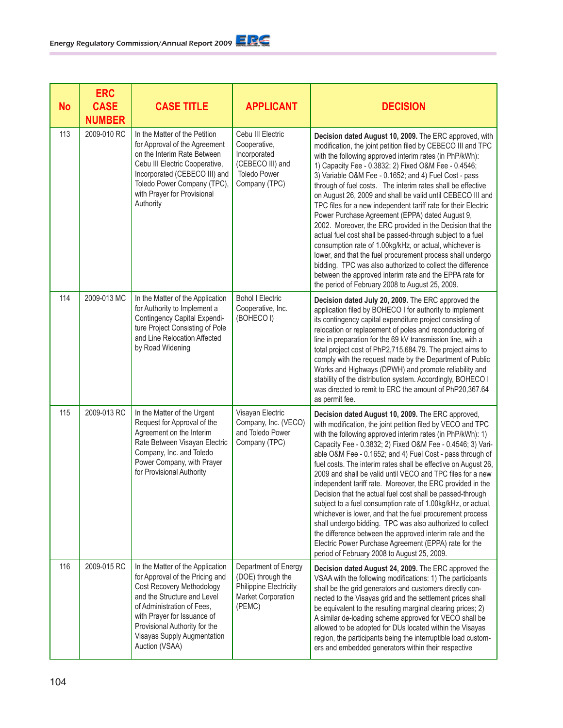| <b>No</b> | <b>ERC</b><br><b>CASE</b><br><b>NUMBER</b> | <b>CASE TITLE</b>                                                                                                                                                                                                                                                              | <b>APPLICANT</b>                                                                                              | <b>DECISION</b>                                                                                                                                                                                                                                                                                                                                                                                                                                                                                                                                                                                                                                                                                                                                                                                                                                                                                                                                                                      |
|-----------|--------------------------------------------|--------------------------------------------------------------------------------------------------------------------------------------------------------------------------------------------------------------------------------------------------------------------------------|---------------------------------------------------------------------------------------------------------------|--------------------------------------------------------------------------------------------------------------------------------------------------------------------------------------------------------------------------------------------------------------------------------------------------------------------------------------------------------------------------------------------------------------------------------------------------------------------------------------------------------------------------------------------------------------------------------------------------------------------------------------------------------------------------------------------------------------------------------------------------------------------------------------------------------------------------------------------------------------------------------------------------------------------------------------------------------------------------------------|
| 113       | 2009-010 RC                                | In the Matter of the Petition<br>for Approval of the Agreement<br>on the Interim Rate Between<br>Cebu III Electric Cooperative,<br>Incorporated (CEBECO III) and<br>Toledo Power Company (TPC),<br>with Prayer for Provisional<br>Authority                                    | Cebu III Electric<br>Cooperative,<br>Incorporated<br>(CEBECO III) and<br><b>Toledo Power</b><br>Company (TPC) | Decision dated August 10, 2009. The ERC approved, with<br>modification, the joint petition filed by CEBECO III and TPC<br>with the following approved interim rates (in PhP/kWh):<br>1) Capacity Fee - 0.3832; 2) Fixed O&M Fee - 0.4546;<br>3) Variable O&M Fee - 0.1652; and 4) Fuel Cost - pass<br>through of fuel costs. The interim rates shall be effective<br>on August 26, 2009 and shall be valid until CEBECO III and<br>TPC files for a new independent tariff rate for their Electric<br>Power Purchase Agreement (EPPA) dated August 9,<br>2002. Moreover, the ERC provided in the Decision that the<br>actual fuel cost shall be passed-through subject to a fuel<br>consumption rate of 1.00kg/kHz, or actual, whichever is<br>lower, and that the fuel procurement process shall undergo<br>bidding. TPC was also authorized to collect the difference<br>between the approved interim rate and the EPPA rate for<br>the period of February 2008 to August 25, 2009. |
| 114       | 2009-013 MC                                | In the Matter of the Application<br>for Authority to Implement a<br>Contingency Capital Expendi-<br>ture Project Consisting of Pole<br>and Line Relocation Affected<br>by Road Widening                                                                                        | <b>Bohol I Electric</b><br>Cooperative, Inc.<br>(BOHECO I)                                                    | Decision dated July 20, 2009. The ERC approved the<br>application filed by BOHECO I for authority to implement<br>its contingency capital expenditure project consisting of<br>relocation or replacement of poles and reconductoring of<br>line in preparation for the 69 kV transmission line, with a<br>total project cost of PhP2,715,684.79. The project aims to<br>comply with the request made by the Department of Public<br>Works and Highways (DPWH) and promote reliability and<br>stability of the distribution system. Accordingly, BOHECO I<br>was directed to remit to ERC the amount of PhP20,367.64<br>as permit fee.                                                                                                                                                                                                                                                                                                                                                |
| 115       | 2009-013 RC                                | In the Matter of the Urgent<br>Request for Approval of the<br>Agreement on the Interim<br>Rate Between Visayan Electric<br>Company, Inc. and Toledo<br>Power Company, with Prayer<br>for Provisional Authority                                                                 | Visayan Electric<br>Company, Inc. (VECO)<br>and Toledo Power<br>Company (TPC)                                 | Decision dated August 10, 2009. The ERC approved,<br>with modification, the joint petition filed by VECO and TPC<br>with the following approved interim rates (in PhP/kWh): 1)<br>Capacity Fee - 0.3832; 2) Fixed O&M Fee - 0.4546; 3) Vari-<br>able O&M Fee - 0.1652; and 4) Fuel Cost - pass through of<br>fuel costs. The interim rates shall be effective on August 26,<br>2009 and shall be valid until VECO and TPC files for a new<br>independent tariff rate. Moreover, the ERC provided in the<br>Decision that the actual fuel cost shall be passed-through<br>subject to a fuel consumption rate of 1.00kg/kHz, or actual,<br>whichever is lower, and that the fuel procurement process<br>shall undergo bidding. TPC was also authorized to collect<br>the difference between the approved interim rate and the<br>Electric Power Purchase Agreement (EPPA) rate for the<br>period of February 2008 to August 25, 2009.                                                  |
| 116       | 2009-015 RC                                | In the Matter of the Application<br>for Approval of the Pricing and<br>Cost Recovery Methodology<br>and the Structure and Level<br>of Administration of Fees,<br>with Prayer for Issuance of<br>Provisional Authority for the<br>Visayas Supply Augmentation<br>Auction (VSAA) | Department of Energy<br>(DOE) through the<br><b>Philippine Electricity</b><br>Market Corporation<br>(PEMC)    | Decision dated August 24, 2009. The ERC approved the<br>VSAA with the following modifications: 1) The participants<br>shall be the grid generators and customers directly con-<br>nected to the Visayas grid and the settlement prices shall<br>be equivalent to the resulting marginal clearing prices; 2)<br>A similar de-loading scheme approved for VECO shall be<br>allowed to be adopted for DUs located within the Visayas<br>region, the participants being the interruptible load custom-<br>ers and embedded generators within their respective                                                                                                                                                                                                                                                                                                                                                                                                                            |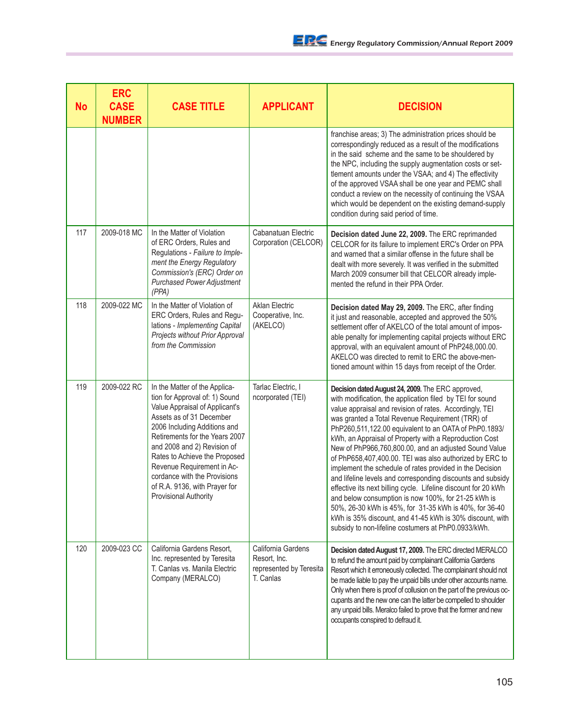| <b>No</b> | <b>ERC</b><br><b>CASE</b><br><b>NUMBER</b> | <b>CASE TITLE</b>                                                                                                                                                                                                                                                                                                                                                                              | <b>APPLICANT</b>                                                           | <b>DECISION</b>                                                                                                                                                                                                                                                                                                                                                                                                                                                                                                                                                                                                                                                                                                                                                                                                                                                                                       |
|-----------|--------------------------------------------|------------------------------------------------------------------------------------------------------------------------------------------------------------------------------------------------------------------------------------------------------------------------------------------------------------------------------------------------------------------------------------------------|----------------------------------------------------------------------------|-------------------------------------------------------------------------------------------------------------------------------------------------------------------------------------------------------------------------------------------------------------------------------------------------------------------------------------------------------------------------------------------------------------------------------------------------------------------------------------------------------------------------------------------------------------------------------------------------------------------------------------------------------------------------------------------------------------------------------------------------------------------------------------------------------------------------------------------------------------------------------------------------------|
|           |                                            |                                                                                                                                                                                                                                                                                                                                                                                                |                                                                            | franchise areas; 3) The administration prices should be<br>correspondingly reduced as a result of the modifications<br>in the said scheme and the same to be shouldered by<br>the NPC, including the supply augmentation costs or set-<br>tlement amounts under the VSAA; and 4) The effectivity<br>of the approved VSAA shall be one year and PEMC shall<br>conduct a review on the necessity of continuing the VSAA<br>which would be dependent on the existing demand-supply<br>condition during said period of time.                                                                                                                                                                                                                                                                                                                                                                              |
| 117       | 2009-018 MC                                | In the Matter of Violation<br>of ERC Orders, Rules and<br>Regulations - Failure to Imple-<br>ment the Energy Regulatory<br>Commission's (ERC) Order on<br><b>Purchased Power Adjustment</b><br>(PPA)                                                                                                                                                                                           | Cabanatuan Electric<br>Corporation (CELCOR)                                | Decision dated June 22, 2009. The ERC reprimanded<br>CELCOR for its failure to implement ERC's Order on PPA<br>and warned that a similar offense in the future shall be<br>dealt with more severely. It was verified in the submitted<br>March 2009 consumer bill that CELCOR already imple-<br>mented the refund in their PPA Order.                                                                                                                                                                                                                                                                                                                                                                                                                                                                                                                                                                 |
| 118       | 2009-022 MC                                | In the Matter of Violation of<br>ERC Orders, Rules and Regu-<br>lations - Implementing Capital<br>Projects without Prior Approval<br>from the Commission                                                                                                                                                                                                                                       | <b>Aklan Electric</b><br>Cooperative, Inc.<br>(AKELCO)                     | Decision dated May 29, 2009. The ERC, after finding<br>it just and reasonable, accepted and approved the 50%<br>settlement offer of AKELCO of the total amount of impos-<br>able penalty for implementing capital projects without ERC<br>approval, with an equivalent amount of PhP248,000.00.<br>AKELCO was directed to remit to ERC the above-men-<br>tioned amount within 15 days from receipt of the Order.                                                                                                                                                                                                                                                                                                                                                                                                                                                                                      |
| 119       | 2009-022 RC                                | In the Matter of the Applica-<br>tion for Approval of: 1) Sound<br>Value Appraisal of Applicant's<br>Assets as of 31 December<br>2006 Including Additions and<br>Retirements for the Years 2007<br>and 2008 and 2) Revision of<br>Rates to Achieve the Proposed<br>Revenue Requirement in Ac-<br>cordance with the Provisions<br>of R.A. 9136, with Prayer for<br><b>Provisional Authority</b> | Tarlac Electric, I<br>ncorporated (TEI)                                    | Decision dated August 24, 2009. The ERC approved,<br>with modification, the application filed by TEI for sound<br>value appraisal and revision of rates. Accordingly, TEI<br>was granted a Total Revenue Requirement (TRR) of<br>PhP260,511,122.00 equivalent to an OATA of PhP0.1893/<br>kWh, an Appraisal of Property with a Reproduction Cost<br>New of PhP966,760,800.00, and an adjusted Sound Value<br>of PhP658,407,400.00. TEI was also authorized by ERC to<br>implement the schedule of rates provided in the Decision<br>and lifeline levels and corresponding discounts and subsidy<br>effective its next billing cycle. Lifeline discount for 20 kWh<br>and below consumption is now 100%, for 21-25 kWh is<br>50%, 26-30 kWh is 45%, for 31-35 kWh is 40%, for 36-40<br>kWh is 35% discount, and 41-45 kWh is 30% discount, with<br>subsidy to non-lifeline costumers at PhP0.0933/kWh. |
| 120       | 2009-023 CC                                | California Gardens Resort,<br>Inc. represented by Teresita<br>T. Canlas vs. Manila Electric<br>Company (MERALCO)                                                                                                                                                                                                                                                                               | California Gardens<br>Resort, Inc.<br>represented by Teresita<br>T. Canlas | Decision dated August 17, 2009. The ERC directed MERALCO<br>to refund the amount paid by complainant California Gardens<br>Resort which it erroneously collected. The complainant should not<br>be made liable to pay the unpaid bills under other accounts name.<br>Only when there is proof of collusion on the part of the previous oc-<br>cupants and the new one can the latter be compelled to shoulder<br>any unpaid bills. Meralco failed to prove that the former and new<br>occupants conspired to defraud it.                                                                                                                                                                                                                                                                                                                                                                              |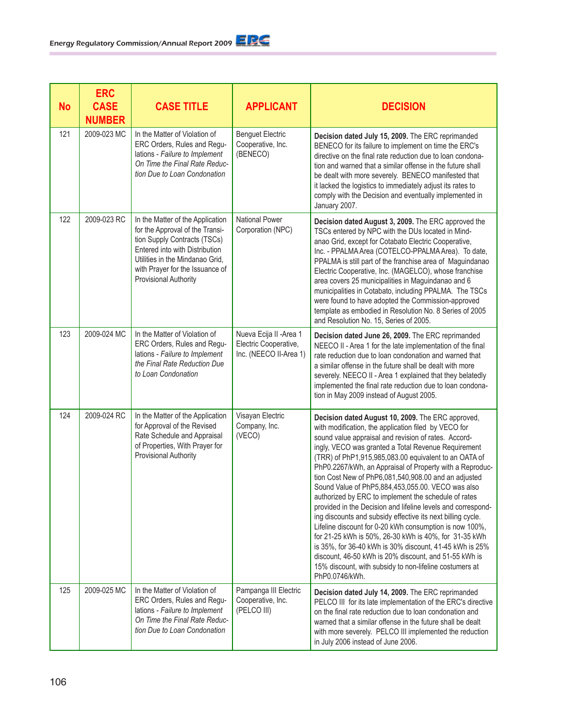| <b>No</b> | <b>ERC</b><br><b>CASE</b><br><b>NUMBER</b> | <b>CASE TITLE</b>                                                                                                                                                                                                                    | <b>APPLICANT</b>                                                           | <b>DECISION</b>                                                                                                                                                                                                                                                                                                                                                                                                                                                                                                                                                                                                                                                                                                                                                                                                                                                                                                                                                        |
|-----------|--------------------------------------------|--------------------------------------------------------------------------------------------------------------------------------------------------------------------------------------------------------------------------------------|----------------------------------------------------------------------------|------------------------------------------------------------------------------------------------------------------------------------------------------------------------------------------------------------------------------------------------------------------------------------------------------------------------------------------------------------------------------------------------------------------------------------------------------------------------------------------------------------------------------------------------------------------------------------------------------------------------------------------------------------------------------------------------------------------------------------------------------------------------------------------------------------------------------------------------------------------------------------------------------------------------------------------------------------------------|
| 121       | 2009-023 MC                                | In the Matter of Violation of<br>ERC Orders, Rules and Regu-<br>lations - Failure to Implement<br>On Time the Final Rate Reduc-<br>tion Due to Loan Condonation                                                                      | <b>Benguet Electric</b><br>Cooperative, Inc.<br>(BENECO)                   | Decision dated July 15, 2009. The ERC reprimanded<br>BENECO for its failure to implement on time the ERC's<br>directive on the final rate reduction due to loan condona-<br>tion and warned that a similar offense in the future shall<br>be dealt with more severely. BENECO manifested that<br>it lacked the logistics to immediately adjust its rates to<br>comply with the Decision and eventually implemented in<br>January 2007.                                                                                                                                                                                                                                                                                                                                                                                                                                                                                                                                 |
| 122       | 2009-023 RC                                | In the Matter of the Application<br>for the Approval of the Transi-<br>tion Supply Contracts (TSCs)<br>Entered into with Distribution<br>Utilities in the Mindanao Grid,<br>with Prayer for the Issuance of<br>Provisional Authority | <b>National Power</b><br>Corporation (NPC)                                 | Decision dated August 3, 2009. The ERC approved the<br>TSCs entered by NPC with the DUs located in Mind-<br>anao Grid, except for Cotabato Electric Cooperative,<br>Inc. - PPALMA Area (COTELCO-PPALMA Area). To date,<br>PPALMA is still part of the franchise area of Maguindanao<br>Electric Cooperative, Inc. (MAGELCO), whose franchise<br>area covers 25 municipalities in Maguindanao and 6<br>municipalities in Cotabato, including PPALMA. The TSCs<br>were found to have adopted the Commission-approved<br>template as embodied in Resolution No. 8 Series of 2005<br>and Resolution No. 15, Series of 2005.                                                                                                                                                                                                                                                                                                                                                |
| 123       | 2009-024 MC                                | In the Matter of Violation of<br>ERC Orders, Rules and Regu-<br>lations - Failure to Implement<br>the Final Rate Reduction Due<br>to Loan Condonation                                                                                | Nueva Ecija II - Area 1<br>Electric Cooperative,<br>Inc. (NEECO II-Area 1) | Decision dated June 26, 2009. The ERC reprimanded<br>NEECO II - Area 1 for the late implementation of the final<br>rate reduction due to loan condonation and warned that<br>a similar offense in the future shall be dealt with more<br>severely. NEECO II - Area 1 explained that they belatedly<br>implemented the final rate reduction due to loan condona-<br>tion in May 2009 instead of August 2005.                                                                                                                                                                                                                                                                                                                                                                                                                                                                                                                                                            |
| 124       | 2009-024 RC                                | In the Matter of the Application<br>for Approval of the Revised<br>Rate Schedule and Appraisal<br>of Properties, With Prayer for<br>Provisional Authority                                                                            | Visayan Electric<br>Company, Inc.<br>(VECO)                                | Decision dated August 10, 2009. The ERC approved,<br>with modification, the application filed by VECO for<br>sound value appraisal and revision of rates. Accord-<br>ingly, VECO was granted a Total Revenue Requirement<br>(TRR) of PhP1,915,985,083.00 equivalent to an OATA of<br>PhP0.2267/kWh, an Appraisal of Property with a Reproduc-<br>tion Cost New of PhP6,081,540,908.00 and an adjusted<br>Sound Value of PhP5,884,453,055.00. VECO was also<br>authorized by ERC to implement the schedule of rates<br>provided in the Decision and lifeline levels and correspond-<br>ing discounts and subsidy effective its next billing cycle.<br>Lifeline discount for 0-20 kWh consumption is now 100%,<br>for 21-25 kWh is 50%, 26-30 kWh is 40%, for 31-35 kWh<br>is 35%, for 36-40 kWh is 30% discount, 41-45 kWh is 25%<br>discount, 46-50 kWh is 20% discount, and 51-55 kWh is<br>15% discount, with subsidy to non-lifeline costumers at<br>PhP0.0746/kWh. |
| 125       | 2009-025 MC                                | In the Matter of Violation of<br>ERC Orders, Rules and Regu-<br>lations - Failure to Implement<br>On Time the Final Rate Reduc-<br>tion Due to Loan Condonation                                                                      | Pampanga III Electric<br>Cooperative, Inc.<br>(PELCO III)                  | Decision dated July 14, 2009. The ERC reprimanded<br>PELCO III for its late implementation of the ERC's directive<br>on the final rate reduction due to loan condonation and<br>warned that a similar offense in the future shall be dealt<br>with more severely. PELCO III implemented the reduction<br>in July 2006 instead of June 2006.                                                                                                                                                                                                                                                                                                                                                                                                                                                                                                                                                                                                                            |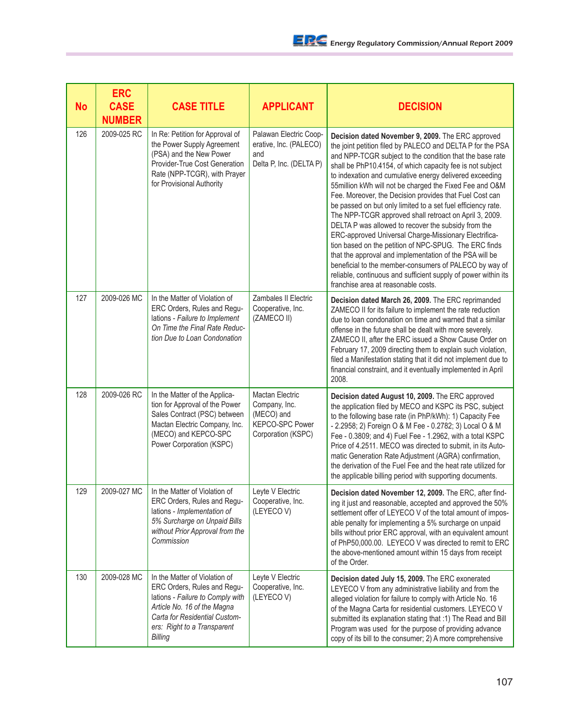| <b>No</b> | <b>ERC</b><br><b>CASE</b><br><b>NUMBER</b> | <b>CASE TITLE</b>                                                                                                                                                                                          | <b>APPLICANT</b>                                                                                      | <b>DECISION</b>                                                                                                                                                                                                                                                                                                                                                                                                                                                                                                                                                                                                                                                                                                                                                                                                                                                                                                                                             |
|-----------|--------------------------------------------|------------------------------------------------------------------------------------------------------------------------------------------------------------------------------------------------------------|-------------------------------------------------------------------------------------------------------|-------------------------------------------------------------------------------------------------------------------------------------------------------------------------------------------------------------------------------------------------------------------------------------------------------------------------------------------------------------------------------------------------------------------------------------------------------------------------------------------------------------------------------------------------------------------------------------------------------------------------------------------------------------------------------------------------------------------------------------------------------------------------------------------------------------------------------------------------------------------------------------------------------------------------------------------------------------|
| 126       | 2009-025 RC                                | In Re: Petition for Approval of<br>the Power Supply Agreement<br>(PSA) and the New Power<br>Provider-True Cost Generation<br>Rate (NPP-TCGR), with Prayer<br>for Provisional Authority                     | Palawan Electric Coop-<br>erative, Inc. (PALECO)<br>and<br>Delta P, Inc. (DELTA P)                    | Decision dated November 9, 2009. The ERC approved<br>the joint petition filed by PALECO and DELTA P for the PSA<br>and NPP-TCGR subject to the condition that the base rate<br>shall be PhP10.4154, of which capacity fee is not subject<br>to indexation and cumulative energy delivered exceeding<br>55 million kWh will not be charged the Fixed Fee and O&M<br>Fee. Moreover, the Decision provides that Fuel Cost can<br>be passed on but only limited to a set fuel efficiency rate.<br>The NPP-TCGR approved shall retroact on April 3, 2009.<br>DELTA P was allowed to recover the subsidy from the<br>ERC-approved Universal Charge-Missionary Electrifica-<br>tion based on the petition of NPC-SPUG. The ERC finds<br>that the approval and implementation of the PSA will be<br>beneficial to the member-consumers of PALECO by way of<br>reliable, continuous and sufficient supply of power within its<br>franchise area at reasonable costs. |
| 127       | 2009-026 MC                                | In the Matter of Violation of<br>ERC Orders, Rules and Regu-<br>lations - Failure to Implement<br>On Time the Final Rate Reduc-<br>tion Due to Loan Condonation                                            | Zambales II Electric<br>Cooperative, Inc.<br>(ZAMECO II)                                              | Decision dated March 26, 2009. The ERC reprimanded<br>ZAMECO II for its failure to implement the rate reduction<br>due to loan condonation on time and warned that a similar<br>offense in the future shall be dealt with more severely.<br>ZAMECO II, after the ERC issued a Show Cause Order on<br>February 17, 2009 directing them to explain such violation,<br>filed a Manifestation stating that it did not implement due to<br>financial constraint, and it eventually implemented in April<br>2008.                                                                                                                                                                                                                                                                                                                                                                                                                                                 |
| 128       | 2009-026 RC                                | In the Matter of the Applica-<br>tion for Approval of the Power<br>Sales Contract (PSC) between<br>Mactan Electric Company, Inc.<br>(MECO) and KEPCO-SPC<br>Power Corporation (KSPC)                       | <b>Mactan Electric</b><br>Company, Inc.<br>(MECO) and<br><b>KEPCO-SPC Power</b><br>Corporation (KSPC) | Decision dated August 10, 2009. The ERC approved<br>the application filed by MECO and KSPC its PSC, subject<br>to the following base rate (in PhP/kWh): 1) Capacity Fee<br>- 2.2958; 2) Foreign O & M Fee - 0.2782; 3) Local O & M<br>Fee - 0.3809; and 4) Fuel Fee - 1.2962, with a total KSPC<br>Price of 4.2511. MECO was directed to submit, in its Auto-<br>matic Generation Rate Adjustment (AGRA) confirmation,<br>the derivation of the Fuel Fee and the heat rate utilized for<br>the applicable billing period with supporting documents.                                                                                                                                                                                                                                                                                                                                                                                                         |
| 129       | 2009-027 MC                                | In the Matter of Violation of<br>ERC Orders, Rules and Regu-<br>lations - Implementation of<br>5% Surcharge on Unpaid Bills<br>without Prior Approval from the<br>Commission                               | Leyte V Electric<br>Cooperative, Inc.<br>(LEYECOV)                                                    | Decision dated November 12, 2009. The ERC, after find-<br>ing it just and reasonable, accepted and approved the 50%<br>settlement offer of LEYECO V of the total amount of impos-<br>able penalty for implementing a 5% surcharge on unpaid<br>bills without prior ERC approval, with an equivalent amount<br>of PhP50,000.00. LEYECO V was directed to remit to ERC<br>the above-mentioned amount within 15 days from receipt<br>of the Order.                                                                                                                                                                                                                                                                                                                                                                                                                                                                                                             |
| 130       | 2009-028 MC                                | In the Matter of Violation of<br>ERC Orders, Rules and Regu-<br>lations - Failure to Comply with<br>Article No. 16 of the Magna<br>Carta for Residential Custom-<br>ers: Right to a Transparent<br>Billing | Leyte V Electric<br>Cooperative, Inc.<br>(LEYECOV)                                                    | Decision dated July 15, 2009. The ERC exonerated<br>LEYECO V from any administrative liability and from the<br>alleged violation for failure to comply with Article No. 16<br>of the Magna Carta for residential customers. LEYECO V<br>submitted its explanation stating that :1) The Read and Bill<br>Program was used for the purpose of providing advance<br>copy of its bill to the consumer; 2) A more comprehensive                                                                                                                                                                                                                                                                                                                                                                                                                                                                                                                                  |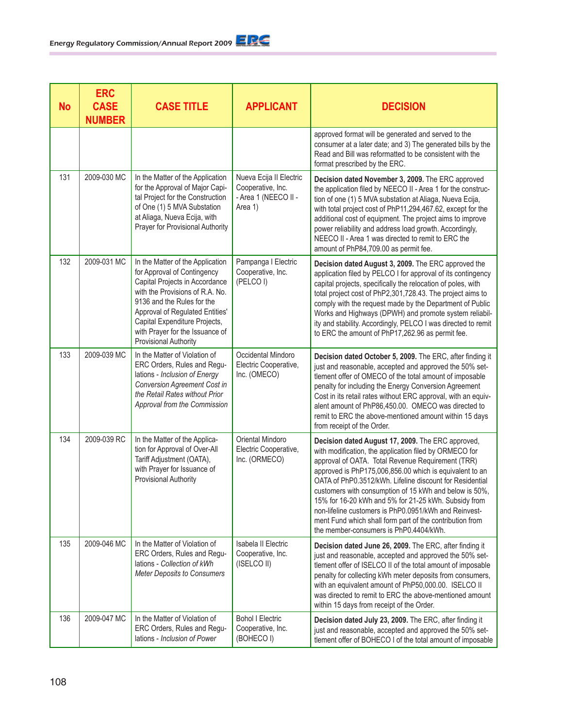| <b>No</b> | <b>ERC</b><br><b>CASE</b><br><b>NUMBER</b> | <b>CASE TITLE</b>                                                                                                                                                                                                                                                                                         | <b>APPLICANT</b>                                                                | <b>DECISION</b>                                                                                                                                                                                                                                                                                                                                                                                                                                                                                                                                                          |
|-----------|--------------------------------------------|-----------------------------------------------------------------------------------------------------------------------------------------------------------------------------------------------------------------------------------------------------------------------------------------------------------|---------------------------------------------------------------------------------|--------------------------------------------------------------------------------------------------------------------------------------------------------------------------------------------------------------------------------------------------------------------------------------------------------------------------------------------------------------------------------------------------------------------------------------------------------------------------------------------------------------------------------------------------------------------------|
|           |                                            |                                                                                                                                                                                                                                                                                                           |                                                                                 | approved format will be generated and served to the<br>consumer at a later date; and 3) The generated bills by the<br>Read and Bill was reformatted to be consistent with the<br>format prescribed by the ERC.                                                                                                                                                                                                                                                                                                                                                           |
| 131       | 2009-030 MC                                | In the Matter of the Application<br>for the Approval of Major Capi-<br>tal Project for the Construction<br>of One (1) 5 MVA Substation<br>at Aliaga, Nueva Ecija, with<br>Prayer for Provisional Authority                                                                                                | Nueva Ecija II Electric<br>Cooperative, Inc.<br>- Area 1 (NEECO II -<br>Area 1) | Decision dated November 3, 2009. The ERC approved<br>the application filed by NEECO II - Area 1 for the construc-<br>tion of one (1) 5 MVA substation at Aliaga, Nueva Ecija,<br>with total project cost of PhP11,294,467.62, except for the<br>additional cost of equipment. The project aims to improve<br>power reliability and address load growth. Accordingly,<br>NEECO II - Area 1 was directed to remit to ERC the<br>amount of PhP84,709.00 as permit fee.                                                                                                      |
| 132       | 2009-031 MC                                | In the Matter of the Application<br>for Approval of Contingency<br>Capital Projects in Accordance<br>with the Provisions of R.A. No.<br>9136 and the Rules for the<br>Approval of Regulated Entities'<br>Capital Expenditure Projects,<br>with Prayer for the Issuance of<br><b>Provisional Authority</b> | Pampanga I Electric<br>Cooperative, Inc.<br>(PELCOI)                            | Decision dated August 3, 2009. The ERC approved the<br>application filed by PELCO I for approval of its contingency<br>capital projects, specifically the relocation of poles, with<br>total project cost of PhP2,301,728.43. The project aims to<br>comply with the request made by the Department of Public<br>Works and Highways (DPWH) and promote system reliabil-<br>ity and stability. Accordingly, PELCO I was directed to remit<br>to ERC the amount of PhP17,262.96 as permit fee.                                                                             |
| 133       | 2009-039 MC                                | In the Matter of Violation of<br>ERC Orders, Rules and Regu-<br>lations - Inclusion of Energy<br>Conversion Agreement Cost in<br>the Retail Rates without Prior<br>Approval from the Commission                                                                                                           | Occidental Mindoro<br>Electric Cooperative,<br>Inc. (OMECO)                     | Decision dated October 5, 2009. The ERC, after finding it<br>just and reasonable, accepted and approved the 50% set-<br>tlement offer of OMECO of the total amount of imposable<br>penalty for including the Energy Conversion Agreement<br>Cost in its retail rates without ERC approval, with an equiv-<br>alent amount of PhP86,450.00. OMECO was directed to<br>remit to ERC the above-mentioned amount within 15 days<br>from receipt of the Order.                                                                                                                 |
| 134       | 2009-039 RC                                | In the Matter of the Applica-<br>tion for Approval of Over-All<br>Tariff Adjustment (OATA),<br>with Prayer for Issuance of<br>Provisional Authority                                                                                                                                                       | Oriental Mindoro<br>Electric Cooperative,<br>Inc. (ORMECO)                      | Decision dated August 17, 2009. The ERC approved,<br>with modification, the application filed by ORMECO for<br>approval of OATA. Total Revenue Requirement (TRR)<br>approved is PhP175,006,856.00 which is equivalent to an<br>OATA of PhP0.3512/kWh. Lifeline discount for Residential<br>customers with consumption of 15 kWh and below is 50%,<br>15% for 16-20 kWh and 5% for 21-25 kWh. Subsidy from<br>non-lifeline customers is PhP0.0951/kWh and Reinvest-<br>ment Fund which shall form part of the contribution from<br>the member-consumers is PhP0.4404/kWh. |
| 135       | 2009-046 MC                                | In the Matter of Violation of<br>ERC Orders, Rules and Regu-<br>lations - Collection of kWh<br><b>Meter Deposits to Consumers</b>                                                                                                                                                                         | Isabela II Electric<br>Cooperative, Inc.<br>(ISELCO II)                         | Decision dated June 26, 2009. The ERC, after finding it<br>just and reasonable, accepted and approved the 50% set-<br>tlement offer of ISELCO II of the total amount of imposable<br>penalty for collecting kWh meter deposits from consumers,<br>with an equivalent amount of PhP50,000.00. ISELCO II<br>was directed to remit to ERC the above-mentioned amount<br>within 15 days from receipt of the Order.                                                                                                                                                           |
| 136       | 2009-047 MC                                | In the Matter of Violation of<br>ERC Orders, Rules and Regu-<br>lations - Inclusion of Power                                                                                                                                                                                                              | <b>Bohol I Electric</b><br>Cooperative, Inc.<br>(BOHECO I)                      | Decision dated July 23, 2009. The ERC, after finding it<br>just and reasonable, accepted and approved the 50% set-<br>tlement offer of BOHECO I of the total amount of imposable                                                                                                                                                                                                                                                                                                                                                                                         |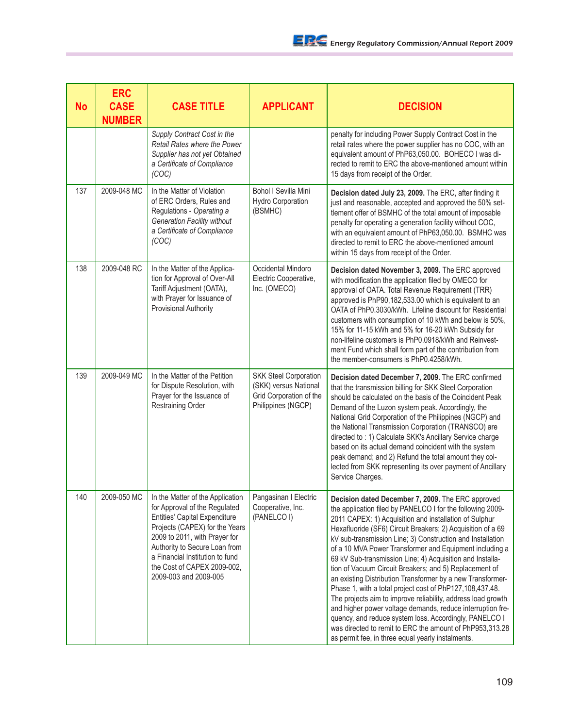| <b>No</b> | <b>ERC</b><br><b>CASE</b><br><b>NUMBER</b> | <b>CASE TITLE</b>                                                                                                                                                                                                                                                                                        | <b>APPLICANT</b>                                                                                       | <b>DECISION</b>                                                                                                                                                                                                                                                                                                                                                                                                                                                                                                                                                                                                                                                                                                                                                                                                                                                                                                             |
|-----------|--------------------------------------------|----------------------------------------------------------------------------------------------------------------------------------------------------------------------------------------------------------------------------------------------------------------------------------------------------------|--------------------------------------------------------------------------------------------------------|-----------------------------------------------------------------------------------------------------------------------------------------------------------------------------------------------------------------------------------------------------------------------------------------------------------------------------------------------------------------------------------------------------------------------------------------------------------------------------------------------------------------------------------------------------------------------------------------------------------------------------------------------------------------------------------------------------------------------------------------------------------------------------------------------------------------------------------------------------------------------------------------------------------------------------|
|           |                                            | Supply Contract Cost in the<br>Retail Rates where the Power<br>Supplier has not yet Obtained<br>a Certificate of Compliance<br>(COC)                                                                                                                                                                     |                                                                                                        | penalty for including Power Supply Contract Cost in the<br>retail rates where the power supplier has no COC, with an<br>equivalent amount of PhP63,050.00. BOHECO I was di-<br>rected to remit to ERC the above-mentioned amount within<br>15 days from receipt of the Order.                                                                                                                                                                                                                                                                                                                                                                                                                                                                                                                                                                                                                                               |
| 137       | 2009-048 MC                                | In the Matter of Violation<br>of ERC Orders, Rules and<br>Regulations - Operating a<br><b>Generation Facility without</b><br>a Certificate of Compliance<br>(COC)                                                                                                                                        | Bohol I Sevilla Mini<br><b>Hydro Corporation</b><br>(BSMHC)                                            | Decision dated July 23, 2009. The ERC, after finding it<br>just and reasonable, accepted and approved the 50% set-<br>tlement offer of BSMHC of the total amount of imposable<br>penalty for operating a generation facility without COC,<br>with an equivalent amount of PhP63,050.00. BSMHC was<br>directed to remit to ERC the above-mentioned amount<br>within 15 days from receipt of the Order.                                                                                                                                                                                                                                                                                                                                                                                                                                                                                                                       |
| 138       | 2009-048 RC                                | In the Matter of the Applica-<br>tion for Approval of Over-All<br>Tariff Adjustment (OATA),<br>with Prayer for Issuance of<br>Provisional Authority                                                                                                                                                      | Occidental Mindoro<br>Electric Cooperative,<br>Inc. (OMECO)                                            | Decision dated November 3, 2009. The ERC approved<br>with modification the application filed by OMECO for<br>approval of OATA. Total Revenue Requirement (TRR)<br>approved is PhP90,182,533.00 which is equivalent to an<br>OATA of PhP0.3030/kWh. Lifeline discount for Residential<br>customers with consumption of 10 kWh and below is 50%,<br>15% for 11-15 kWh and 5% for 16-20 kWh Subsidy for<br>non-lifeline customers is PhP0.0918/kWh and Reinvest-<br>ment Fund which shall form part of the contribution from<br>the member-consumers is PhP0.4258/kWh.                                                                                                                                                                                                                                                                                                                                                         |
| 139       | 2009-049 MC                                | In the Matter of the Petition<br>for Dispute Resolution, with<br>Prayer for the Issuance of<br>Restraining Order                                                                                                                                                                                         | <b>SKK Steel Corporation</b><br>(SKK) versus National<br>Grid Corporation of the<br>Philippines (NGCP) | Decision dated December 7, 2009. The ERC confirmed<br>that the transmission billing for SKK Steel Corporation<br>should be calculated on the basis of the Coincident Peak<br>Demand of the Luzon system peak. Accordingly, the<br>National Grid Corporation of the Philippines (NGCP) and<br>the National Transmission Corporation (TRANSCO) are<br>directed to : 1) Calculate SKK's Ancillary Service charge<br>based on its actual demand coincident with the system<br>peak demand; and 2) Refund the total amount they col-<br>lected from SKK representing its over payment of Ancillary<br>Service Charges.                                                                                                                                                                                                                                                                                                           |
| 140       | 2009-050 MC                                | In the Matter of the Application<br>for Approval of the Regulated<br><b>Entities' Capital Expenditure</b><br>Projects (CAPEX) for the Years<br>2009 to 2011, with Prayer for<br>Authority to Secure Loan from<br>a Financial Institution to fund<br>the Cost of CAPEX 2009-002,<br>2009-003 and 2009-005 | Pangasinan I Electric<br>Cooperative, Inc.<br>(PANELCO I)                                              | Decision dated December 7, 2009. The ERC approved<br>the application filed by PANELCO I for the following 2009-<br>2011 CAPEX: 1) Acquisition and installation of Sulphur<br>Hexafluoride (SF6) Circuit Breakers; 2) Acquisition of a 69<br>kV sub-transmission Line; 3) Construction and Installation<br>of a 10 MVA Power Transformer and Equipment including a<br>69 kV Sub-transmission Line; 4) Acquisition and Installa-<br>tion of Vacuum Circuit Breakers; and 5) Replacement of<br>an existing Distribution Transformer by a new Transformer-<br>Phase 1, with a total project cost of PhP127,108,437.48.<br>The projects aim to improve reliability, address load growth<br>and higher power voltage demands, reduce interruption fre-<br>quency, and reduce system loss. Accordingly, PANELCO I<br>was directed to remit to ERC the amount of PhP953,313.28<br>as permit fee, in three equal yearly instalments. |